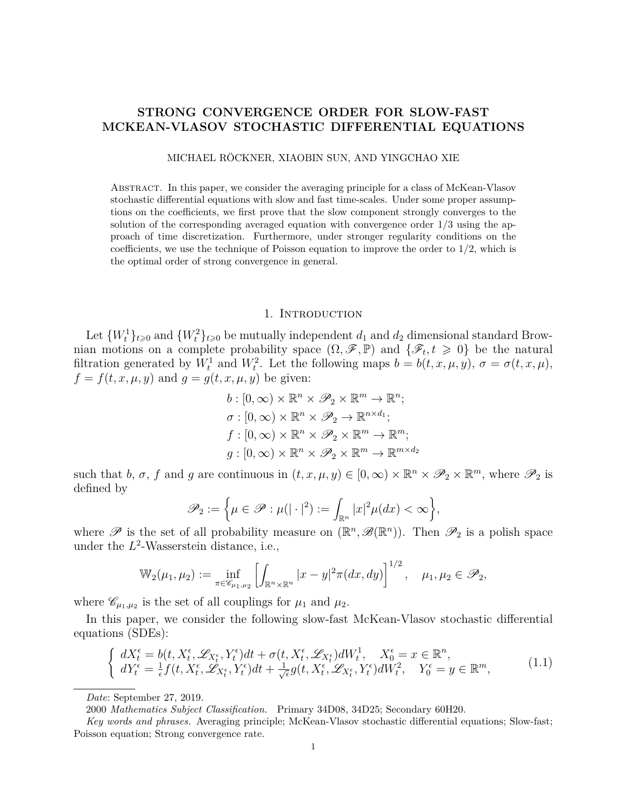## **STRONG CONVERGENCE ORDER FOR SLOW-FAST MCKEAN-VLASOV STOCHASTIC DIFFERENTIAL EQUATIONS**

MICHAEL RÖCKNER, XIAOBIN SUN, AND YINGCHAO XIE

Abstract. In this paper, we consider the averaging principle for a class of McKean-Vlasov stochastic differential equations with slow and fast time-scales. Under some proper assumptions on the coefficients, we first prove that the slow component strongly converges to the solution of the corresponding averaged equation with convergence order 1*/*3 using the approach of time discretization. Furthermore, under stronger regularity conditions on the coefficients, we use the technique of Poisson equation to improve the order to 1*/*2, which is the optimal order of strong convergence in general.

### 1. Introduction

Let  ${W_t^1}_{t \geq 0}$  and  ${W_t^2}_{t \geq 0}$  be mutually independent  $d_1$  and  $d_2$  dimensional standard Brownian motions on a complete probability space  $(\Omega, \mathscr{F}, \mathbb{P})$  and  $\{\mathscr{F}_t, t \geq 0\}$  be the natural filtration generated by  $W_t^1$  and  $W_t^2$ . Let the following maps  $b = b(t, x, \mu, y)$ ,  $\sigma = \sigma(t, x, \mu)$ ,  $f = f(t, x, \mu, y)$  and  $g = g(t, x, \mu, y)$  be given:

$$
b: [0, \infty) \times \mathbb{R}^n \times \mathcal{P}_2 \times \mathbb{R}^m \to \mathbb{R}^n;
$$
  
\n
$$
\sigma: [0, \infty) \times \mathbb{R}^n \times \mathcal{P}_2 \to \mathbb{R}^{n \times d_1};
$$
  
\n
$$
f: [0, \infty) \times \mathbb{R}^n \times \mathcal{P}_2 \times \mathbb{R}^m \to \mathbb{R}^m;
$$
  
\n
$$
g: [0, \infty) \times \mathbb{R}^n \times \mathcal{P}_2 \times \mathbb{R}^m \to \mathbb{R}^{m \times d_2}
$$

such that *b*,  $\sigma$ ,  $f$  and  $g$  are continuous in  $(t, x, \mu, y) \in [0, \infty) \times \mathbb{R}^n \times \mathscr{P}_2 \times \mathbb{R}^m$ , where  $\mathscr{P}_2$  is defined by

$$
\mathscr{P}_2:=\Big\{\mu\in\mathscr{P}:\mu(|\cdot|^2):=\int_{\mathbb{R}^n}|x|^2\mu(dx)<\infty\Big\},
$$

where  $\mathscr P$  is the set of all probability measure on  $(\mathbb{R}^n, \mathscr{B}(\mathbb{R}^n))$ . Then  $\mathscr P_2$  is a polish space under the  $L^2$ -Wasserstein distance, i.e.,

$$
\mathbb{W}_{2}(\mu_1, \mu_2) := \inf_{\pi \in \mathscr{C}_{\mu_1, \mu_2}} \left[ \int_{\mathbb{R}^n \times \mathbb{R}^n} |x - y|^2 \pi(dx, dy) \right]^{1/2}, \quad \mu_1, \mu_2 \in \mathscr{P}_2,
$$

where  $\mathscr{C}_{\mu_1,\mu_2}$  is the set of all couplings for  $\mu_1$  and  $\mu_2$ .

In this paper, we consider the following slow-fast McKean-Vlasov stochastic differential equations (SDEs):

<span id="page-0-0"></span>
$$
\begin{cases}\n dX_t^{\epsilon} = b(t, X_t^{\epsilon}, \mathscr{L}_{X_t^{\epsilon}}, Y_t^{\epsilon})dt + \sigma(t, X_t^{\epsilon}, \mathscr{L}_{X_t^{\epsilon}})dW_t^1, \quad X_0^{\epsilon} = x \in \mathbb{R}^n, \\
 dY_t^{\epsilon} = \frac{1}{\epsilon}f(t, X_t^{\epsilon}, \mathscr{L}_{X_t^{\epsilon}}, Y_t^{\epsilon})dt + \frac{1}{\sqrt{\epsilon}}g(t, X_t^{\epsilon}, \mathscr{L}_{X_t^{\epsilon}}, Y_t^{\epsilon})dW_t^2, \quad Y_0^{\epsilon} = y \in \mathbb{R}^m,\n\end{cases} (1.1)
$$

*Date*: September 27, 2019.

2000 *Mathematics Subject Classification.* Primary 34D08, 34D25; Secondary 60H20.

*Key words and phrases.* Averaging principle; McKean-Vlasov stochastic differential equations; Slow-fast; Poisson equation; Strong convergence rate.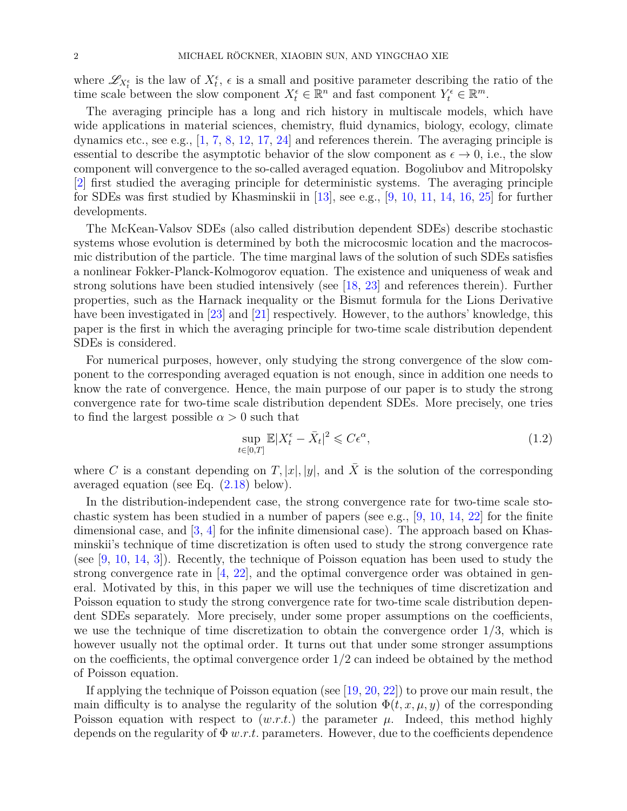where  $\mathscr{L}_{X_t^{\epsilon}}$  is the law of  $X_t^{\epsilon}$ ,  $\epsilon$  is a small and positive parameter describing the ratio of the time scale between the slow component  $X_t^{\epsilon} \in \mathbb{R}^n$  and fast component  $Y_t^{\epsilon} \in \mathbb{R}^m$ .

The averaging principle has a long and rich history in multiscale models, which have wide applications in material sciences, chemistry, fluid dynamics, biology, ecology, climate dynamics etc., see e.g., [\[1,](#page-30-0) [7,](#page-30-1) [8,](#page-30-2) [12,](#page-30-3) [17,](#page-31-0) [24\]](#page-31-1) and references therein. The averaging principle is essential to describe the asymptotic behavior of the slow component as  $\epsilon \to 0$ , i.e., the slow component will convergence to the so-called averaged equation. Bogoliubov and Mitropolsky [\[2\]](#page-30-4) first studied the averaging principle for deterministic systems. The averaging principle for SDEs was first studied by Khasminskii in [\[13\]](#page-30-5), see e.g., [\[9,](#page-30-6) [10,](#page-30-7) [11,](#page-30-8) [14,](#page-30-9) [16,](#page-31-2) [25\]](#page-31-3) for further developments.

The McKean-Valsov SDEs (also called distribution dependent SDEs) describe stochastic systems whose evolution is determined by both the microcosmic location and the macrocosmic distribution of the particle. The time marginal laws of the solution of such SDEs satisfies a nonlinear Fokker-Planck-Kolmogorov equation. The existence and uniqueness of weak and strong solutions have been studied intensively (see [\[18,](#page-31-4) [23\]](#page-31-5) and references therein). Further properties, such as the Harnack inequality or the Bismut formula for the Lions Derivative have been investigated in [\[23\]](#page-31-5) and [\[21\]](#page-31-6) respectively. However, to the authors' knowledge, this paper is the first in which the averaging principle for two-time scale distribution dependent SDEs is considered.

For numerical purposes, however, only studying the strong convergence of the slow component to the corresponding averaged equation is not enough, since in addition one needs to know the rate of convergence. Hence, the main purpose of our paper is to study the strong convergence rate for two-time scale distribution dependent SDEs. More precisely, one tries to find the largest possible  $\alpha > 0$  such that

$$
\sup_{t \in [0,T]} \mathbb{E}|X_t^{\epsilon} - \bar{X}_t|^2 \leqslant C\epsilon^{\alpha},\tag{1.2}
$$

where C is a constant depending on  $T$ ,  $|x|$ ,  $|y|$ , and  $\overline{X}$  is the solution of the corresponding averaged equation (see Eq. [\(2.18\)](#page-5-0) below).

In the distribution-independent case, the strong convergence rate for two-time scale stochastic system has been studied in a number of papers (see e.g.,  $[9, 10, 14, 22]$  $[9, 10, 14, 22]$  $[9, 10, 14, 22]$  $[9, 10, 14, 22]$  $[9, 10, 14, 22]$  $[9, 10, 14, 22]$  $[9, 10, 14, 22]$  for the finite dimensional case, and  $[3, 4]$  $[3, 4]$  $[3, 4]$  for the infinite dimensional case). The approach based on Khasminskii's technique of time discretization is often used to study the strong convergence rate (see [\[9,](#page-30-6) [10,](#page-30-7) [14,](#page-30-9) [3\]](#page-30-10)). Recently, the technique of Poisson equation has been used to study the strong convergence rate in [\[4,](#page-30-11) [22\]](#page-31-7), and the optimal convergence order was obtained in general. Motivated by this, in this paper we will use the techniques of time discretization and Poisson equation to study the strong convergence rate for two-time scale distribution dependent SDEs separately. More precisely, under some proper assumptions on the coefficients, we use the technique of time discretization to obtain the convergence order 1*/*3, which is however usually not the optimal order. It turns out that under some stronger assumptions on the coefficients, the optimal convergence order 1*/*2 can indeed be obtained by the method of Poisson equation.

If applying the technique of Poisson equation (see [\[19,](#page-31-8) [20,](#page-31-9) [22\]](#page-31-7)) to prove our main result, the main difficulty is to analyse the regularity of the solution  $\Phi(t, x, \mu, y)$  of the corresponding Poisson equation with respect to  $(w.r.t.)$  the parameter  $\mu$ . Indeed, this method highly depends on the regularity of  $\Phi w.r.t.$  parameters. However, due to the coefficients dependence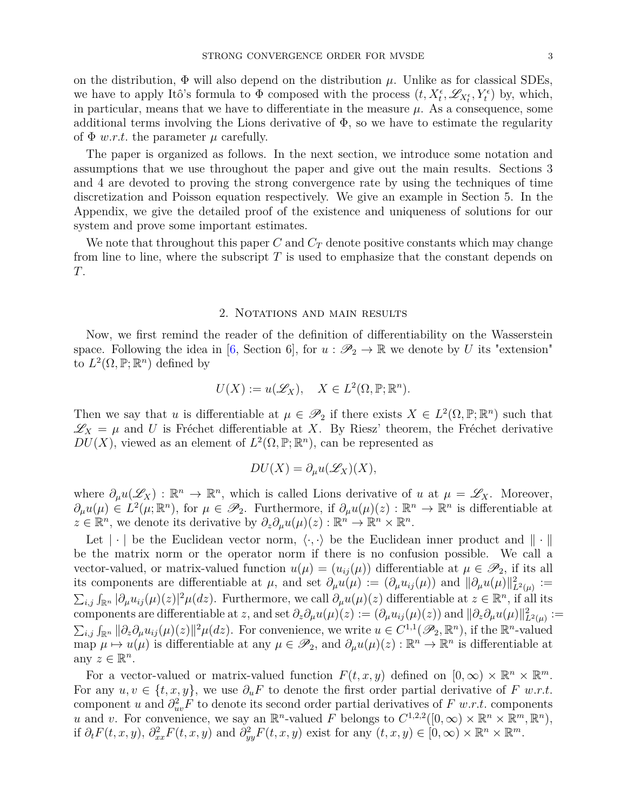on the distribution,  $\Phi$  will also depend on the distribution  $\mu$ . Unlike as for classical SDEs, we have to apply Itô's formula to  $\Phi$  composed with the process  $(t, X_t^{\epsilon}, \mathscr{L}_{X_t^{\epsilon}}, Y_t^{\epsilon})$  by, which, in particular, means that we have to differentiate in the measure  $\mu$ . As a consequence, some additional terms involving the Lions derivative of  $\Phi$ , so we have to estimate the regularity of  $\Phi$  *w.r.t.* the parameter  $\mu$  carefully.

The paper is organized as follows. In the next section, we introduce some notation and assumptions that we use throughout the paper and give out the main results. Sections 3 and 4 are devoted to proving the strong convergence rate by using the techniques of time discretization and Poisson equation respectively. We give an example in Section 5. In the Appendix, we give the detailed proof of the existence and uniqueness of solutions for our system and prove some important estimates.

We note that throughout this paper  $C$  and  $C_T$  denote positive constants which may change from line to line, where the subscript *T* is used to emphasize that the constant depends on *T*.

#### 2. NOTATIONS AND MAIN RESULTS

Now, we first remind the reader of the definition of differentiability on the Wasserstein space. Following the idea in [\[6,](#page-30-12) Section 6], for  $u : \mathscr{P}_2 \to \mathbb{R}$  we denote by *U* its "extension" to  $L^2(\Omega, \mathbb{P}; \mathbb{R}^n)$  defined by

$$
U(X) := u(\mathscr{L}_X), \quad X \in L^2(\Omega, \mathbb{P}; \mathbb{R}^n).
$$

Then we say that *u* is differentiable at  $\mu \in \mathscr{P}_2$  if there exists  $X \in L^2(\Omega, \mathbb{P}; \mathbb{R}^n)$  such that  $\mathscr{L}_X = \mu$  and *U* is Fréchet differentiable at *X*. By Riesz' theorem, the Fréchet derivative  $DU(X)$ , viewed as an element of  $L^2(\Omega, \mathbb{P}; \mathbb{R}^n)$ , can be represented as

$$
DU(X) = \partial_{\mu} u(\mathscr{L}_X)(X),
$$

where  $\partial_{\mu}u(\mathscr{L}_X) : \mathbb{R}^n \to \mathbb{R}^n$ , which is called Lions derivative of *u* at  $\mu = \mathscr{L}_X$ . Moreover,  $\partial_{\mu}u(\mu) \in L^2(\mu;\mathbb{R}^n)$ , for  $\mu \in \mathscr{P}_2$ . Furthermore, if  $\partial_{\mu}u(\mu)(z): \mathbb{R}^n \to \mathbb{R}^n$  is differentiable at  $z \in \mathbb{R}^n$ , we denote its derivative by  $\partial_z \partial_\mu u(\mu)(z) : \mathbb{R}^n \to \mathbb{R}^n \times \mathbb{R}^n$ .

Let  $|\cdot|$  be the Euclidean vector norm,  $\langle \cdot, \cdot \rangle$  be the Euclidean inner product and  $\|\cdot\|$ be the matrix norm or the operator norm if there is no confusion possible. We call a vector-valued, or matrix-valued function  $u(\mu) = (u_{ij}(\mu))$  differentiable at  $\mu \in \mathscr{P}_2$ , if its all its components are differentiable at  $\mu$ , and set  $\partial_{\mu}u(\mu) := (\partial_{\mu}u_{ij}(\mu))$  and  $\|\partial_{\mu}u(\mu)\|_{L^2(\mu)}^2 :=$  $\sum_{i,j} \int_{\mathbb{R}^n} |\partial_\mu u_{ij}(\mu)(z)|^2 \mu(dz)$ . Furthermore, we call  $\partial_\mu u(\mu)(z)$  differentiable at  $z \in \mathbb{R}^n$ , if all its components are differentiable at z, and set  $\partial_z \partial_\mu u(\mu)(z) := (\partial_\mu u_{ij}(\mu)(z))$  and  $\|\partial_z \partial_\mu u(\mu)\|_{L^2(\mu)}^2 :=$  $\sum_{i,j} \int_{\mathbb{R}^n} ||\partial_z \partial_\mu u_{ij}(\mu)(z)||^2 \mu(dz)$ . For convenience, we write  $u \in C^{1,1}(\mathscr{P}_2, \mathbb{R}^n)$ , if the  $\mathbb{R}^n$ -valued  $\lim_{\lambda \to \infty} \mu \mapsto u(\mu)$  is differentiable at any  $\mu \in \mathscr{P}_2$ , and  $\partial_{\mu} u(\mu)(z) : \mathbb{R}^n \to \mathbb{R}^n$  is differentiable at any  $z \in \mathbb{R}^n$ .

For a vector-valued or matrix-valued function  $F(t, x, y)$  defined on  $[0, \infty) \times \mathbb{R}^n \times \mathbb{R}^m$ . For any  $u, v \in \{t, x, y\}$ , we use  $\partial_u F$  to denote the first order partial derivative of F w.r.t. component *u* and  $\partial_{uv}^2 F$  to denote its second order partial derivatives of  $F$  w.r.t. components *u* and *v*. For convenience, we say an  $\mathbb{R}^n$ -valued *F* belongs to  $C^{1,2,2}([0,\infty) \times \mathbb{R}^n \times \mathbb{R}^m, \mathbb{R}^n)$ , if  $\partial_t F(t, x, y)$ ,  $\partial_{xx}^2 F(t, x, y)$  and  $\partial_{yy}^2 F(t, x, y)$  exist for any  $(t, x, y) \in [0, \infty) \times \mathbb{R}^n \times \mathbb{R}^m$ .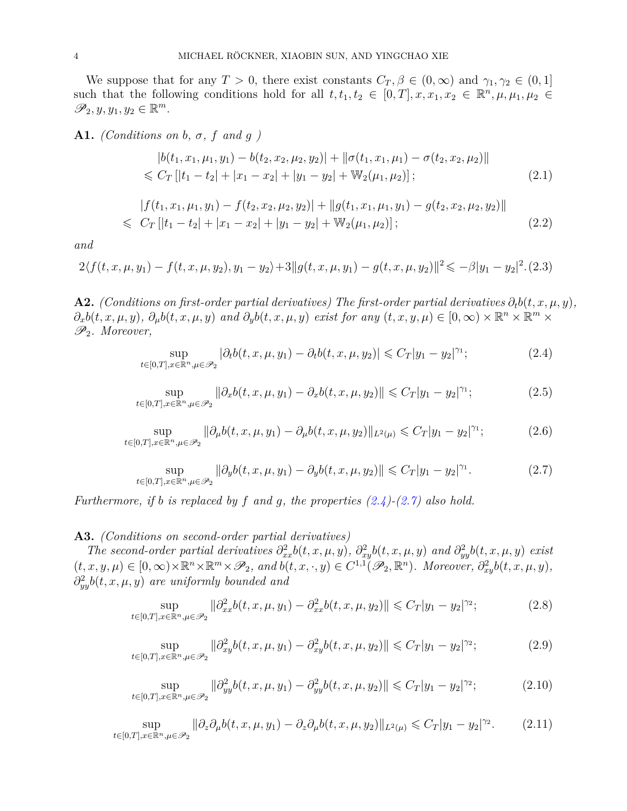We suppose that for any  $T > 0$ , there exist constants  $C_T$ ,  $\beta \in (0, \infty)$  and  $\gamma_1, \gamma_2 \in (0, 1]$ such that the following conditions hold for all  $t, t_1, t_2 \in [0,T], x, x_1, x_2 \in \mathbb{R}^n, \mu, \mu_1, \mu_2 \in$  $\mathscr{P}_2, y, y_1, y_2 \in \mathbb{R}^m$ .

<span id="page-3-7"></span>**A1.** *(Conditions on b,*  $\sigma$ *,*  $f$  *<i>and*  $g$  *)* 

<span id="page-3-4"></span>
$$
|b(t_1, x_1, \mu_1, y_1) - b(t_2, x_2, \mu_2, y_2)| + ||\sigma(t_1, x_1, \mu_1) - \sigma(t_2, x_2, \mu_2)||
$$
  
\$\leq C\_T [[t\_1 - t\_2] + |x\_1 - x\_2| + |y\_1 - y\_2| + W\_2(\mu\_1, \mu\_2)];\n  
(2.1)

<span id="page-3-5"></span>
$$
|f(t_1, x_1, \mu_1, y_1) - f(t_2, x_2, \mu_2, y_2)| + ||g(t_1, x_1, \mu_1, y_1) - g(t_2, x_2, \mu_2, y_2)||
$$
  
\n
$$
\leq C_T \left[ |t_1 - t_2| + |x_1 - x_2| + |y_1 - y_2| + \mathbb{W}_2(\mu_1, \mu_2) \right];
$$
\n(2.2)

*and*

<span id="page-3-6"></span>
$$
2\langle f(t, x, \mu, y_1) - f(t, x, \mu, y_2), y_1 - y_2 \rangle + 3||g(t, x, \mu, y_1) - g(t, x, \mu, y_2)||^2 \leq -\beta|y_1 - y_2|^2. \tag{2.3}
$$

<span id="page-3-8"></span>**A2.** *(Conditions on first-order partial derivatives) The first-order partial derivatives*  $\partial_t b(t, x, \mu, y)$ *,*  $\partial_x b(t, x, \mu, y)$ ,  $\partial_\mu b(t, x, \mu, y)$  and  $\partial_y b(t, x, \mu, y)$  exist for any  $(t, x, y, \mu) \in [0, \infty) \times \mathbb{R}^n \times \mathbb{R}^m \times$ P2*. Moreover,*

<span id="page-3-0"></span>
$$
\sup_{t \in [0,T], x \in \mathbb{R}^n, \mu \in \mathcal{P}_2} |\partial_t b(t, x, \mu, y_1) - \partial_t b(t, x, \mu, y_2)| \leqslant C_T |y_1 - y_2|^{\gamma_1};\tag{2.4}
$$

$$
\sup_{t \in [0,T], x \in \mathbb{R}^n, \mu \in \mathcal{P}_2} \|\partial_x b(t, x, \mu, y_1) - \partial_x b(t, x, \mu, y_2)\| \leq C_T |y_1 - y_2|^{\gamma_1};\tag{2.5}
$$

<span id="page-3-12"></span>
$$
\sup_{t \in [0,T], x \in \mathbb{R}^n, \mu \in \mathcal{P}_2} \|\partial_\mu b(t, x, \mu, y_1) - \partial_\mu b(t, x, \mu, y_2)\|_{L^2(\mu)} \leq C_T |y_1 - y_2|^{\gamma_1};\tag{2.6}
$$

<span id="page-3-1"></span>
$$
\sup_{t \in [0,T], x \in \mathbb{R}^n, \mu \in \mathcal{P}_2} \|\partial_y b(t, x, \mu, y_1) - \partial_y b(t, x, \mu, y_2)\| \leq C_T |y_1 - y_2|^{\gamma_1}.
$$
 (2.7)

*Furthermore, if b is replaced by f and g, the properties [\(2.4\)](#page-3-0)-[\(2.7\)](#page-3-1) also hold.*

## <span id="page-3-9"></span>**A3.** *(Conditions on second-order partial derivatives)*

*The second-order partial derivatives*  $\partial_{xx}^2 b(t, x, \mu, y)$ *,*  $\partial_{xy}^2 b(t, x, \mu, y)$  and  $\partial_{yy}^2 b(t, x, \mu, y)$  exist  $(t, x, y, \mu) \in [0, \infty) \times \mathbb{R}^n \times \mathbb{R}^m \times \mathscr{P}_2$ , and  $b(t, x, \cdot, y) \in C^{1,1}(\mathscr{P}_2, \mathbb{R}^n)$ . Moreover,  $\partial_{xy}^2 b(t, x, \mu, y)$ , *∂* 2 *yyb*(*t, x, µ, y*) *are uniformly bounded and*

<span id="page-3-2"></span>
$$
\sup_{t \in [0,T], x \in \mathbb{R}^n, \mu \in \mathcal{P}_2} \|\partial_{xx}^2 b(t, x, \mu, y_1) - \partial_{xx}^2 b(t, x, \mu, y_2)\| \leqslant C_T |y_1 - y_2|^{\gamma_2};\tag{2.8}
$$

<span id="page-3-10"></span>
$$
\sup_{t \in [0,T], x \in \mathbb{R}^n, \mu \in \mathcal{P}_2} \|\partial_{xy}^2 b(t, x, \mu, y_1) - \partial_{xy}^2 b(t, x, \mu, y_2)\| \leqslant C_T |y_1 - y_2|^{\gamma_2};\tag{2.9}
$$

<span id="page-3-11"></span>
$$
\sup_{t \in [0,T], x \in \mathbb{R}^n, \mu \in \mathcal{P}_2} \|\partial_{yy}^2 b(t, x, \mu, y_1) - \partial_{yy}^2 b(t, x, \mu, y_2)\| \leqslant C_T |y_1 - y_2|^{\gamma_2};\tag{2.10}
$$

<span id="page-3-3"></span>sup *t*∈[0*,T*]*,x*∈R*n,µ*∈P<sup>2</sup>  $\|\partial_z \partial_\mu b(t, x, \mu, y_1) - \partial_z \partial_\mu b(t, x, \mu, y_2)\|_{L^2(\mu)} \leqslant C_T |y_1 - y_2|^{\gamma_2}$ *.* (2.11)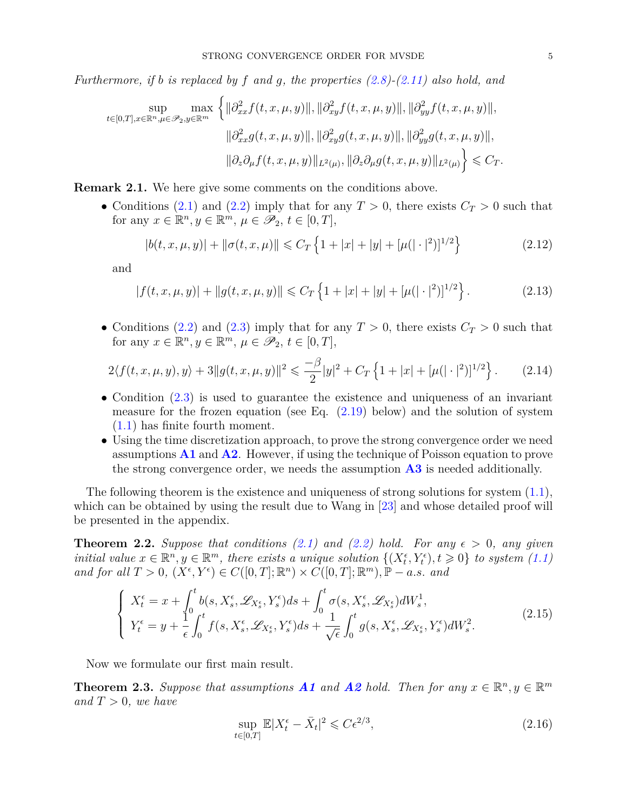*Furthermore, if b is replaced by f and g, the properties [\(2.8\)](#page-3-2)-[\(2.11\)](#page-3-3) also hold, and*

$$
\sup_{t\in[0,T],x\in\mathbb{R}^n,\mu\in\mathcal{P}_2,y\in\mathbb{R}^m}\max\left\{\|\partial^2_{xx}f(t,x,\mu,y)\|,\|\partial^2_{xy}f(t,x,\mu,y)\|,\|\partial^2_{yy}f(t,x,\mu,y)\|,\|{\partial^2_{yy}f(t,x,\mu,y)}\|,\|\partial^2_{xx}g(t,x,\mu,y)\|,\|\partial^2_{xy}g(t,x,\mu,y)\|,\|\partial^2_{yy}g(t,x,\mu,y)\|,\|{\partial^2_{xy}g(t,x,\mu,y)}\|,\|{\partial^2_{xy}f(t,x,\mu,y)}\|_{L^2(\mu)},\|\partial_z\partial_\mu g(t,x,\mu,y)\|_{L^2(\mu)}\right\}\leqslant C_T.
$$

**Remark 2.1.** We here give some comments on the conditions above.

• Conditions [\(2.1\)](#page-3-4) and [\(2.2\)](#page-3-5) imply that for any  $T > 0$ , there exists  $C_T > 0$  such that for any  $x \in \mathbb{R}^n, y \in \mathbb{R}^m, \mu \in \mathscr{P}_2, t \in [0, T],$ 

<span id="page-4-2"></span>
$$
|b(t, x, \mu, y)| + ||\sigma(t, x, \mu)|| \le C_T \left\{ 1 + |x| + |y| + [\mu(|\cdot|^2)]^{1/2} \right\}
$$
 (2.12)

and

$$
|f(t, x, \mu, y)| + ||g(t, x, \mu, y)|| \leq C_T \left\{ 1 + |x| + |y| + [\mu(|\cdot|^2)]^{1/2} \right\}.
$$
 (2.13)

• Conditions [\(2.2\)](#page-3-5) and [\(2.3\)](#page-3-6) imply that for any  $T > 0$ , there exists  $C_T > 0$  such that for any  $x \in \mathbb{R}^n, y \in \mathbb{R}^m, \mu \in \mathscr{P}_2, t \in [0, T],$ 

<span id="page-4-3"></span>
$$
2\langle f(t,x,\mu,y),y\rangle + 3||g(t,x,\mu,y)||^2 \leq \frac{-\beta}{2}|y|^2 + C_T\left\{1 + |x| + [\mu(|\cdot|^2)]^{1/2}\right\}.
$$
 (2.14)

- Condition  $(2.3)$  is used to guarantee the existence and uniqueness of an invariant measure for the frozen equation (see Eq.  $(2.19)$  below) and the solution of system [\(1.1\)](#page-0-0) has finite fourth moment.
- Using the time discretization approach, to prove the strong convergence order we need assumptions **[A1](#page-3-7)** and **[A2](#page-3-8)**. However, if using the technique of Poisson equation to prove the strong convergence order, we needs the assumption **[A3](#page-3-9)** is needed additionally.

The following theorem is the existence and uniqueness of strong solutions for system  $(1.1)$ , which can be obtained by using the result due to Wang in [\[23\]](#page-31-5) and whose detailed proof will be presented in the appendix.

<span id="page-4-4"></span>**Theorem 2.2.** *Suppose that conditions [\(2.1\)](#page-3-4)* and [\(2.2\)](#page-3-5) hold. For any  $\epsilon > 0$ , any given *initial value*  $x \in \mathbb{R}^n, y \in \mathbb{R}^m$ , there exists a unique solution  $\{(X_t^{\epsilon}, Y_t^{\epsilon}), t \geq 0\}$  to system [\(1.1\)](#page-0-0)  $and$   $for$   $all$   $T > 0$ ,  $(X^{\epsilon}, Y^{\epsilon}) \in C([0, T]; \mathbb{R}^{n}) \times C([0, T]; \mathbb{R}^{m})$ ,  $\mathbb{P} - a.s.$  *and* 

$$
\begin{cases}\nX_t^{\epsilon} = x + \int_0^t b(s, X_s^{\epsilon}, \mathcal{L}_{X_s^{\epsilon}}, Y_s^{\epsilon}) ds + \int_0^t \sigma(s, X_s^{\epsilon}, \mathcal{L}_{X_s^{\epsilon}}) dW_s^1, \\
Y_t^{\epsilon} = y + \frac{1}{\epsilon} \int_0^t f(s, X_s^{\epsilon}, \mathcal{L}_{X_s^{\epsilon}}, Y_s^{\epsilon}) ds + \frac{1}{\sqrt{\epsilon}} \int_0^t g(s, X_s^{\epsilon}, \mathcal{L}_{X_s^{\epsilon}}, Y_s^{\epsilon}) dW_s^2.\n\end{cases}
$$
\n(2.15)

Now we formulate our first main result.

<span id="page-4-1"></span>**Theorem 2.3.** Suppose that assumptions **[A1](#page-3-7)** and **[A2](#page-3-8)** hold. Then for any  $x \in \mathbb{R}^n, y \in \mathbb{R}^m$ *and*  $T > 0$ *, we have* 

<span id="page-4-0"></span>
$$
\sup_{t \in [0,T]} \mathbb{E}|X_t^{\epsilon} - \bar{X}_t|^2 \leqslant C\epsilon^{2/3},\tag{2.16}
$$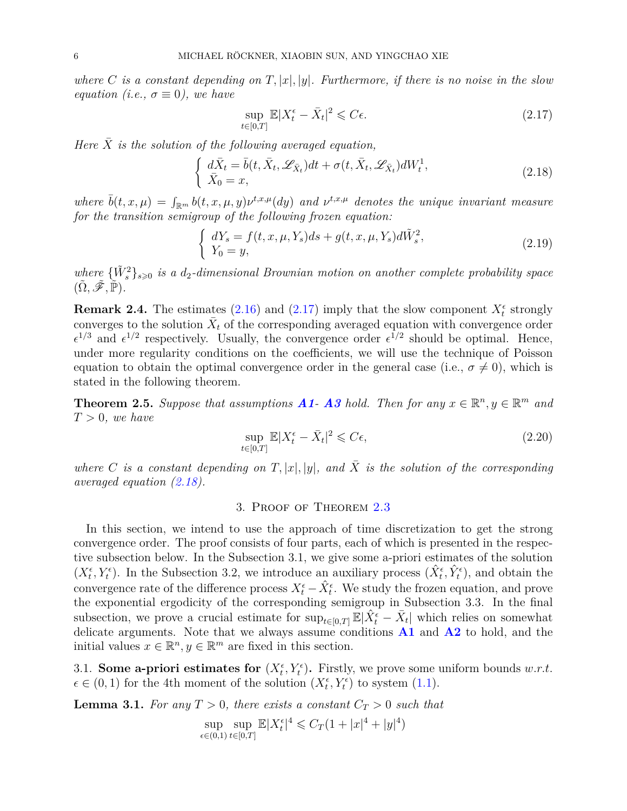*where C is a constant depending on*  $T$ ,  $|x|$ ,  $|y|$ *. Furthermore, if there is no noise in the slow equation (i.e.,*  $\sigma \equiv 0$ ), we have

<span id="page-5-2"></span>
$$
\sup_{t \in [0,T]} \mathbb{E}|X_t^{\epsilon} - \bar{X}_t|^2 \leqslant C\epsilon. \tag{2.17}
$$

*Here*  $\overline{X}$  *is the solution of the following averaged equation,* 

<span id="page-5-0"></span>
$$
\begin{cases}\n d\bar{X}_t = \bar{b}(t, \bar{X}_t, \mathscr{L}_{\bar{X}_t})dt + \sigma(t, \bar{X}_t, \mathscr{L}_{\bar{X}_t})dW_t^1, \\
 \bar{X}_0 = x,\n\end{cases} \n(2.18)
$$

*where*  $\bar{b}(t, x, \mu) = \int_{\mathbb{R}^m} b(t, x, \mu, y) \nu^{t, x, \mu}(dy)$  and  $\nu^{t, x, \mu}$  denotes the unique invariant measure *for the transition semigroup of the following frozen equation:*

<span id="page-5-1"></span>
$$
\begin{cases}\ndY_s = f(t, x, \mu, Y_s)ds + g(t, x, \mu, Y_s)d\tilde{W}_s^2, \\
Y_0 = y,\n\end{cases}
$$
\n(2.19)

where  ${\{\tilde{W}_{s}^{2}\}}_{s\geqslant0}$  *is a d*<sub>2</sub>*-dimensional Brownian motion on another complete probability space*  $(\tilde{\Omega}, \tilde{\mathscr{F}}, \tilde{\mathbb{P}})$ .

**Remark 2.4.** The estimates [\(2.16\)](#page-4-0) and [\(2.17\)](#page-5-2) imply that the slow component  $X_t^{\epsilon}$  strongly converges to the solution  $\bar{X}_t$  of the corresponding averaged equation with convergence order  $\epsilon^{1/3}$  and  $\epsilon^{1/2}$  respectively. Usually, the convergence order  $\epsilon^{1/2}$  should be optimal. Hence, under more regularity conditions on the coefficients, we will use the technique of Poisson equation to obtain the optimal convergence order in the general case (i.e.,  $\sigma \neq 0$ ), which is stated in the following theorem.

<span id="page-5-4"></span>**Theorem 2.5.** Suppose that assumptions **[A1](#page-3-7)**-**[A3](#page-3-9)** hold. Then for any  $x \in \mathbb{R}^n, y \in \mathbb{R}^m$  and  $T > 0$ *, we have* 

$$
\sup_{t \in [0,T]} \mathbb{E}|X_t^{\epsilon} - \bar{X}_t|^2 \leqslant C\epsilon,
$$
\n(2.20)

*where C is a constant depending on*  $T$ ,  $|x|$ ,  $|y|$ , and  $\overline{X}$  *is the solution of the corresponding averaged equation [\(2.18\)](#page-5-0).*

### 3. Proof of Theorem [2.3](#page-4-1)

In this section, we intend to use the approach of time discretization to get the strong convergence order. The proof consists of four parts, each of which is presented in the respective subsection below. In the Subsection 3.1, we give some a-priori estimates of the solution  $(X_t^{\epsilon}, Y_t^{\epsilon})$ . In the Subsection 3.2, we introduce an auxiliary process  $(\hat{X}_t^{\epsilon}, \hat{Y}_t^{\epsilon})$ , and obtain the convergence rate of the difference process  $X_t^{\epsilon} - \hat{X}_t^{\epsilon}$ . We study the frozen equation, and prove the exponential ergodicity of the corresponding semigroup in Subsection 3.3. In the final subsection, we prove a crucial estimate for  $\sup_{t\in[0,T]}\mathbb{E}|\hat{X}_t^{\epsilon}-\bar{X}_t|$  which relies on somewhat delicate arguments. Note that we always assume conditions **[A1](#page-3-7)** and **[A2](#page-3-8)** to hold, and the initial values  $x \in \mathbb{R}^n, y \in \mathbb{R}^m$  are fixed in this section.

3.1. **Some a-priori estimates for**  $(X_t^{\epsilon}, Y_t^{\epsilon})$ . Firstly, we prove some uniform bounds  $w.r.t.$  $\epsilon \in (0,1)$  for the 4th moment of the solution  $(X_t^{\epsilon}, Y_t^{\epsilon})$  to system [\(1.1\)](#page-0-0).

<span id="page-5-3"></span>**Lemma 3.1.** For any  $T > 0$ , there exists a constant  $C_T > 0$  such that

$$
\sup_{\epsilon \in (0,1)} \sup_{t \in [0,T]} \mathbb{E}|X_t^{\epsilon}|^4 \leq C_T (1+|x|^4+|y|^4)
$$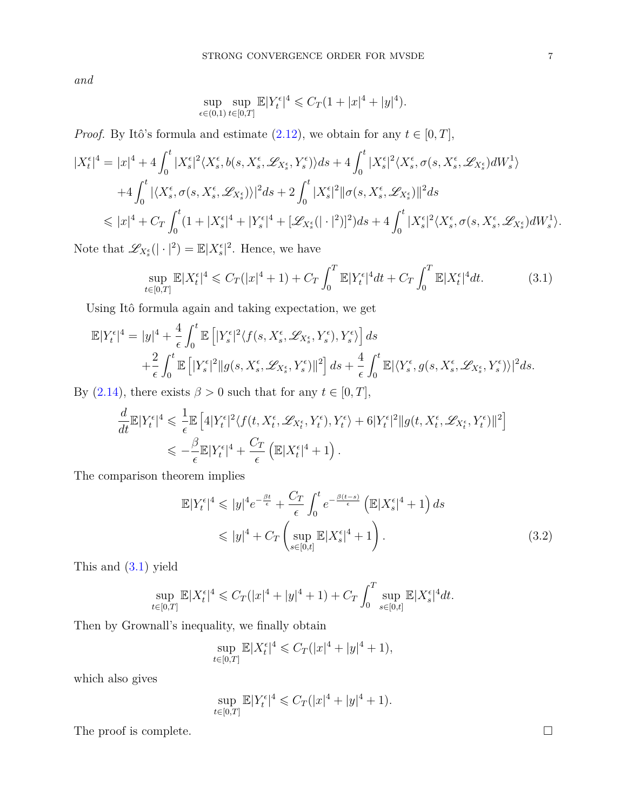*and*

$$
\sup_{\epsilon \in (0,1)} \sup_{t \in [0,T]} \mathbb{E}|Y_t^{\epsilon}|^4 \leq C_T (1+|x|^4+|y|^4).
$$

*Proof.* By Itô's formula and estimate  $(2.12)$ , we obtain for any  $t \in [0, T]$ ,

$$
\begin{split} |X^{\epsilon}_{t}|^{4}&=|x|^{4}+4\int_{0}^{t}|X^{\epsilon}_{s}|^{2}\langle X^{\epsilon}_{s},b(s,X^{\epsilon}_{s},\mathscr{L}_{X^{\epsilon}_{s}},Y^{\epsilon}_{s})\rangle ds+4\int_{0}^{t}|X^{\epsilon}_{s}|^{2}\langle X^{\epsilon}_{s},\sigma(s,X^{\epsilon}_{s},\mathscr{L}_{X^{\epsilon}_{s}})dW^{1}_{s}\rangle\\ &+4\int_{0}^{t}|\langle X^{\epsilon}_{s},\sigma(s,X^{\epsilon}_{s},\mathscr{L}_{X^{\epsilon}_{s}})\rangle|^{2}ds+2\int_{0}^{t}|X^{\epsilon}_{s}|^{2}\|\sigma(s,X^{\epsilon}_{s},\mathscr{L}_{X^{\epsilon}_{s}})\|^{2}ds\\ &\leqslant |x|^{4}+C_{T}\int_{0}^{t}(1+|X^{\epsilon}_{s}|^{4}+|Y^{\epsilon}_{s}|^{4}+[\mathscr{L}_{X^{\epsilon}_{s}}(|\cdot|^{2})]^{2})ds+4\int_{0}^{t}|X^{\epsilon}_{s}|^{2}\langle X^{\epsilon}_{s},\sigma(s,X^{\epsilon}_{s},\mathscr{L}_{X^{\epsilon}_{s}})dW^{1}_{s}\rangle. \end{split}
$$

Note that  $\mathscr{L}_{X_s^{\epsilon}}(|\cdot|^2) = \mathbb{E}|X_s^{\epsilon}|^2$ . Hence, we have

<span id="page-6-0"></span>
$$
\sup_{t \in [0,T]} \mathbb{E}|X_t^{\epsilon}|^4 \leq C_T(|x|^4 + 1) + C_T \int_0^T \mathbb{E}|Y_t^{\epsilon}|^4 dt + C_T \int_0^T \mathbb{E}|X_t^{\epsilon}|^4 dt. \tag{3.1}
$$

Using Itô formula again and taking expectation, we get

$$
\mathbb{E}|Y_t^{\epsilon}|^4 = |y|^4 + \frac{4}{\epsilon} \int_0^t \mathbb{E}\left[|Y_s^{\epsilon}|^2 \langle f(s, X_s^{\epsilon}, \mathscr{L}_{X_s^{\epsilon}}, Y_s^{\epsilon}), Y_s^{\epsilon} \rangle\right] ds \n+ \frac{2}{\epsilon} \int_0^t \mathbb{E}\left[|Y_s^{\epsilon}|^2 ||g(s, X_s^{\epsilon}, \mathscr{L}_{X_s^{\epsilon}}, Y_s^{\epsilon})||^2\right] ds + \frac{4}{\epsilon} \int_0^t \mathbb{E}| \langle Y_s^{\epsilon}, g(s, X_s^{\epsilon}, \mathscr{L}_{X_s^{\epsilon}}, Y_s^{\epsilon}) \rangle |^2 ds.
$$

By [\(2.14\)](#page-4-3), there exists  $\beta > 0$  such that for any  $t \in [0, T]$ ,

$$
\frac{d}{dt} \mathbb{E}|Y_t^{\epsilon}|^4 \leq \frac{1}{\epsilon} \mathbb{E}\left[4|Y_t^{\epsilon}|^2 \langle f(t, X_t^{\epsilon}, \mathscr{L}_{X_t^{\epsilon}}, Y_t^{\epsilon}), Y_t^{\epsilon}\rangle + 6|Y_t^{\epsilon}|^2 \|g(t, X_t^{\epsilon}, \mathscr{L}_{X_t^{\epsilon}}, Y_t^{\epsilon})\|^2\right] \leq \frac{\beta}{\epsilon} \mathbb{E}|Y_t^{\epsilon}|^4 + \frac{C_T}{\epsilon} \left( \mathbb{E}|X_t^{\epsilon}|^4 + 1 \right).
$$

The comparison theorem implies

$$
\mathbb{E}|Y_t^{\epsilon}|^4 \leqslant |y|^4 e^{-\frac{\beta t}{\epsilon}} + \frac{C_T}{\epsilon} \int_0^t e^{-\frac{\beta(t-s)}{\epsilon}} \left(\mathbb{E}|X_s^{\epsilon}|^4 + 1\right) ds
$$
  

$$
\leqslant |y|^4 + C_T \left(\sup_{s \in [0,t]} \mathbb{E}|X_s^{\epsilon}|^4 + 1\right).
$$
 (3.2)

This and [\(3.1\)](#page-6-0) yield

$$
\sup_{t \in [0,T]} \mathbb{E}|X_t^{\epsilon}|^4 \leq C_T(|x|^4 + |y|^4 + 1) + C_T \int_0^T \sup_{s \in [0,t]} \mathbb{E}|X_s^{\epsilon}|^4 dt.
$$

Then by Grownall's inequality, we finally obtain

$$
\sup_{t \in [0,T]} \mathbb{E} |X_t^{\epsilon}|^4 \leq C_T (|x|^4 + |y|^4 + 1),
$$

which also gives

$$
\sup_{t \in [0,T]} \mathbb{E}|Y_t^{\epsilon}|^4 \leqslant C_T(|x|^4 + |y|^4 + 1).
$$

The proof is complete.  $\Box$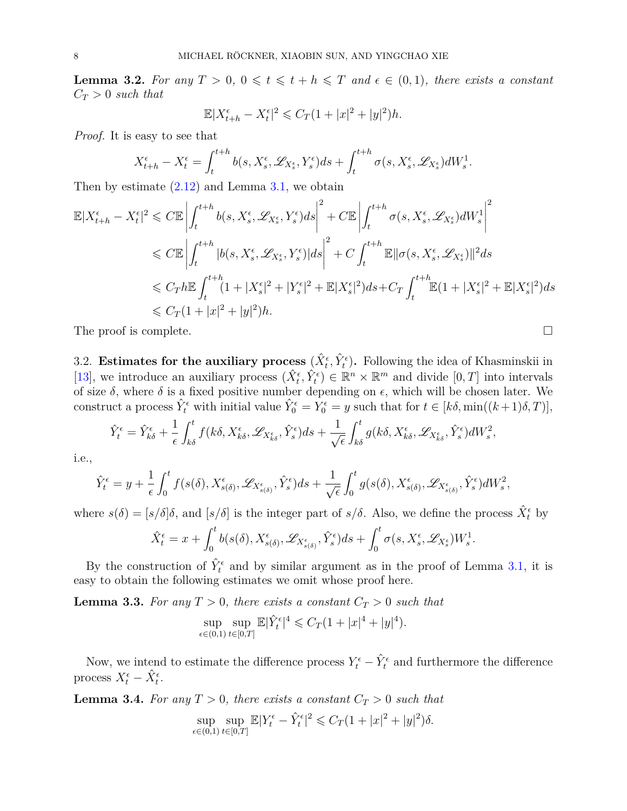<span id="page-7-0"></span>**Lemma 3.2.** For any  $T > 0$ ,  $0 \le t \le t + h \le T$  and  $\epsilon \in (0,1)$ , there exists a constant  $C_T > 0$  *such that* 

$$
\mathbb{E}|X_{t+h}^{\epsilon} - X_t^{\epsilon}|^2 \leq C_T(1+|x|^2+|y|^2)h.
$$

*Proof.* It is easy to see that

<span id="page-7-2"></span>
$$
X_{t+h}^{\epsilon} - X_t^{\epsilon} = \int_t^{t+h} b(s, X_s^{\epsilon}, \mathscr{L}_{X_s^{\epsilon}}, Y_s^{\epsilon}) ds + \int_t^{t+h} \sigma(s, X_s^{\epsilon}, \mathscr{L}_{X_s^{\epsilon}}) dW_s^1.
$$

Then by estimate  $(2.12)$  and Lemma [3.1,](#page-5-3) we obtain

$$
\mathbb{E}|X_{t+h}^{\epsilon} - X_{t}^{\epsilon}|^{2} \leq C\mathbb{E}\left|\int_{t}^{t+h} b(s, X_{s}^{\epsilon}, \mathscr{L}_{X_{s}^{\epsilon}}, Y_{s}^{\epsilon})ds\right|^{2} + C\mathbb{E}\left|\int_{t}^{t+h} \sigma(s, X_{s}^{\epsilon}, \mathscr{L}_{X_{s}^{\epsilon}})dW_{s}^{1}\right|^{2} \leq C\mathbb{E}\left|\int_{t}^{t+h} |b(s, X_{s}^{\epsilon}, \mathscr{L}_{X_{s}^{\epsilon}}, Y_{s}^{\epsilon})|ds\right|^{2} + C\int_{t}^{t+h} \mathbb{E}\|\sigma(s, X_{s}^{\epsilon}, \mathscr{L}_{X_{s}^{\epsilon}})\|^{2}ds \leq C_{T}h\mathbb{E}\int_{t}^{t+h} (1 + |X_{s}^{\epsilon}|^{2} + |Y_{s}^{\epsilon}|^{2} + \mathbb{E}|X_{s}^{\epsilon}|^{2})ds + C_{T}\int_{t}^{t+h} \mathbb{E}(1 + |X_{s}^{\epsilon}|^{2} + \mathbb{E}|X_{s}^{\epsilon}|^{2})ds \leq C_{T}(1 + |x|^{2} + |y|^{2})h.
$$

The proof is complete.

3.2. **Estimates for the auxiliary process**  $(\hat{X}_t^{\epsilon}, \hat{Y}_t^{\epsilon})$ . Following the idea of Khasminskii in [\[13\]](#page-30-5), we introduce an auxiliary process  $(\hat{X}_t^{\epsilon}, \hat{Y}_t^{\epsilon}) \in \mathbb{R}^n \times \mathbb{R}^m$  and divide  $[0, T]$  into intervals of size  $\delta$ , where  $\delta$  is a fixed positive number depending on  $\epsilon$ , which will be chosen later. We construct a process  $\hat{Y}_t^{\epsilon}$  with initial value  $\hat{Y}_0^{\epsilon} = \hat{Y}_0^{\epsilon} = y$  such that for  $t \in [k\delta, \min((k+1)\delta, T)],$ 

$$
\hat{Y}_t^{\epsilon} = \hat{Y}_{k\delta}^{\epsilon} + \frac{1}{\epsilon} \int_{k\delta}^t f(k\delta, X_{k\delta}^{\epsilon}, \mathscr{L}_{X_{k\delta}^{\epsilon}}, \hat{Y}_s^{\epsilon}) ds + \frac{1}{\sqrt{\epsilon}} \int_{k\delta}^t g(k\delta, X_{k\delta}^{\epsilon}, \mathscr{L}_{X_{k\delta}^{\epsilon}}, \hat{Y}_s^{\epsilon}) dW_s^2,
$$

i.e.,

$$
\hat{Y}_t^{\epsilon} = y + \frac{1}{\epsilon} \int_0^t f(s(\delta), X^{\epsilon}_{s(\delta)}, \mathscr{L}_{X^{\epsilon}_{s(\delta)}}, \hat{Y}^{\epsilon}_s) ds + \frac{1}{\sqrt{\epsilon}} \int_0^t g(s(\delta), X^{\epsilon}_{s(\delta)}, \mathscr{L}_{X^{\epsilon}_{s(\delta)}}, \hat{Y}^{\epsilon}_s) dW_s^2,
$$

where  $s(\delta) = [s/\delta]\delta$ , and  $[s/\delta]$  is the integer part of  $s/\delta$ . Also, we define the process  $\hat{X}_t^{\epsilon}$  by

$$
\hat{X}_t^{\epsilon} = x + \int_0^t b(s(\delta), X_{s(\delta)}^{\epsilon}, \mathscr{L}_{X_{s(\delta)}^{\epsilon}}, \hat{Y}_s^{\epsilon}) ds + \int_0^t \sigma(s, X_s^{\epsilon}, \mathscr{L}_{X_s^{\epsilon}}) W_s^1.
$$

By the construction of  $\hat{Y}_t^{\epsilon}$  and by similar argument as in the proof of Lemma [3.1,](#page-5-3) it is easy to obtain the following estimates we omit whose proof here.

<span id="page-7-3"></span>**Lemma 3.3.** For any  $T > 0$ , there exists a constant  $C_T > 0$  such that

$$
\sup_{\epsilon \in (0,1)} \sup_{t \in [0,T]} \mathbb{E} |\hat{Y}_t^{\epsilon}|^4 \leqslant C_T (1+|x|^4+|y|^4).
$$

Now, we intend to estimate the difference process  $Y_t^{\epsilon} - \hat{Y}_t^{\epsilon}$  and furthermore the difference process  $X_t^{\epsilon} - \hat{X}_t^{\epsilon}$ .

<span id="page-7-1"></span>**Lemma 3.4.** *For any*  $T > 0$ *, there exists a constant*  $C_T > 0$  *such that* 

$$
\sup_{\epsilon \in (0,1)} \sup_{t \in [0,T]} \mathbb{E}|Y_t^{\epsilon} - \hat{Y}_t^{\epsilon}|^2 \leq C_T (1+|x|^2+|y|^2)\delta.
$$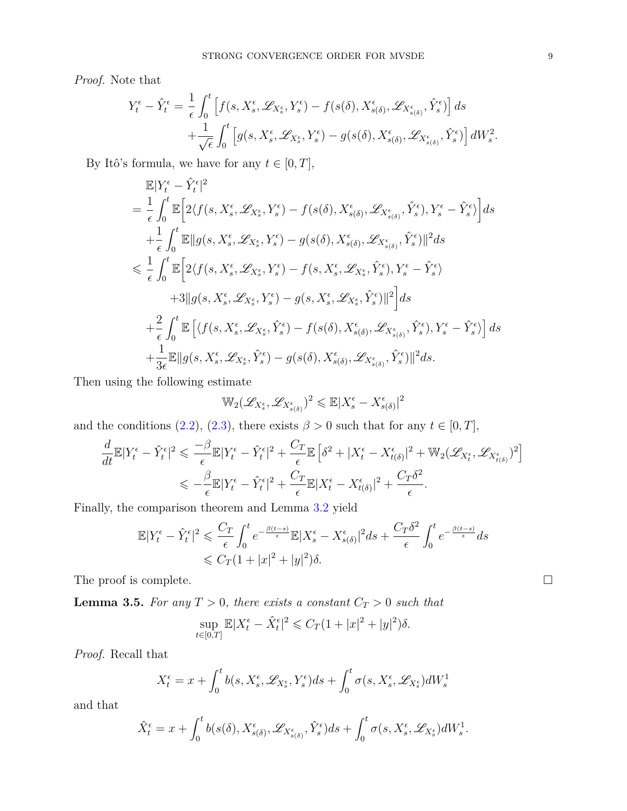*Proof.* Note that

$$
Y_t^{\epsilon} - \hat{Y}_t^{\epsilon} = \frac{1}{\epsilon} \int_0^t \left[ f(s, X_s^{\epsilon}, \mathscr{L}_{X_s^{\epsilon}}, Y_s^{\epsilon}) - f(s(\delta), X_{s(\delta)}^{\epsilon}, \mathscr{L}_{X_{s(\delta)}^{\epsilon}}, \hat{Y}_s^{\epsilon}) \right] ds + \frac{1}{\sqrt{\epsilon}} \int_0^t \left[ g(s, X_s^{\epsilon}, \mathscr{L}_{X_s^{\epsilon}}, Y_s^{\epsilon}) - g(s(\delta), X_{s(\delta)}^{\epsilon}, \mathscr{L}_{X_{s(\delta)}^{\epsilon}}, \hat{Y}_s^{\epsilon}) \right] dW_s^2.
$$

By Itô's formula, we have for any  $t \in [0, T]$ ,

$$
\mathbb{E}|Y_{t}^{\epsilon}-\hat{Y}_{t}^{\epsilon}|^{2}
$$
\n
$$
=\frac{1}{\epsilon}\int_{0}^{t}\mathbb{E}\Big[2\langle f(s,X_{s}^{\epsilon},\mathscr{L}_{X_{s}^{\epsilon}},Y_{s}^{\epsilon})-f(s(\delta),X_{s(\delta)}^{\epsilon},\mathscr{L}_{X_{s(\delta)}}^{\epsilon},\hat{Y}_{s}^{\epsilon}),Y_{s}^{\epsilon}-\hat{Y}_{s}^{\epsilon}\rangle\Big]ds
$$
\n
$$
+\frac{1}{\epsilon}\int_{0}^{t}\mathbb{E}\|g(s,X_{s}^{\epsilon},\mathscr{L}_{X_{s}^{\epsilon}},Y_{s}^{\epsilon})-g(s(\delta),X_{s(\delta)}^{\epsilon},\mathscr{L}_{X_{s(\delta)}}^{\epsilon},\hat{Y}_{s}^{\epsilon})\|^{2}ds
$$
\n
$$
\leq \frac{1}{\epsilon}\int_{0}^{t}\mathbb{E}\Big[2\langle f(s,X_{s}^{\epsilon},\mathscr{L}_{X_{s}^{\epsilon}},Y_{s}^{\epsilon})-f(s,X_{s}^{\epsilon},\mathscr{L}_{X_{s}^{\epsilon}},\hat{Y}_{s}^{\epsilon}),Y_{s}^{\epsilon}-\hat{Y}_{s}^{\epsilon}\rangle
$$
\n
$$
+3\|g(s,X_{s}^{\epsilon},\mathscr{L}_{X_{s}^{\epsilon}},Y_{s}^{\epsilon})-g(s,X_{s}^{\epsilon},\mathscr{L}_{X_{s}^{\epsilon}},\hat{Y}_{s}^{\epsilon})\|^{2}\Big]ds
$$
\n
$$
+\frac{2}{\epsilon}\int_{0}^{t}\mathbb{E}\Big[\langle f(s,X_{s}^{\epsilon},\mathscr{L}_{X_{s}^{\epsilon}},\hat{Y}_{s}^{\epsilon})-f(s(\delta),X_{s(\delta)}^{\epsilon},\mathscr{L}_{X_{s(\delta)}}^{\epsilon},\hat{Y}_{s}^{\epsilon}),Y_{s}^{\epsilon}-\hat{Y}_{s}^{\epsilon}\rangle\Big]ds
$$
\n
$$
+\frac{1}{3\epsilon}\mathbb{E}\|g(s,X_{s}^{\epsilon},\mathscr{L}_{X_{s}^{\epsilon}},\hat{Y}_{s}^{\epsilon})-g(s(\delta),X_{s(\delta)}^{\epsilon},\mathscr{L}_{X_{s(\delta)}}^{\epsilon},\hat{Y}_{s}^{\epsilon})\|^{2}ds.
$$

Then using the following estimate

$$
\mathbb{W}_2(\mathscr{L}_{X_s^{\epsilon}}, \mathscr{L}_{X_{s(\delta)}^{\epsilon}})^2 \leqslant \mathbb{E}|X_s^{\epsilon} - X_{s(\delta)}^{\epsilon}|^2
$$

and the conditions [\(2.2\)](#page-3-5), [\(2.3\)](#page-3-6), there exists  $\beta > 0$  such that for any  $t \in [0, T]$ ,

$$
\frac{d}{dt}\mathbb{E}|Y_t^{\epsilon} - \hat{Y}_t^{\epsilon}|^2 \leq \frac{-\beta}{\epsilon}\mathbb{E}|Y_t^{\epsilon} - \hat{Y}_t^{\epsilon}|^2 + \frac{C_T}{\epsilon}\mathbb{E}\left[\delta^2 + |X_t^{\epsilon} - X_{t(\delta)}^{\epsilon}|^2 + \mathbb{W}_2(\mathscr{L}_{X_t^{\epsilon}}, \mathscr{L}_{X_{t(\delta)}})^2\right]
$$
\n
$$
\leq -\frac{\beta}{\epsilon}\mathbb{E}|Y_t^{\epsilon} - \hat{Y}_t^{\epsilon}|^2 + \frac{C_T}{\epsilon}\mathbb{E}|X_t^{\epsilon} - X_{t(\delta)}^{\epsilon}|^2 + \frac{C_T\delta^2}{\epsilon}.
$$

Finally, the comparison theorem and Lemma [3.2](#page-7-0) yield

$$
\mathbb{E}|Y_t^{\epsilon} - \hat{Y}_t^{\epsilon}|^2 \leq \frac{C_T}{\epsilon} \int_0^t e^{-\frac{\beta(t-s)}{\epsilon}} \mathbb{E}|X_s^{\epsilon} - X_{s(\delta)}^{\epsilon}|^2 ds + \frac{C_T \delta^2}{\epsilon} \int_0^t e^{-\frac{\beta(t-s)}{\epsilon}} ds
$$
  

$$
\leq C_T (1+|x|^2+|y|^2)\delta.
$$

The proof is complete.  $\Box$ 

<span id="page-8-0"></span>**Lemma 3.5.** For any  $T > 0$ , there exists a constant  $C_T > 0$  such that

$$
\sup_{t\in[0,T]}\mathbb{E}|X_t^\epsilon-\hat{X}_t^\epsilon|^2\leqslant C_T(1+|x|^2+|y|^2)\delta.
$$

*Proof.* Recall that

$$
X_t^{\epsilon} = x + \int_0^t b(s, X_s^{\epsilon}, \mathcal{L}_{X_s^{\epsilon}}, Y_s^{\epsilon}) ds + \int_0^t \sigma(s, X_s^{\epsilon}, \mathcal{L}_{X_s^{\epsilon}}) dW_s^1
$$

and that

$$
\hat{X}_t^{\epsilon} = x + \int_0^t b(s(\delta), X_{s(\delta)}^{\epsilon}, \mathscr{L}_{X_{s(\delta)}^{\epsilon}}, \hat{Y}_s^{\epsilon}) ds + \int_0^t \sigma(s, X_s^{\epsilon}, \mathscr{L}_{X_s^{\epsilon}}) dW_s^1.
$$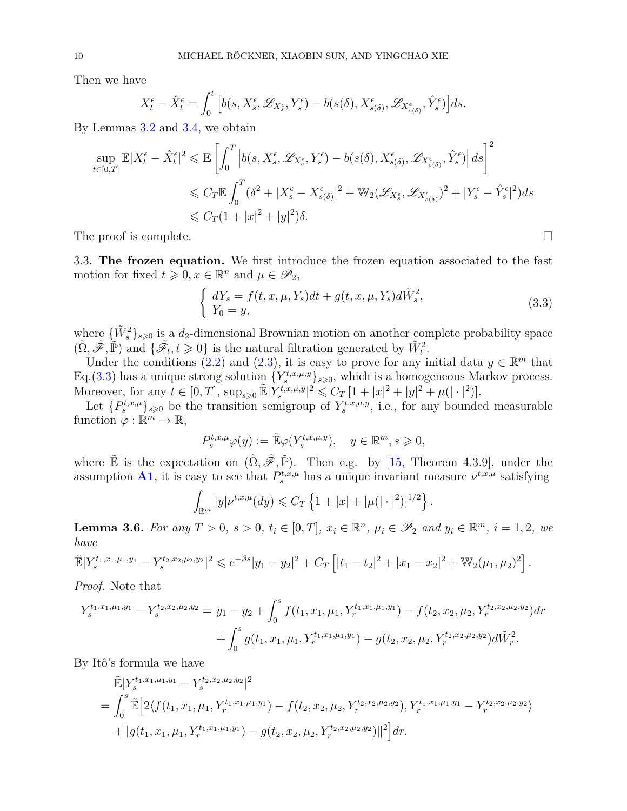Then we have

$$
X_t^\epsilon-\hat{X}_t^\epsilon=\int_0^t\Big[b(s,X_s^\epsilon,\mathscr{L}_{X_s^\epsilon},Y_s^\epsilon)-b(s(\delta),X_{s(\delta)}^\epsilon,\mathscr{L}_{X_{s(\delta)}^\epsilon},\hat{Y}_s^\epsilon)\Big]ds.
$$

By Lemmas [3.2](#page-7-0) and [3.4,](#page-7-1) we obtain

$$
\sup_{t \in [0,T]} \mathbb{E}|X_t^{\epsilon} - \hat{X}_t^{\epsilon}|^2 \le \mathbb{E}\left[\int_0^T \left|b(s, X_s^{\epsilon}, \mathcal{L}_{X_s^{\epsilon}}, Y_s^{\epsilon}) - b(s(\delta), X_{s(\delta)}^{\epsilon}, \mathcal{L}_{X_{s(\delta)}^{\epsilon}}, \hat{Y}_s^{\epsilon})\right| ds\right]^2
$$
  

$$
\le C_T \mathbb{E}\int_0^T (\delta^2 + |X_s^{\epsilon} - X_{s(\delta)}^{\epsilon}|^2 + \mathbb{W}_2(\mathcal{L}_{X_s^{\epsilon}}, \mathcal{L}_{X_{s(\delta)}})^2 + |Y_s^{\epsilon} - \hat{Y}_s^{\epsilon}|^2) ds
$$
  

$$
\le C_T (1 + |x|^2 + |y|^2)\delta.
$$

The proof is complete.

3.3. **The frozen equation.** We first introduce the frozen equation associated to the fast motion for fixed  $t \geq 0, x \in \mathbb{R}^n$  and  $\mu \in \mathscr{P}_2$ ,

$$
\begin{cases}\ndY_s = f(t, x, \mu, Y_s)dt + g(t, x, \mu, Y_s)d\tilde{W}_s^2, \\
Y_0 = y,\n\end{cases} \n(3.3)
$$

where  $\{\tilde{W}_s^2\}_{s\geqslant0}$  is a  $d_2$ -dimensional Brownian motion on another complete probability space  $(\tilde{\Omega}, \tilde{\mathscr{F}}, \tilde{\mathbb{P}})$  and  $\{\tilde{\mathscr{F}}_t, t \geq 0\}$  is the natural filtration generated by  $\tilde{W}_t^2$ .

Under the conditions [\(2.2\)](#page-3-5) and [\(2.3\)](#page-3-6), it is easy to prove for any initial data  $y \in \mathbb{R}^m$  that Eq.(3.[3\)](#page-7-2) has a unique strong solution  ${Y_s^{t,x,\mu,y}}_{s\geqslant0}$ , which is a homogeneous Markov process. Moreover, for any  $t \in [0, T]$ ,  $\sup_{s \geq 0} \mathbb{E} |Y_s^{t, x, \mu, y}|^2 \leq C_T [1 + |x|^2 + |y|^2 + \mu(|\cdot|^2)].$ 

Let  $\{P_s^{t,x,\mu}\}_{s\geqslant0}$  be the transition semigroup of  $Y_s^{t,x,\mu,y}$ , i.e., for any bounded measurable function  $\varphi : \mathbb{R}^m \to \mathbb{R}$ ,

$$
P_s^{t,x,\mu} \varphi(y) := \tilde{\mathbb{E}} \varphi(Y_s^{t,x,\mu,y}), \quad y \in \mathbb{R}^m, s \geqslant 0,
$$

where  $\tilde{\mathbb{E}}$  is the expectation on  $(\tilde{\Omega}, \tilde{\mathscr{F}}, \tilde{\mathbb{P}})$ . Then e.g. by [\[15,](#page-30-13) Theorem 4.3.9], under the assumption **[A1](#page-3-7)**, it is easy to see that  $P_s^{t,x,\mu}$  has a unique invariant measure  $\nu^{t,x,\mu}$  satisfying

$$
\int_{\mathbb{R}^m} |y| \nu^{t,x,\mu}(dy) \leqslant C_T \left\{ 1 + |x| + [\mu(|\cdot|^2)]^{1/2} \right\}.
$$

<span id="page-9-0"></span>**Lemma 3.6.** For any  $T > 0$ ,  $s > 0$ ,  $t_i \in [0, T]$ ,  $x_i \in \mathbb{R}^n$ ,  $\mu_i \in \mathscr{P}_2$  and  $y_i \in \mathbb{R}^m$ ,  $i = 1, 2$ , we *have*

$$
\widetilde{\mathbb{E}}|Y_s^{t_1,x_1,\mu_1,y_1}-Y_s^{t_2,x_2,\mu_2,y_2}|^2 \leqslant e^{-\beta s}|y_1-y_2|^2+C_T\left[|t_1-t_2|^2+|x_1-x_2|^2+\mathbb{W}_2(\mu_1,\mu_2)^2\right].
$$

*Proof.* Note that

$$
Y_s^{t_1,x_1,\mu_1,y_1} - Y_s^{t_2,x_2,\mu_2,y_2} = y_1 - y_2 + \int_0^s f(t_1,x_1,\mu_1,Y_r^{t_1,x_1,\mu_1,y_1}) - f(t_2,x_2,\mu_2,Y_r^{t_2,x_2,\mu_2,y_2})dr + \int_0^s g(t_1,x_1,\mu_1,Y_r^{t_1,x_1,\mu_1,y_1}) - g(t_2,x_2,\mu_2,Y_r^{t_2,x_2,\mu_2,y_2})d\tilde{W}_r^2.
$$

By Itô's formula we have

$$
\tilde{\mathbb{E}}|Y_s^{t_1,x_1,\mu_1,y_1} - Y_s^{t_2,x_2,\mu_2,y_2}|^2
$$
\n
$$
= \int_0^s \tilde{\mathbb{E}}\Big[2\langle f(t_1,x_1,\mu_1,Y_r^{t_1,x_1,\mu_1,y_1}) - f(t_2,x_2,\mu_2,Y_r^{t_2,x_2,\mu_2,y_2}), Y_r^{t_1,x_1,\mu_1,y_1} - Y_r^{t_2,x_2,\mu_2,y_2}\rangle
$$
\n
$$
+ \|g(t_1,x_1,\mu_1,Y_r^{t_1,x_1,\mu_1,y_1}) - g(t_2,x_2,\mu_2,Y_r^{t_2,x_2,\mu_2,y_2})\|^2\Big] dr.
$$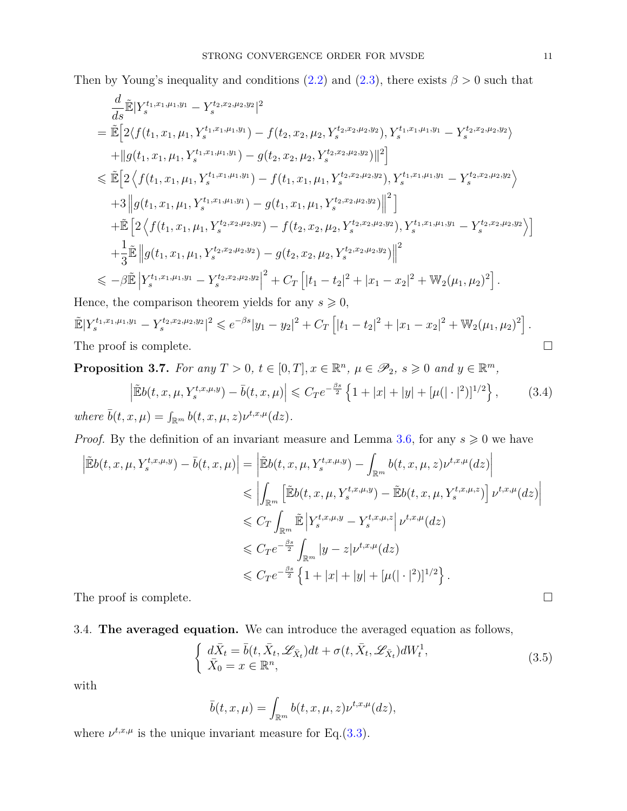Then by Young's inequality and conditions  $(2.2)$  and  $(2.3)$ , there exists  $\beta > 0$  such that

$$
\frac{d}{ds}\mathbb{E}|Y_{s}^{t_{1},x_{1},\mu_{1},y_{1}} - Y_{s}^{t_{2},x_{2},\mu_{2},y_{2}}|^{2}
$$
\n
$$
= \mathbb{E}\Big[2\langle f(t_{1},x_{1},\mu_{1},Y_{s}^{t_{1},x_{1},\mu_{1},y_{1}}) - f(t_{2},x_{2},\mu_{2},Y_{s}^{t_{2},x_{2},\mu_{2},y_{2}}), Y_{s}^{t_{1},x_{1},\mu_{1},y_{1}} - Y_{s}^{t_{2},x_{2},\mu_{2},y_{2}}\rangle
$$
\n
$$
+ ||g(t_{1},x_{1},\mu_{1},Y_{s}^{t_{1},x_{1},\mu_{1},y_{1}}) - g(t_{2},x_{2},\mu_{2},Y_{s}^{t_{2},x_{2},\mu_{2},y_{2}})||^{2}\Big]
$$
\n
$$
\leq \mathbb{E}\Big[2\langle f(t_{1},x_{1},\mu_{1},Y_{s}^{t_{1},x_{1},\mu_{1},y_{1}}) - f(t_{1},x_{1},\mu_{1},Y_{s}^{t_{2},x_{2},\mu_{2},y_{2}}), Y_{s}^{t_{1},x_{1},\mu_{1},y_{1}} - Y_{s}^{t_{2},x_{2},\mu_{2},y_{2}}\rangle
$$
\n
$$
+ 3||g(t_{1},x_{1},\mu_{1},Y_{s}^{t_{1},x_{1},\mu_{1},y_{1}}) - g(t_{1},x_{1},\mu_{1},Y_{s}^{t_{2},x_{2},\mu_{2},y_{2}})||^{2}\Big]
$$
\n
$$
+ \mathbb{E}\Big[2\langle f(t_{1},x_{1},\mu_{1},Y_{s}^{t_{2},x_{2},\mu_{2},y_{2}}) - f(t_{2},x_{2},\mu_{2},Y_{s}^{t_{2},x_{2},\mu_{2},y_{2}}), Y_{s}^{t_{1},x_{1},\mu_{1},y_{1}} - Y_{s}^{t_{2},x_{2},\mu_{2},y_{2}}\rangle\Big]
$$
\n
$$
+ \frac{1}{3}\mathbb{E}\left||g(t_{1},x_{1},\mu_{1},Y_{s}^{t_{2},x_{2},\mu_{2},y_{2}}) - g(t_{2},x_{2},\mu_{2},Y_{s}
$$

Hence, the comparison theorem yields for any  $s \geq 0$ ,  $\mathbb{E}|Y_s^{t_1,x_1,\mu_1,y_1}-Y_s^{t_2,x_2,\mu_2,y_2}|^2 \leqslant e^{-\beta s}|y_1-y_2|^2+C_T\left[|t_1-t_2|^2+|x_1-x_2|^2+\mathbb{W}_2(\mu_1,\mu_2)^2\right].$ The proof is complete.

<span id="page-10-1"></span>**Proposition 3.7.** For any 
$$
T > 0
$$
,  $t \in [0, T]$ ,  $x \in \mathbb{R}^n$ ,  $\mu \in \mathcal{P}_2$ ,  $s \geqslant 0$  and  $y \in \mathbb{R}^m$ ,  $\left| \tilde{\mathbb{E}}b(t, x, \mu, Y_s^{t, x, \mu, y}) - \bar{b}(t, x, \mu) \right| \leqslant C_T e^{-\frac{\beta s}{2}} \left\{ 1 + |x| + |y| + [\mu(|\cdot|^2)]^{1/2} \right\},$  (3.4) where  $\bar{b}(t, x, \mu) = \int_{\mathbb{R}^m} b(t, x, \mu, z) \nu^{t, x, \mu}(dz)$ .

*Proof.* By the definition of an invariant measure and Lemma [3.6,](#page-9-0) for any  $s \geq 0$  we have

$$
\left| \tilde{\mathbb{E}}b(t, x, \mu, Y_s^{t, x, \mu, y}) - \bar{b}(t, x, \mu) \right| = \left| \tilde{\mathbb{E}}b(t, x, \mu, Y_s^{t, x, \mu, y}) - \int_{\mathbb{R}^m} b(t, x, \mu, z) \nu^{t, x, \mu}(dz) \right|
$$
  
\n
$$
\leq \left| \int_{\mathbb{R}^m} \left[ \tilde{\mathbb{E}}b(t, x, \mu, Y_s^{t, x, \mu, y}) - \tilde{\mathbb{E}}b(t, x, \mu, Y_s^{t, x, \mu, z}) \right] \nu^{t, x, \mu}(dz) \right|
$$
  
\n
$$
\leq C_T \int_{\mathbb{R}^m} \tilde{\mathbb{E}} \left| Y_s^{t, x, \mu, y} - Y_s^{t, x, \mu, z} \right| \nu^{t, x, \mu}(dz)
$$
  
\n
$$
\leq C_T e^{-\frac{\beta s}{2}} \int_{\mathbb{R}^m} |y - z| \nu^{t, x, \mu}(dz)
$$
  
\n
$$
\leq C_T e^{-\frac{\beta s}{2}} \left\{ 1 + |x| + |y| + [\mu(|\cdot|^2)]^{1/2} \right\}.
$$
  
\nThe proof is complete.

3.4. **The averaged equation.** We can introduce the averaged equation as follows,

<span id="page-10-0"></span>
$$
\begin{cases}\n d\bar{X}_t = \bar{b}(t, \bar{X}_t, \mathscr{L}_{\bar{X}_t})dt + \sigma(t, \bar{X}_t, \mathscr{L}_{\bar{X}_t})dW_t^1, \\
 \bar{X}_0 = x \in \mathbb{R}^n,\n\end{cases} \tag{3.5}
$$

with

$$
\bar{b}(t,x,\mu) = \int_{\mathbb{R}^m} b(t,x,\mu,z) \nu^{t,x,\mu}(dz),
$$

where  $\nu^{t,x,\mu}$  is the unique invariant measure for Eq.[\(3.3\)](#page-7-2).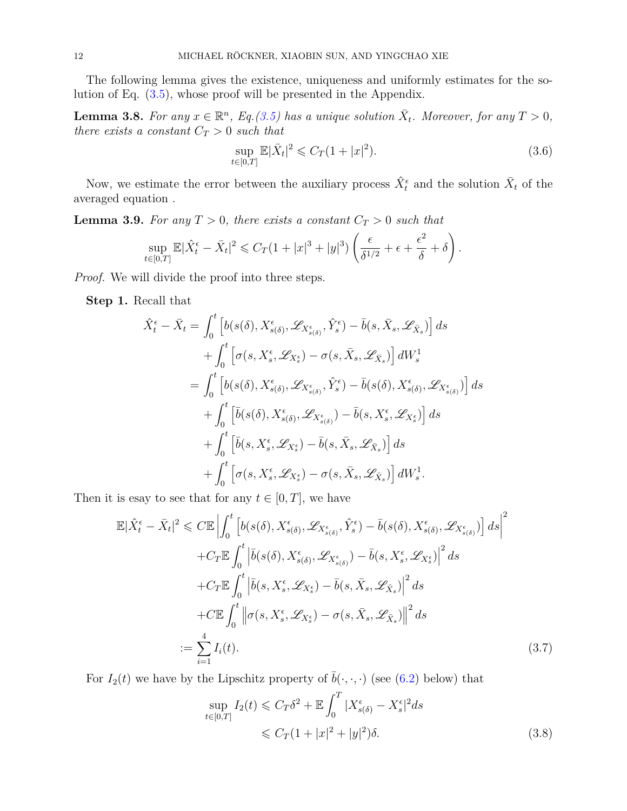The following lemma gives the existence, uniqueness and uniformly estimates for the solution of Eq. [\(3.5\)](#page-10-0), whose proof will be presented in the Appendix.

<span id="page-11-2"></span>**Lemma 3.8.** For any  $x \in \mathbb{R}^n$ , Eq.[\(3.5\)](#page-10-0) has a unique solution  $\bar{X}_t$ . Moreover, for any  $T > 0$ , *there exists a constant*  $C_T > 0$  *such that* 

<span id="page-11-3"></span>
$$
\sup_{t \in [0,T]} \mathbb{E} |\bar{X}_t|^2 \leqslant C_T (1+|x|^2). \tag{3.6}
$$

Now, we estimate the error between the auxiliary process  $\hat{X}_t^{\epsilon}$  and the solution  $\bar{X}_t$  of the averaged equation .

<span id="page-11-1"></span>**Lemma 3.9.** For any  $T > 0$ , there exists a constant  $C_T > 0$  such that

$$
\sup_{t\in[0,T]}\mathbb{E}|\hat{X}_t^{\epsilon}-\bar{X}_t|^2\leqslant C_T(1+|x|^3+|y|^3)\left(\frac{\epsilon}{\delta^{1/2}}+\epsilon+\frac{\epsilon^2}{\delta}+\delta\right).
$$

*Proof.* We will divide the proof into three steps.

**Step 1.** Recall that

$$
\hat{X}_{t}^{\epsilon} - \bar{X}_{t} = \int_{0}^{t} \left[ b(s(\delta), X_{s(\delta)}^{\epsilon}, \mathscr{L}_{X_{s(\delta)}^{\epsilon}}, \hat{Y}_{s}^{\epsilon}) - \bar{b}(s, \bar{X}_{s}, \mathscr{L}_{\bar{X}_{s}}) \right] ds \n+ \int_{0}^{t} \left[ \sigma(s, X_{s}^{\epsilon}, \mathscr{L}_{X_{s}^{\epsilon}}) - \sigma(s, \bar{X}_{s}, \mathscr{L}_{\bar{X}_{s}}) \right] dW_{s}^{1} \n= \int_{0}^{t} \left[ b(s(\delta), X_{s(\delta)}^{\epsilon}, \mathscr{L}_{X_{s(\delta)}^{\epsilon}}, \hat{Y}_{s}^{\epsilon}) - \bar{b}(s(\delta), X_{s(\delta)}^{\epsilon}, \mathscr{L}_{X_{s(\delta)}^{\epsilon}}) \right] ds \n+ \int_{0}^{t} \left[ \bar{b}(s(\delta), X_{s(\delta)}^{\epsilon}, \mathscr{L}_{X_{s(\delta)}^{\epsilon}}) - \bar{b}(s, X_{s}^{\epsilon}, \mathscr{L}_{X_{s}}) \right] ds \n+ \int_{0}^{t} \left[ \bar{b}(s, X_{s}^{\epsilon}, \mathscr{L}_{X_{s}^{\epsilon}}) - \bar{b}(s, \bar{X}_{s}, \mathscr{L}_{\bar{X}_{s}}) \right] ds \n+ \int_{0}^{t} \left[ \sigma(s, X_{s}^{\epsilon}, \mathscr{L}_{X_{s}^{\epsilon}}) - \sigma(s, \bar{X}_{s}, \mathscr{L}_{\bar{X}_{s}}) \right] dW_{s}^{1}.
$$

Then it is esay to see that for any  $t \in [0, T]$ , we have

<span id="page-11-0"></span>
$$
\mathbb{E}|\hat{X}_{t}^{\epsilon} - \bar{X}_{t}|^{2} \leq C\mathbb{E}\left|\int_{0}^{t}\left[b(s(\delta), X_{s(\delta)}^{\epsilon}, \mathcal{L}_{X_{s(\delta)}^{\epsilon}}, \hat{Y}_{s}^{\epsilon}) - \bar{b}(s(\delta), X_{s(\delta)}^{\epsilon}, \mathcal{L}_{X_{s(\delta)}^{\epsilon}})\right]ds\right|^{2} + C_{T}\mathbb{E}\int_{0}^{t}\left|\bar{b}(s(\delta), X_{s(\delta)}^{\epsilon}, \mathcal{L}_{X_{s(\delta)}^{\epsilon}}) - \bar{b}(s, X_{s}^{\epsilon}, \mathcal{L}_{X_{s}^{\epsilon}})\right|^{2}ds + C_{T}\mathbb{E}\int_{0}^{t}\left|\bar{b}(s, X_{s}^{\epsilon}, \mathcal{L}_{X_{s}^{\epsilon}}) - \bar{b}(s, \bar{X}_{s}, \mathcal{L}_{\bar{X}_{s}})\right|^{2}ds + C\mathbb{E}\int_{0}^{t}\left\|\sigma(s, X_{s}^{\epsilon}, \mathcal{L}_{X_{s}^{\epsilon}}) - \sigma(s, \bar{X}_{s}, \mathcal{L}_{\bar{X}_{s}})\right\|^{2}ds
$$
  
:= 
$$
\sum_{i=1}^{4} I_{i}(t).
$$
 (3.7)

For  $I_2(t)$  we have by the Lipschitz property of  $\bar{b}(\cdot, \cdot, \cdot)$  (see [\(6.2\)](#page-27-0) below) that

$$
\sup_{t \in [0,T]} I_2(t) \leqslant C_T \delta^2 + \mathbb{E} \int_0^T |X_{s(\delta)}^{\epsilon} - X_s^{\epsilon}|^2 ds
$$
  

$$
\leqslant C_T (1 + |x|^2 + |y|^2) \delta.
$$
 (3.8)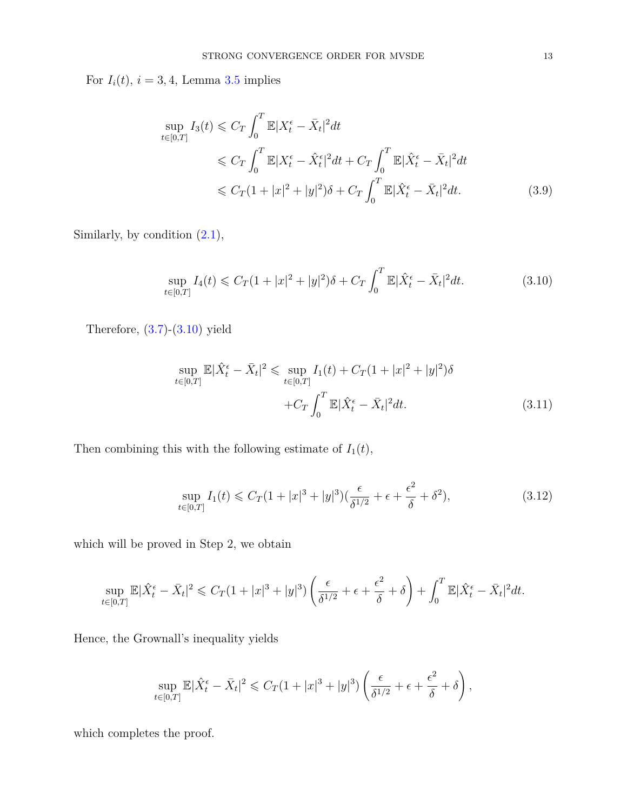For  $I_i(t)$ ,  $i = 3, 4$ , Lemma [3.5](#page-8-0) implies

$$
\sup_{t \in [0,T]} I_3(t) \leq C_T \int_0^T \mathbb{E} |X_t^{\epsilon} - \bar{X}_t|^2 dt
$$
  
\n
$$
\leq C_T \int_0^T \mathbb{E} |X_t^{\epsilon} - \hat{X}_t^{\epsilon}|^2 dt + C_T \int_0^T \mathbb{E} |\hat{X}_t^{\epsilon} - \bar{X}_t|^2 dt
$$
  
\n
$$
\leq C_T (1 + |x|^2 + |y|^2) \delta + C_T \int_0^T \mathbb{E} |\hat{X}_t^{\epsilon} - \bar{X}_t|^2 dt.
$$
 (3.9)

Similarly, by condition [\(2.1\)](#page-3-4),

<span id="page-12-0"></span>
$$
\sup_{t \in [0,T]} I_4(t) \leq C_T (1+|x|^2+|y|^2) \delta + C_T \int_0^T \mathbb{E} |\hat{X}_t^{\epsilon} - \bar{X}_t|^2 dt.
$$
 (3.10)

Therefore, [\(3.7\)](#page-11-0)-[\(3.10\)](#page-12-0) yield

$$
\sup_{t \in [0,T]} \mathbb{E} |\hat{X}_t^{\epsilon} - \bar{X}_t|^2 \leq \sup_{t \in [0,T]} I_1(t) + C_T (1+|x|^2+|y|^2) \delta
$$
  
+ 
$$
C_T \int_0^T \mathbb{E} |\hat{X}_t^{\epsilon} - \bar{X}_t|^2 dt.
$$
 (3.11)

Then combining this with the following estimate of  $I_1(t)$ ,

<span id="page-12-1"></span>
$$
\sup_{t \in [0,T]} I_1(t) \leq C_T (1+|x|^3+|y|^3) \left(\frac{\epsilon}{\delta^{1/2}} + \epsilon + \frac{\epsilon^2}{\delta} + \delta^2\right),\tag{3.12}
$$

which will be proved in Step 2, we obtain

$$
\sup_{t\in[0,T]}\mathbb{E}|\hat{X}_t^{\epsilon}-\bar{X}_t|^2\leqslant C_T(1+|x|^3+|y|^3)\left(\frac{\epsilon}{\delta^{1/2}}+\epsilon+\frac{\epsilon^2}{\delta}+\delta\right)+\int_0^T\mathbb{E}|\hat{X}_t^{\epsilon}-\bar{X}_t|^2dt.
$$

Hence, the Grownall's inequality yields

$$
\sup_{t\in[0,T]}\mathbb{E}|\hat{X}_t^{\epsilon}-\bar{X}_t|^2\leqslant C_T(1+|x|^3+|y|^3)\left(\frac{\epsilon}{\delta^{1/2}}+\epsilon+\frac{\epsilon^2}{\delta}+\delta\right),
$$

which completes the proof.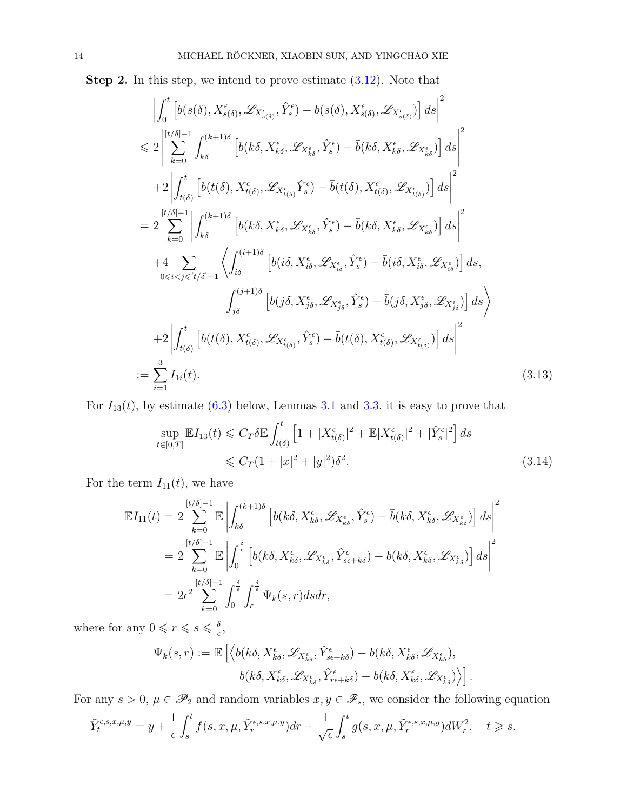**Step 2.** In this step, we intend to prove estimate  $(3.12)$ . Note that

<span id="page-13-0"></span>
$$
\left| \int_{0}^{t} \left[ b(s(\delta), X_{s(\delta)}^{\epsilon}, \mathcal{L}_{X_{s(\delta)}^{\epsilon}}, \hat{Y}_{s}^{\epsilon}) - \bar{b}(s(\delta), X_{s(\delta)}^{\epsilon}, \mathcal{L}_{X_{s(\delta)}^{\epsilon}}) \right] ds \right|^{2}
$$
\n
$$
\leq 2 \left| \sum_{k=0}^{\lfloor t/\delta \rfloor - 1} \int_{k\delta}^{(k+1)\delta} \left[ b(k\delta, X_{k\delta}^{\epsilon}, \mathcal{L}_{X_{k\delta}^{\epsilon}}, \hat{Y}_{s}^{\epsilon}) - \bar{b}(k\delta, X_{k\delta}^{\epsilon}, \mathcal{L}_{X_{k\delta}}) \right] ds \right|^{2}
$$
\n
$$
+ 2 \left| \int_{t(\delta)}^{t} \left[ b(t(\delta), X_{t(\delta)}^{\epsilon}, \mathcal{L}_{X_{t(\delta)}^{\epsilon}}, \hat{Y}_{s}^{\epsilon}) - \bar{b}(t(\delta), X_{t(\delta)}^{\epsilon}, \mathcal{L}_{X_{t(\delta)}}) \right] ds \right|^{2}
$$
\n
$$
= 2 \sum_{k=0}^{\lfloor t/\delta \rfloor - 1} \left| \int_{k\delta}^{(k+1)\delta} \left[ b(k\delta, X_{k\delta}^{\epsilon}, \mathcal{L}_{X_{k\delta}^{\epsilon}}, \hat{Y}_{s}^{\epsilon}) - \bar{b}(k\delta, X_{k\delta}^{\epsilon}, \mathcal{L}_{X_{k\delta}}) \right] ds \right|^{2}
$$
\n
$$
+ 4 \sum_{0 \leq i < j \leq \lfloor t/\delta \rfloor - 1} \left\langle \int_{i\delta}^{(i+1)\delta} \left[ b(i\delta, X_{i\delta}^{\epsilon}, \mathcal{L}_{X_{i\delta}^{\epsilon}}, \hat{Y}_{s}^{\epsilon}) - \bar{b}(i\delta, X_{i\delta}^{\epsilon}, \mathcal{L}_{X_{i\delta}}) \right] ds \right|
$$
\n
$$
+ 2 \left| \int_{j\delta}^{t} \left[ b(j\delta, X_{j\delta}^{\epsilon}, \mathcal{L}_{X_{j\delta}^{\epsilon}}, \hat{Y}_{s}^{\epsilon}) - \bar{b}(j\delta, X_{i\delta}^{\epsilon}, \mathcal{L}_{X_{j\delta}}) \right] ds \right|^{2}
$$
\n

For  $I_{13}(t)$ , by estimate [\(6.3\)](#page-28-0) below, Lemmas [3.1](#page-5-3) and [3.3,](#page-7-3) it is easy to prove that

<span id="page-13-1"></span>
$$
\sup_{t \in [0,T]} \mathbb{E} I_{13}(t) \leq C_T \delta \mathbb{E} \int_{t(\delta)}^t \left[ 1 + |X_{t(\delta)}^{\epsilon}|^2 + \mathbb{E} |X_{t(\delta)}^{\epsilon}|^2 + |\hat{Y}_s^{\epsilon}|^2 \right] ds
$$
  
 
$$
\leq C_T (1 + |x|^2 + |y|^2) \delta^2.
$$
 (3.14)

For the term  $I_{11}(t)$ , we have

$$
\mathbb{E}I_{11}(t) = 2 \sum_{k=0}^{[t/\delta]-1} \mathbb{E} \left| \int_{k\delta}^{(k+1)\delta} \left[ b(k\delta, X_{k\delta}^{\epsilon}, \mathscr{L}_{X_{k\delta}^{\epsilon}}, \hat{Y}_{s}^{\epsilon}) - \bar{b}(k\delta, X_{k\delta}^{\epsilon}, \mathscr{L}_{X_{k\delta}^{\epsilon}}) \right] ds \right|^{2}
$$
  
\n
$$
= 2 \sum_{k=0}^{[t/\delta]-1} \mathbb{E} \left| \int_{0}^{\frac{\delta}{\epsilon}} \left[ b(k\delta, X_{k\delta}^{\epsilon}, \mathscr{L}_{X_{k\delta}^{\epsilon}}, \hat{Y}_{s\epsilon+k\delta}^{\epsilon}) - \bar{b}(k\delta, X_{k\delta}^{\epsilon}, \mathscr{L}_{X_{k\delta}^{\epsilon}}) \right] ds \right|^{2}
$$
  
\n
$$
= 2\epsilon^{2} \sum_{k=0}^{[t/\delta]-1} \int_{0}^{\frac{\delta}{\epsilon}} \int_{r}^{\frac{\delta}{\epsilon}} \Psi_{k}(s, r) ds dr,
$$

where for any  $0 \leq r \leq s \leq \frac{\delta}{e}$  $\frac{\delta}{\epsilon}$ ,

$$
\Psi_k(s,r) := \mathbb{E}\left[ \left\langle b(k\delta, X_{k\delta}^{\epsilon}, \mathscr{L}_{X_{k\delta}^{\epsilon}}, \hat{Y}_{s\epsilon+k\delta}^{\epsilon}) - \bar{b}(k\delta, X_{k\delta}^{\epsilon}, \mathscr{L}_{X_{k\delta}^{\epsilon}}), b(k\delta, X_{k\delta}^{\epsilon}, \mathscr{L}_{X_{k\delta}^{\epsilon}}, \hat{Y}_{r\epsilon+k\delta}^{\epsilon}) - \bar{b}(k\delta, X_{k\delta}^{\epsilon}, \mathscr{L}_{X_{k\delta}^{\epsilon}})\right\rangle \right].
$$

For any  $s > 0$ ,  $\mu \in \mathscr{P}_2$  and random variables  $x, y \in \mathscr{F}_s$ , we consider the following equation

$$
\tilde{Y}_t^{\epsilon,s,x,\mu,y} = y + \frac{1}{\epsilon} \int_s^t f(s,x,\mu,\tilde{Y}_r^{\epsilon,s,x,\mu,y}) dr + \frac{1}{\sqrt{\epsilon}} \int_s^t g(s,x,\mu,\tilde{Y}_r^{\epsilon,s,x,\mu,y}) dW_r^2, \quad t \geq s.
$$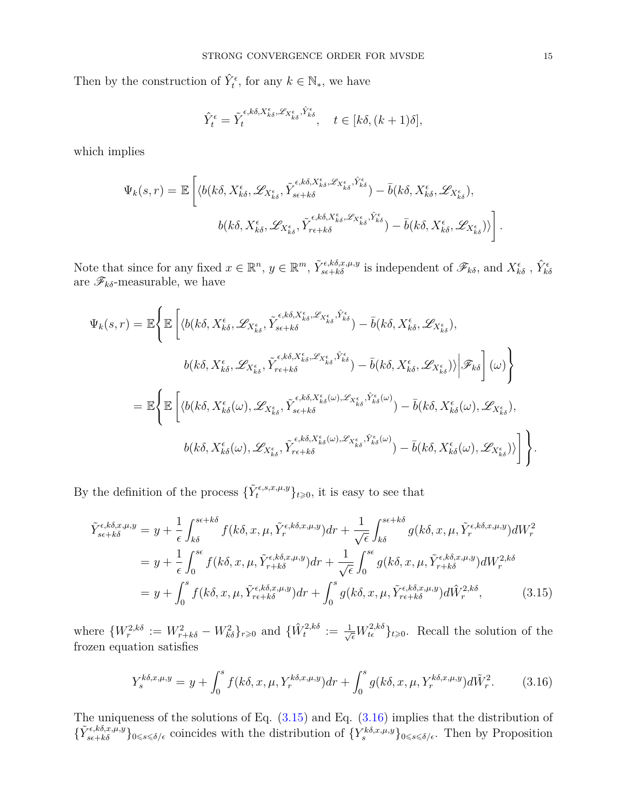Then by the construction of  $\hat{Y}_t^{\epsilon}$ , for any  $k \in \mathbb{N}_{*}$ , we have

$$
\hat{Y}_t^{\epsilon} = \tilde{Y}_t^{\epsilon, k\delta, X_{k\delta}^{\epsilon}, \mathscr{L}_{X_{k\delta}^{\epsilon}}, \hat{Y}_{k\delta}^{\epsilon}}, \quad t \in [k\delta, (k+1)\delta],
$$

which implies

$$
\Psi_k(s,r) = \mathbb{E}\left[\langle b(k\delta, X_{k\delta}^{\epsilon}, \mathscr{L}_{X_{k\delta}^{\epsilon}}, \tilde{Y}_{s\epsilon+k\delta}^{\epsilon,k\delta, X_{k\delta}^{\epsilon}, \mathscr{L}_{X_{k\delta}^{\epsilon}}, \hat{Y}_{k\delta}^{\epsilon}} \rangle - \bar{b}(k\delta, X_{k\delta}^{\epsilon}, \mathscr{L}_{X_{k\delta}^{\epsilon}}),
$$

$$
b(k\delta, X_{k\delta}^{\epsilon}, \mathscr{L}_{X_{k\delta}^{\epsilon}}, \tilde{Y}_{r\epsilon+k\delta}^{\epsilon,k\delta, X_{k\delta}^{\epsilon}, \mathscr{L}_{X_{k\delta}^{\epsilon}}, \hat{Y}_{k\delta}^{\epsilon}}) - \bar{b}(k\delta, X_{k\delta}^{\epsilon}, \mathscr{L}_{X_{k\delta}^{\epsilon}})\rangle\right].
$$

Note that since for any fixed  $x \in \mathbb{R}^n$ ,  $y \in \mathbb{R}^m$ ,  $\tilde{Y}_{s\epsilon+k\delta}^{\epsilon,k\delta,x,\mu,y}$  is independent of  $\mathscr{F}_{k\delta}$ , and  $X_{k\delta}^{\epsilon}$ ,  $\hat{Y}_{k\delta}^{\epsilon}$  are  $\mathscr{F}_{k\delta}$ -measurable, we have

$$
\Psi_{k}(s,r) = \mathbb{E}\Bigg\{\mathbb{E}\Bigg[\langle b(k\delta,X_{k\delta}^{\epsilon},\mathscr{L}_{X_{k\delta}^{\epsilon}},\tilde{Y}_{s\epsilon+k\delta}^{\epsilon,k\delta,X_{k\delta}^{\epsilon},\mathscr{L}_{X_{k\delta}^{\epsilon}},\hat{Y}_{k\delta}^{\epsilon}}\rangle-\bar{b}(k\delta,X_{k\delta}^{\epsilon},\mathscr{L}_{X_{k\delta}^{\epsilon}}),
$$
\n
$$
b(k\delta,X_{k\delta}^{\epsilon},\mathscr{L}_{X_{k\delta}^{\epsilon}},\tilde{Y}_{r\epsilon+k\delta}^{\epsilon,k\delta,X_{k\delta}^{\epsilon},\mathscr{L}_{X_{k\delta}^{\epsilon}},\hat{Y}_{k\delta}^{\epsilon}}\rangle-\bar{b}(k\delta,X_{k\delta}^{\epsilon},\mathscr{L}_{X_{k\delta}^{\epsilon}})\rangle\Bigg|\mathscr{F}_{k\delta}\Bigg]\left(\omega\right)\Bigg\}
$$
\n
$$
= \mathbb{E}\Bigg\{\mathbb{E}\Bigg[\langle b(k\delta,X_{k\delta}^{\epsilon}(\omega),\mathscr{L}_{X_{k\delta}^{\epsilon}},\tilde{Y}_{s\epsilon+k\delta}^{\epsilon,k\delta,X_{k\delta}^{\epsilon}(\omega),\mathscr{L}_{X_{k\delta}^{\epsilon}},\hat{Y}_{k\delta}^{\epsilon}(\omega)}\rangle-\bar{b}(k\delta,X_{k\delta}^{\epsilon}(\omega),\mathscr{L}_{X_{k\delta}^{\epsilon}}),
$$
\n
$$
b(k\delta,X_{k\delta}^{\epsilon}(\omega),\mathscr{L}_{X_{k\delta}^{\epsilon}},\tilde{Y}_{r\epsilon+k\delta}^{\epsilon,k\delta,X_{k\delta}^{\epsilon}(\omega),\mathscr{L}_{X_{k\delta}^{\epsilon}},\hat{Y}_{k\delta}^{\epsilon}(\omega)}\rangle-\bar{b}(k\delta,X_{k\delta}^{\epsilon}(\omega),\mathscr{L}_{X_{k\delta}^{\epsilon}})\rangle\Bigg]\Bigg\}.
$$

By the definition of the process  $\{\tilde{Y}_t^{\epsilon,s,x,\mu,y}\}_{t\geqslant0}$ , it is easy to see that

<span id="page-14-0"></span>
$$
\tilde{Y}_{s\epsilon+k\delta}^{\epsilon,k\delta,x,\mu,y} = y + \frac{1}{\epsilon} \int_{k\delta}^{s\epsilon+k\delta} f(k\delta,x,\mu,\tilde{Y}_r^{\epsilon,k\delta,x,\mu,y}) dr + \frac{1}{\sqrt{\epsilon}} \int_{k\delta}^{s\epsilon+k\delta} g(k\delta,x,\mu,\tilde{Y}_r^{\epsilon,k\delta,x,\mu,y}) dW_r^2
$$
\n
$$
= y + \frac{1}{\epsilon} \int_0^{s\epsilon} f(k\delta,x,\mu,\tilde{Y}_{r+k\delta}^{\epsilon,k\delta,x,\mu,y}) dr + \frac{1}{\sqrt{\epsilon}} \int_0^{s\epsilon} g(k\delta,x,\mu,\tilde{Y}_{r+k\delta}^{\epsilon,k\delta,x,\mu,y}) dW_r^{2,k\delta}
$$
\n
$$
= y + \int_0^s f(k\delta,x,\mu,\tilde{Y}_{r\epsilon+k\delta}^{\epsilon,k\delta,x,\mu,y}) dr + \int_0^s g(k\delta,x,\mu,\tilde{Y}_{r\epsilon+k\delta}^{\epsilon,k\delta,x,\mu,y}) d\tilde{W}_r^{2,k\delta}, \tag{3.15}
$$

where  $\{W_r^{2,k\delta} := W_{r+k\delta}^2 - W_{k\delta}^2\}_{r\geqslant0}$  and  $\{\hat{W}_t^{2,k\delta} := \frac{1}{\sqrt{\epsilon}}W_{t\epsilon}^{2,k\delta}\}_{t\geqslant0}$ . Recall the solution of the frozen equation satisfies

<span id="page-14-1"></span>
$$
Y_s^{k\delta,x,\mu,y} = y + \int_0^s f(k\delta,x,\mu,Y_r^{k\delta,x,\mu,y})dr + \int_0^s g(k\delta,x,\mu,Y_r^{k\delta,x,\mu,y})d\tilde{W}_r^2.
$$
 (3.16)

The uniqueness of the solutions of Eq.  $(3.15)$  and Eq.  $(3.16)$  implies that the distribution of  ${\{\widetilde{Y}_{s\epsilon+k\delta}^{\epsilon,k\delta,x,\mu,y}\}}_{0\leq s\leq \delta/\epsilon}$  coincides with the distribution of  ${\{Y_{s}^{k\delta,x,\mu,y}\}}_{0\leq s\leq \delta/\epsilon}$ . Then by Proposition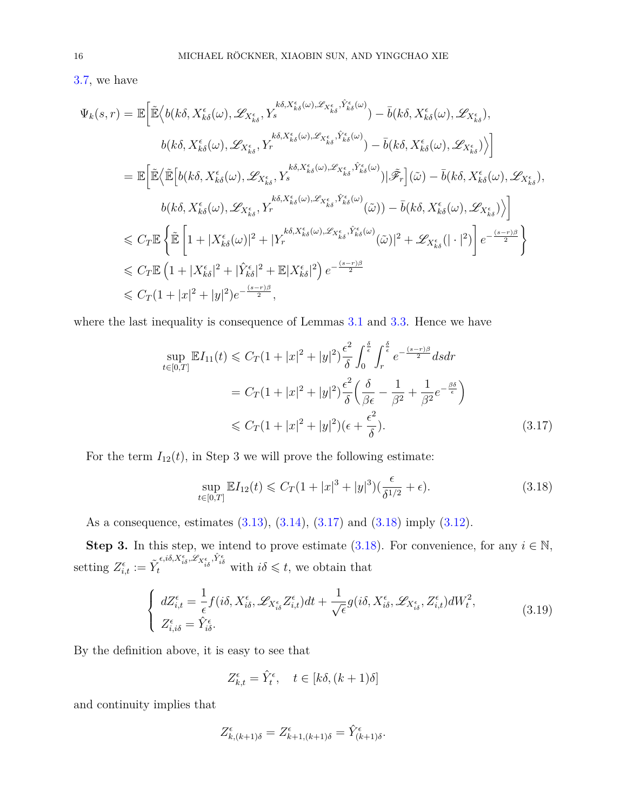[3.7,](#page-10-1) we have

$$
\Psi_{k}(s,r) = \mathbb{E}\Big[\tilde{\mathbb{E}}\Big\langle b(k\delta,\bar{X}_{k\delta}^{\epsilon}(\omega),\mathscr{L}_{\bar{X}_{k\delta}^{\epsilon}},\bar{Y}_{s}^{k\delta,\bar{X}_{k\delta}^{\epsilon}(\omega),\mathscr{L}_{\bar{X}_{k\delta}^{\epsilon}};\hat{Y}_{k\delta}^{\epsilon}(\omega)}\Big) - \bar{b}(k\delta,\bar{X}_{k\delta}^{\epsilon}(\omega),\mathscr{L}_{\bar{X}_{k\delta}^{\epsilon}}),
$$
\n
$$
b(k\delta,\bar{X}_{k\delta}^{\epsilon}(\omega),\mathscr{L}_{\bar{X}_{k\delta}^{\epsilon}},\bar{Y}_{r}^{k\delta,\bar{X}_{k\delta}^{\epsilon}(\omega),\mathscr{L}_{\bar{X}_{k\delta}^{\epsilon}};\hat{Y}_{k\delta}^{\epsilon}(\omega)}\Big) - \bar{b}(k\delta,\bar{X}_{k\delta}^{\epsilon}(\omega),\mathscr{L}_{\bar{X}_{k\delta}^{\epsilon}})\Big\rangle\Big]
$$
\n
$$
= \mathbb{E}\Big[\tilde{\mathbb{E}}\Big\langle\tilde{\mathbb{E}}\Big[b(k\delta,\bar{X}_{k\delta}^{\epsilon}(\omega),\mathscr{L}_{\bar{X}_{k\delta}^{\epsilon}},\bar{Y}_{s}^{k\delta,\bar{X}_{k\delta}^{\epsilon}(\omega),\mathscr{L}_{\bar{X}_{k\delta}^{\epsilon}};\hat{Y}_{k\delta}^{\epsilon}(\omega)}\Big)\Big|\tilde{\mathscr{F}}_{r}\Big](\tilde{\omega}) - \bar{b}(k\delta,\bar{X}_{k\delta}^{\epsilon}(\omega),\mathscr{L}_{\bar{X}_{k\delta}^{\epsilon}}),
$$
\n
$$
b(k\delta,\bar{X}_{k\delta}^{\epsilon}(\omega),\mathscr{L}_{\bar{X}_{k\delta}^{\epsilon}},\bar{Y}_{r}^{k\delta,\bar{X}_{k\delta}^{\epsilon}(\omega),\mathscr{L}_{\bar{X}_{k\delta}^{\epsilon}};\hat{Y}_{k\delta}^{\epsilon}(\omega)}\Big(\tilde{\omega})\Big) - \bar{b}(k\delta,\bar{X}_{k\delta}^{\epsilon}(\omega),\mathscr{L}_{\bar{X}_{k\delta}^{\epsilon}})\Big\rangle\Big]
$$
\n
$$
\leq C_{T}\mathbb{E}\Big\{\tilde{\mathbb{E}}\Big
$$

where the last inequality is consequence of Lemmas [3.1](#page-5-3) and [3.3.](#page-7-3) Hence we have

<span id="page-15-0"></span>
$$
\sup_{t \in [0,T]} \mathbb{E} I_{11}(t) \leq C_T (1+|x|^2+|y|^2) \frac{\epsilon^2}{\delta} \int_0^{\frac{\delta}{\epsilon}} \int_r^{\frac{\delta}{\epsilon}} e^{-\frac{(s-r)\beta}{2}} ds dr
$$
  

$$
= C_T (1+|x|^2+|y|^2) \frac{\epsilon^2}{\delta} \left(\frac{\delta}{\beta \epsilon} - \frac{1}{\beta^2} + \frac{1}{\beta^2} e^{-\frac{\beta \delta}{\epsilon}}\right)
$$
  

$$
\leq C_T (1+|x|^2+|y|^2)(\epsilon + \frac{\epsilon^2}{\delta}).
$$
 (3.17)

For the term  $I_{12}(t)$ , in Step 3 we will prove the following estimate:

<span id="page-15-1"></span>
$$
\sup_{t \in [0,T]} \mathbb{E} I_{12}(t) \leq C_T (1+|x|^3+|y|^3) \left(\frac{\epsilon}{\delta^{1/2}} + \epsilon\right).
$$
\n(3.18)

As a consequence, estimates [\(3.13\)](#page-13-0), [\(3.14\)](#page-13-1), [\(3.17\)](#page-15-0) and [\(3.18\)](#page-15-1) imply [\(3.12\)](#page-12-1).

**Step 3.** In this step, we intend to prove estimate [\(3.18\)](#page-15-1). For convenience, for any  $i \in \mathbb{N}$ , setting  $Z_{i,t}^{\epsilon} := \tilde{Y}_t^{\epsilon, i\delta, X_{i\delta}^{\epsilon}, \mathscr{L}_{X_{i\delta}^{\epsilon}, \hat{Y}_{i\delta}^{\epsilon}}$  with  $i\delta \leq t$ , we obtain that

$$
\begin{cases}\ndZ_{i,t}^{\epsilon} = \frac{1}{\epsilon} f(i\delta, X_{i\delta}^{\epsilon}, \mathscr{L}_{X_{i\delta}^{\epsilon}} Z_{i,t}^{\epsilon}) dt + \frac{1}{\sqrt{\epsilon}} g(i\delta, X_{i\delta}^{\epsilon}, \mathscr{L}_{X_{i\delta}^{\epsilon}}, Z_{i,t}^{\epsilon}) dW_{t}^{2},\\ Z_{i,i\delta}^{\epsilon} = \hat{Y}_{i\delta}^{\epsilon}.\n\end{cases} (3.19)
$$

By the definition above, it is easy to see that

$$
Z_{k,t}^{\epsilon} = \hat{Y}_t^{\epsilon}, \quad t \in [k\delta, (k+1)\delta]
$$

and continuity implies that

$$
Z_{k,(k+1)\delta}^{\epsilon} = Z_{k+1,(k+1)\delta}^{\epsilon} = \hat{Y}_{(k+1)\delta}^{\epsilon}.
$$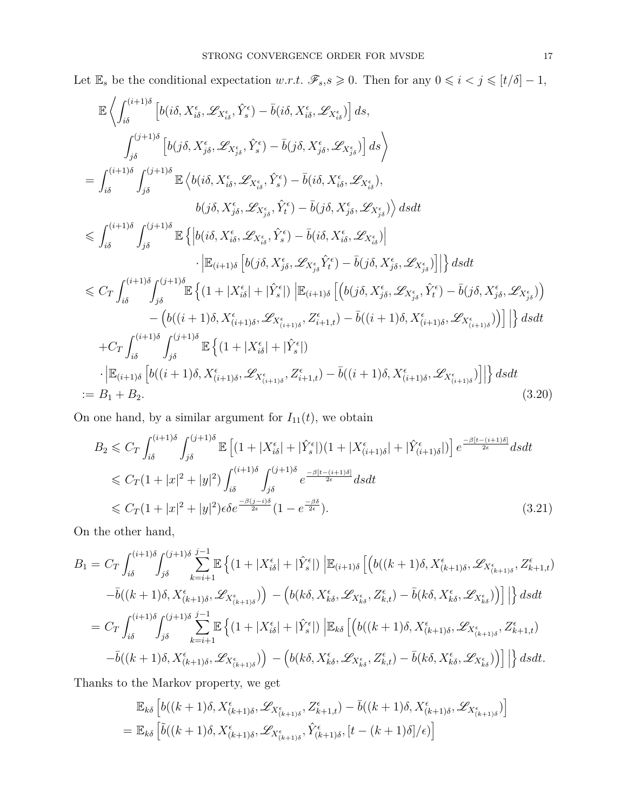Let  $\mathbb{E}_s$  be the conditional expectation *w.r.t.*  $\mathscr{F}_s$ , $s \geq 0$ . Then for any  $0 \leq i < j \leq [t/\delta] - 1$ ,

<span id="page-16-0"></span>
$$
\mathbb{E}\left\langle \int_{i\delta}^{(i+1)\delta} \left[ b(i\delta, X_{i\delta}^{\epsilon}, \mathcal{L}_{X_{i\delta}^{\epsilon}}, \hat{Y}_{s}^{\epsilon}) - \bar{b}(i\delta, X_{i\delta}^{\epsilon}, \mathcal{L}_{X_{i\delta}^{\epsilon}}) \right] ds, \n\int_{j\delta}^{(j+1)\delta} \left[ b(j\delta, X_{j\delta}^{\epsilon}, \mathcal{L}_{X_{j\delta}^{\epsilon}}, \hat{Y}_{s}^{\epsilon}) - \bar{b}(j\delta, X_{j\delta}^{\epsilon}, \mathcal{L}_{X_{j\delta}^{\epsilon}}) \right] ds \right\rangle \n= \int_{i\delta}^{(i+1)\delta} \int_{j\delta}^{(j+1)\delta} \mathbb{E}\left\langle b(i\delta, X_{i\delta}^{\epsilon}, \mathcal{L}_{X_{i\delta}^{\epsilon}}, \hat{Y}_{s}^{\epsilon}) - \bar{b}(i\delta, X_{i\delta}^{\epsilon}, \mathcal{L}_{X_{i\delta}^{\epsilon}}), \right\rangle ds dt \n\leq \int_{i\delta}^{(i+1)\delta} \int_{j\delta}^{(j+1)\delta} \mathbb{E}\left\{ \left| b(i\delta, X_{i\delta}^{\epsilon}, \mathcal{L}_{X_{i\delta}^{\epsilon}}, \hat{Y}_{s}^{\epsilon}) - \bar{b}(j\delta, X_{i\delta}^{\epsilon}, \mathcal{L}_{X_{i\delta}^{\epsilon}}) \right| \right\} ds dt \n\leq C_{T} \int_{i\delta}^{(i+1)\delta} \int_{j\delta}^{(j+1)\delta} \mathbb{E}\left\{ \left| b(i\delta, X_{i\delta}^{\epsilon}, \mathcal{L}_{X_{i\delta}^{\epsilon}}, \hat{Y}_{s}^{\epsilon}) - \bar{b}(i\delta, X_{i\delta}^{\epsilon}, \mathcal{L}_{X_{i\delta}^{\epsilon}}) \right| \right\} ds dt \n\leq C_{T} \int_{i\delta}^{(i+1)\delta} \int_{j\delta}^{(j+1)\delta} \mathbb{E}\left\{ (1 + |X_{i\delta}^{\epsilon}| + |\hat{Y}_{s}^{\epsilon}|) \right| \mathbb{E}_{(i+1)\delta} \left[ \left( b(j\delta, X_{j\delta}^{\epsilon}, \mathcal{L}_{X_{j\delta}^{\epsilon}}) \right
$$

On one hand, by a similar argument for  $I_{11}(t)$ , we obtain

<span id="page-16-1"></span>
$$
B_2 \leq C_T \int_{i\delta}^{(i+1)\delta} \int_{j\delta}^{(j+1)\delta} \mathbb{E}\left[ (1+|X_{i\delta}^{\epsilon}|+|\hat{Y}_{s}^{\epsilon}|)(1+|X_{(i+1)\delta}^{\epsilon}|+|\hat{Y}_{(i+1)\delta}^{\epsilon}|) \right] e^{\frac{-\beta [t-(i+1)\delta]}{2\epsilon}} ds dt
$$
  
\n
$$
\leq C_T (1+|x|^2+|y|^2) \int_{i\delta}^{(i+1)\delta} \int_{j\delta}^{(j+1)\delta} e^{\frac{-\beta [t-(i+1)\delta]}{2\epsilon}} ds dt
$$
  
\n
$$
\leq C_T (1+|x|^2+|y|^2) \epsilon \delta e^{\frac{-\beta (j-i)\delta}{2\epsilon}} (1-e^{\frac{-\beta \delta}{2\epsilon}}).
$$
 (3.21)

On the other hand,

$$
B_{1} = C_{T} \int_{i\delta}^{(i+1)\delta} \int_{j\delta}^{(j+1)\delta} \sum_{k=i+1}^{j-1} \mathbb{E} \left\{ (1+|X_{i\delta}^{\epsilon}|+|\hat{Y}_{s}^{\epsilon}|) \left| \mathbb{E}_{(i+1)\delta} \left[ \left( b((k+1)\delta, X_{(k+1)\delta}^{\epsilon}, \mathcal{L}_{X_{(k+1)\delta}^{\epsilon}}, \mathcal{L}_{X_{(k+1)\delta}}^{\epsilon}, Z_{k+1,t}^{\epsilon}) \right) \right. \right. \\ \left. - \bar{b}((k+1)\delta, X_{(k+1)\delta}^{\epsilon}, \mathcal{L}_{X_{(k+1)\delta}^{\epsilon}}) \right) - \left( b(k\delta, X_{k\delta}^{\epsilon}, \mathcal{L}_{X_{k\delta}^{\epsilon}}, Z_{k,t}^{\epsilon}) - \bar{b}(k\delta, X_{k\delta}^{\epsilon}, \mathcal{L}_{X_{k\delta}}^{\epsilon}) \right) \right] \Big\} ds dt
$$
  
\n
$$
= C_{T} \int_{i\delta}^{(i+1)\delta} \int_{j\delta}^{(j+1)\delta} \sum_{k=i+1}^{j-1} \mathbb{E} \left\{ (1+|X_{i\delta}^{\epsilon}|+|\hat{Y}_{s}^{\epsilon}|) \left| \mathbb{E}_{k\delta} \left[ \left( b((k+1)\delta, X_{(k+1)\delta}^{\epsilon}, \mathcal{L}_{X_{(k+1)\delta}^{\epsilon}}, Z_{k+1,t}^{\epsilon}) \right) \right. \right. \\ \left. - \bar{b}((k+1)\delta, X_{(k+1)\delta}^{\epsilon}, \mathcal{L}_{X_{(k+1)\delta}^{\epsilon}}) \right) - \left( b(k\delta, X_{k\delta}^{\epsilon}, \mathcal{L}_{X_{k\delta}^{\epsilon}}, Z_{k,t}^{\epsilon}) - \bar{b}(k\delta, X_{k\delta}^{\epsilon}, \mathcal{L}_{X_{k\delta}}^{\epsilon}) \right) \Big] \Big\} ds dt.
$$

Thanks to the Markov property, we get

$$
\mathbb{E}_{k\delta} \left[ b((k+1)\delta, X^{\epsilon}_{(k+1)\delta}, \mathcal{L}_{X^{\epsilon}_{(k+1)\delta}}, Z^{\epsilon}_{k+1,t}) - \bar{b}((k+1)\delta, X^{\epsilon}_{(k+1)\delta}, \mathcal{L}_{X^{\epsilon}_{(k+1)\delta}}) \right]
$$
\n
$$
= \mathbb{E}_{k\delta} \left[ \tilde{b}((k+1)\delta, X^{\epsilon}_{(k+1)\delta}, \mathcal{L}_{X^{\epsilon}_{(k+1)\delta}}, \hat{Y}^{\epsilon}_{(k+1)\delta}, [t - (k+1)\delta]/\epsilon) \right]
$$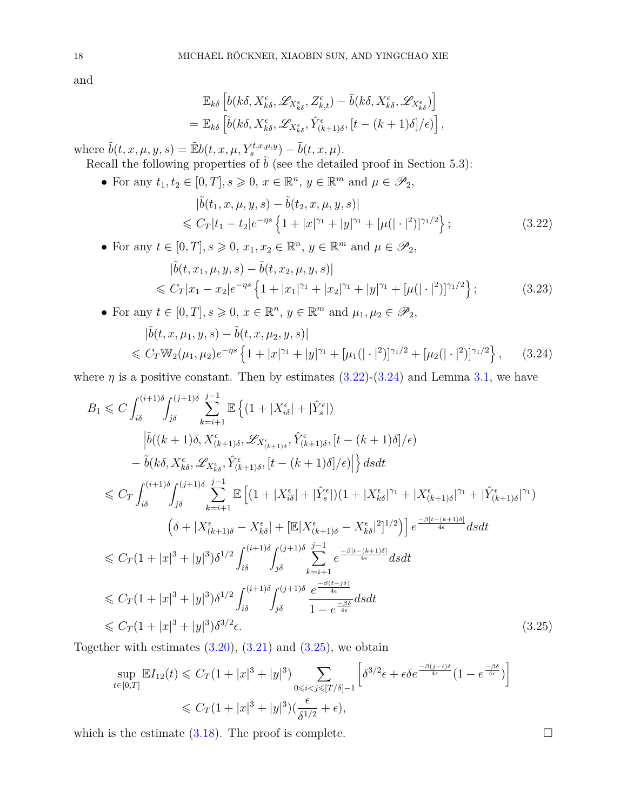and

$$
\mathbb{E}_{k\delta} \left[ b(k\delta, X^{\epsilon}_{k\delta}, \mathscr{L}_{X^{\epsilon}_{k\delta}}, Z^{\epsilon}_{k,t}) - \bar{b}(k\delta, X^{\epsilon}_{k\delta}, \mathscr{L}_{X^{\epsilon}_{k\delta}}) \right]
$$
  
= 
$$
\mathbb{E}_{k\delta} \left[ \tilde{b}(k\delta, X^{\epsilon}_{k\delta}, \mathscr{L}_{X^{\epsilon}_{k\delta}}, \hat{Y}^{\epsilon}_{(k+1)\delta}, [t - (k+1)\delta]/\epsilon) \right],
$$

where  $\tilde{b}(t, x, \mu, y, s) = \tilde{E}b(t, x, \mu, Y_s^{t, x, \mu, y}) - \bar{b}(t, x, \mu).$ 

Recall the following properties of  $\tilde{b}$  (see the detailed proof in Section 5.3):

• For any  $t_1, t_2 \in [0, T], s \geqslant 0, x \in \mathbb{R}^n, y \in \mathbb{R}^m$  and  $\mu \in \mathscr{P}_2$ ,

<span id="page-17-0"></span>
$$
|\tilde{b}(t_1, x, \mu, y, s) - \tilde{b}(t_2, x, \mu, y, s)|
$$
  
\$\leq C\_T |t\_1 - t\_2|e^{-\eta s} \{1 + |x|^{\gamma\_1} + |y|^{\gamma\_1} + [\mu(|\cdot|^2)]^{\gamma\_1/2}\}\$; (3.22)

• For any  $t \in [0, T], s \geqslant 0, x_1, x_2 \in \mathbb{R}^n, y \in \mathbb{R}^m$  and  $\mu \in \mathscr{P}_2$ ,

<span id="page-17-3"></span>
$$
|\tilde{b}(t, x_1, \mu, y, s) - \tilde{b}(t, x_2, \mu, y, s)|
$$
  
\$\leq C\_T |x\_1 - x\_2|e^{-\eta s} \{1 + |x\_1|^{\gamma\_1} + |x\_2|^{\gamma\_1} + |y|^{\gamma\_1} + [\mu(|\cdot|^2)]^{\gamma\_1/2}\}\$; (3.23)

• For any  $t \in [0, T]$ ,  $s \ge 0$ ,  $x \in \mathbb{R}^n$ ,  $y \in \mathbb{R}^m$  and  $\mu_1, \mu_2 \in \mathscr{P}_2$ ,

<span id="page-17-1"></span>
$$
|\tilde{b}(t, x, \mu_1, y, s) - \tilde{b}(t, x, \mu_2, y, s)|
$$
  
\$\leq C\_T \mathbb{W}\_2(\mu\_1, \mu\_2) e^{-\eta s} \left\{ 1 + |x|^{\gamma\_1} + |y|^{\gamma\_1} + [\mu\_1(|\cdot|^2)]^{\gamma\_1/2} + [\mu\_2(|\cdot|^2)]^{\gamma\_1/2} \right\}, \quad (3.24)\$

where  $\eta$  is a positive constant. Then by estimates  $(3.22)-(3.24)$  $(3.22)-(3.24)$  $(3.22)-(3.24)$  and Lemma [3.1,](#page-5-3) we have

<span id="page-17-2"></span>
$$
B_{1} \leq C \int_{i\delta}^{(i+1)\delta} \int_{j\delta}^{(j+1)\delta} \sum_{k=i+1}^{j-1} \mathbb{E} \left\{ (1+|X_{i\delta}^{\epsilon}|+|\hat{Y}_{s}^{\epsilon}|) \right\}
$$
  
\n
$$
\left| \tilde{b}((k+1)\delta, X_{(k+1)\delta}^{\epsilon}, \mathscr{L}_{X_{(k+1)\delta}^{\epsilon}}, \hat{Y}_{(k+1)\delta}^{\epsilon}, [t-(k+1)\delta]/\epsilon) \right\}
$$
  
\n
$$
- \tilde{b}(k\delta, X_{k\delta}^{\epsilon}, \mathscr{L}_{X_{k\delta}^{\epsilon}}, \hat{Y}_{(k+1)\delta}^{\epsilon}, [t-(k+1)\delta]/\epsilon) \right\} ds dt
$$
  
\n
$$
\leq C_{T} \int_{i\delta}^{(i+1)\delta} \int_{j\delta}^{(j+1)\delta} \sum_{k=i+1}^{j-1} \mathbb{E} \left[ (1+|X_{i\delta}^{\epsilon}|+|\hat{Y}_{s}^{\epsilon}|)(1+|X_{k\delta}^{\epsilon}|^{\gamma_{1}}+|X_{(k+1)\delta}^{\epsilon}|^{\gamma_{1}}+|\hat{Y}_{(k+1)\delta}^{\epsilon}|^{\gamma_{1}}) \right]
$$
  
\n
$$
\left( \delta + |X_{(k+1)\delta}^{\epsilon} - X_{k\delta}^{\epsilon} | + [\mathbb{E}|X_{(k+1)\delta}^{\epsilon} - X_{k\delta}^{\epsilon}|^{2}]^{1/2} \right) e^{-\frac{\beta[t-(k+1)\delta]}{4\epsilon}} ds dt
$$
  
\n
$$
\leq C_{T} (1+|x|^{3}+|y|^{3}) \delta^{1/2} \int_{i\delta}^{(i+1)\delta} \int_{j\delta}^{(j+1)\delta} \sum_{k=i+1}^{j-1} e^{-\frac{\beta(t-(k+1)\delta)}{4\epsilon}} ds dt
$$
  
\n
$$
\leq C_{T} (1+|x|^{3}+|y|^{3}) \delta^{1/2} \int_{i\delta}^{(i+1)\delta} \int_{j\delta}^{(j+1)\delta} \frac{e^{-\frac{\beta(t-j\delta)}{4\epsilon}}}{1-e^{\frac{-\beta\delta}{4\epsilon}}} ds dt
$$
  
\n
$$
\le
$$

Together with estimates  $(3.20)$ ,  $(3.21)$  and  $(3.25)$ , we obtain

$$
\sup_{t \in [0,T]} \mathbb{E} I_{12}(t) \leq C_T (1+|x|^3+|y|^3) \sum_{0 \leq i < j \leq [T/\delta]-1} \left[ \delta^{3/2} \epsilon + \epsilon \delta e^{\frac{-\beta(j-i)\delta}{4\epsilon}} (1-e^{\frac{-\beta\delta}{4\epsilon}}) \right]
$$
\n
$$
\leq C_T (1+|x|^3+|y|^3) \left( \frac{\epsilon}{\delta^{1/2}} + \epsilon \right),
$$

which is the estimate  $(3.18)$ . The proof is complete.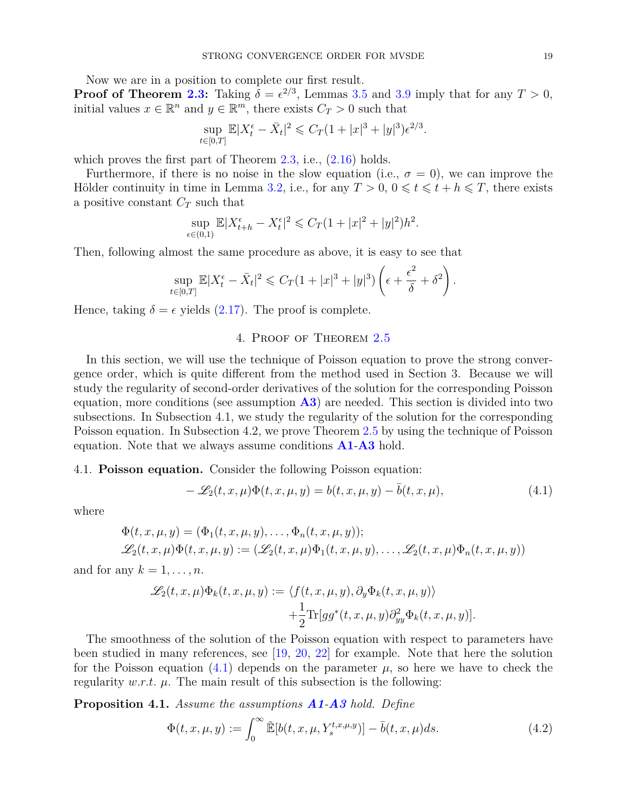Now we are in a position to complete our first result.

**Proof of Theorem [2.3:](#page-4-1)** Taking  $\delta = \epsilon^{2/3}$  $\delta = \epsilon^{2/3}$  $\delta = \epsilon^{2/3}$ , Lemmas 3.5 and 3.9 imply that for any  $T > 0$ , initial values  $x \in \mathbb{R}^n$  and  $y \in \mathbb{R}^m$ , there exists  $C_T > 0$  such that

$$
\sup_{t \in [0,T]} \mathbb{E}|X_t^{\epsilon} - \bar{X}_t|^2 \leq C_T (1 + |x|^3 + |y|^3) \epsilon^{2/3}.
$$

which proves the first part of Theorem  $2.3$ , i.e.,  $(2.16)$  holds.

Furthermore, if there is no noise in the slow equation (i.e.,  $\sigma = 0$ ), we can improve the Hölder continuity in time in Lemma [3.2,](#page-7-0) i.e., for any  $T > 0$ ,  $0 \le t \le t + h \le T$ , there exists a positive constant *C<sup>T</sup>* such that

$$
\sup_{\epsilon \in (0,1)} \mathbb{E} |X_{t+h}^{\epsilon} - X_t^{\epsilon}|^2 \leq C_T (1 + |x|^2 + |y|^2) h^2.
$$

Then, following almost the same procedure as above, it is easy to see that

$$
\sup_{t\in[0,T]}\mathbb{E}|X_t^{\epsilon}-\bar{X}_t|^2\leqslant C_T(1+|x|^3+|y|^3)\left(\epsilon+\frac{\epsilon^2}{\delta}+\delta^2\right).
$$

Hence, taking  $\delta = \epsilon$  yields [\(2.17\)](#page-5-2). The proof is complete.

## 4. Proof of Theorem [2.5](#page-5-4)

In this section, we will use the technique of Poisson equation to prove the strong convergence order, which is quite different from the method used in Section 3. Because we will study the regularity of second-order derivatives of the solution for the corresponding Poisson equation, more conditions (see assumption **[A3](#page-3-9)**) are needed. This section is divided into two subsections. In Subsection 4.1, we study the regularity of the solution for the corresponding Poisson equation. In Subsection 4.2, we prove Theorem [2.5](#page-5-4) by using the technique of Poisson equation. Note that we always assume conditions **[A1](#page-3-7)**-**[A3](#page-3-9)** hold.

## 4.1. **Poisson equation.** Consider the following Poisson equation:

<span id="page-18-0"></span>
$$
-\mathcal{L}_2(t,x,\mu)\Phi(t,x,\mu,y) = b(t,x,\mu,y) - \bar{b}(t,x,\mu),\tag{4.1}
$$

where

$$
\Phi(t, x, \mu, y) = (\Phi_1(t, x, \mu, y), \dots, \Phi_n(t, x, \mu, y));
$$
  

$$
\mathscr{L}_2(t, x, \mu)\Phi(t, x, \mu, y) := (\mathscr{L}_2(t, x, \mu)\Phi_1(t, x, \mu, y), \dots, \mathscr{L}_2(t, x, \mu)\Phi_n(t, x, \mu, y))
$$

and for any  $k = 1, \ldots, n$ .

$$
\mathscr{L}_2(t, x, \mu)\Phi_k(t, x, \mu, y) := \langle f(t, x, \mu, y), \partial_y \Phi_k(t, x, \mu, y) \rangle \n+ \frac{1}{2} \text{Tr}[gg^*(t, x, \mu, y)\partial_{yy}^2 \Phi_k(t, x, \mu, y)].
$$

The smoothness of the solution of the Poisson equation with respect to parameters have been studied in many references, see [\[19,](#page-31-8) [20,](#page-31-9) [22\]](#page-31-7) for example. Note that here the solution for the Poisson equation  $(4.1)$  depends on the parameter  $\mu$ , so here we have to check the regularity  $w.r.t. \mu$ . The main result of this subsection is the following:

<span id="page-18-2"></span>**Proposition 4.1.** *Assume the assumptions [A1](#page-3-7)-[A3](#page-3-9) hold. Define*

<span id="page-18-1"></span>
$$
\Phi(t, x, \mu, y) := \int_0^\infty \widetilde{\mathbb{E}}[b(t, x, \mu, Y_s^{t, x, \mu, y})] - \overline{b}(t, x, \mu)ds. \tag{4.2}
$$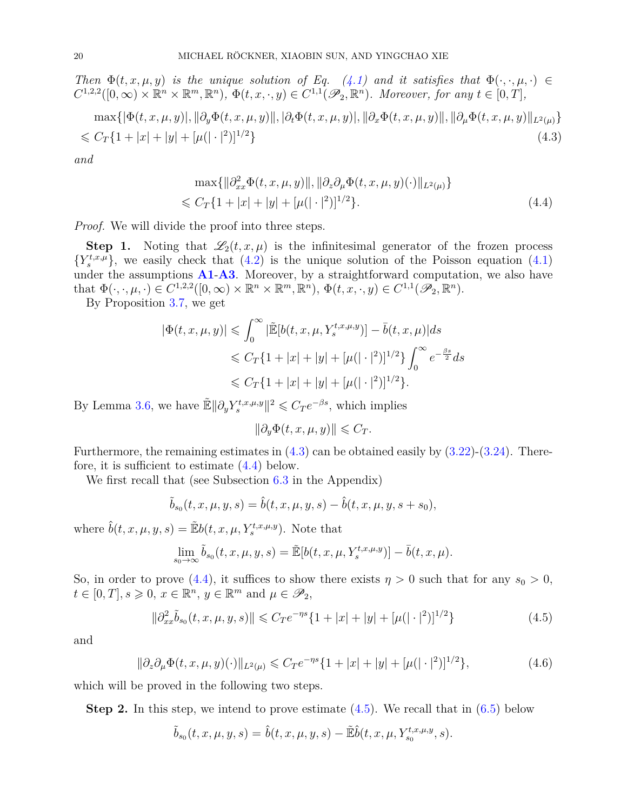*Then*  $\Phi(t, x, \mu, y)$  *is the unique solution of Eq.* [\(4.1\)](#page-18-0) *and it satisfies that*  $\Phi(\cdot, \cdot, \mu, \cdot) \in$  $C^{1,2,2}([0,\infty)\times\mathbb{R}^n\times\mathbb{R}^m,\mathbb{R}^n),\ \Phi(t,x,\cdot,y)\in C^{1,1}(\mathscr{P}_2,\mathbb{R}^n).$  Moreover, for any  $t\in[0,T],$ 

<span id="page-19-0"></span>
$$
\max\{|\Phi(t, x, \mu, y)|, \|\partial_y \Phi(t, x, \mu, y)\|, |\partial_t \Phi(t, x, \mu, y)|, \|\partial_x \Phi(t, x, \mu, y)\|, \|\partial_\mu \Phi(t, x, \mu, y)\|_{L^2(\mu)}\}
$$
  
\$\leq C\_T\{1+|x|+|y|+[\mu(|\cdot|^2)]^{1/2}\}\tag{4.3}

*and*

<span id="page-19-1"></span>
$$
\max\{||\partial_{xx}^2 \Phi(t, x, \mu, y)||, ||\partial_z \partial_\mu \Phi(t, x, \mu, y)(\cdot)||_{L^2(\mu)}\}\leq C_T\{1+|x|+|y|+[\mu(|\cdot|^2)]^{1/2}\}.
$$
\n(4.4)

*Proof.* We will divide the proof into three steps.

**Step 1.** Noting that  $\mathscr{L}_2(t, x, \mu)$  is the infinitesimal generator of the frozen process  ${Y_s^{t,x,\mu}}$ , we easily check that [\(4.2\)](#page-18-1) is the unique solution of the Poisson equation [\(4.1\)](#page-18-0) under the assumptions **[A1](#page-3-7)**-**[A3](#page-3-9)**. Moreover, by a straightforward computation, we also have that  $\Phi(\cdot,\cdot,\mu,\cdot) \in C^{1,2,2}([0,\infty) \times \mathbb{R}^n \times \mathbb{R}^m, \mathbb{R}^n)$ ,  $\Phi(t,x,\cdot,y) \in C^{1,1}(\mathscr{P}_2,\mathbb{R}^n)$ .

By Proposition [3.7,](#page-10-1) we get

$$
|\Phi(t, x, \mu, y)| \leq \int_0^\infty |\tilde{\mathbb{E}}[b(t, x, \mu, Y_s^{t, x, \mu, y})] - \bar{b}(t, x, \mu)| ds
$$
  

$$
\leq C_T \{1 + |x| + |y| + [\mu(|\cdot|^2)]^{1/2}\} \int_0^\infty e^{-\frac{\beta s}{2}} ds
$$
  

$$
\leq C_T \{1 + |x| + |y| + [\mu(|\cdot|^2)]^{1/2}\}.
$$

By Lemma [3.6,](#page-9-0) we have  $\mathbb{E} \|\partial_y Y_s^{t,x,\mu,y}\|^2 \leqslant C_T e^{-\beta s}$ , which implies

$$
\|\partial_y \Phi(t, x, \mu, y)\| \leqslant C_T.
$$

Furthermore, the remaining estimates in  $(4.3)$  can be obtained easily by  $(3.22)$ - $(3.24)$ . Therefore, it is sufficient to estimate [\(4.4\)](#page-19-1) below.

We first recall that (see Subsection [6.3](#page-28-1) in the Appendix)

$$
\tilde{b}_{s_0}(t, x, \mu, y, s) = \hat{b}(t, x, \mu, y, s) - \hat{b}(t, x, \mu, y, s + s_0),
$$

where  $\hat{b}(t, x, \mu, y, s) = \mathbb{E}b(t, x, \mu, Y_s^{t, x, \mu, y})$ . Note that

$$
\lim_{s_0 \to \infty} \tilde{b}_{s_0}(t, x, \mu, y, s) = \tilde{\mathbb{E}}[b(t, x, \mu, Y_s^{t, x, \mu, y})] - \bar{b}(t, x, \mu).
$$

So, in order to prove [\(4.4\)](#page-19-1), it suffices to show there exists  $\eta > 0$  such that for any  $s_0 > 0$ ,  $t \in [0, T], s \geqslant 0, x \in \mathbb{R}^n, y \in \mathbb{R}^m \text{ and } \mu \in \mathscr{P}_2$ 

<span id="page-19-2"></span>
$$
\|\partial_{xx}^2 \tilde{b}_{s_0}(t, x, \mu, y, s)\| \leqslant C_T e^{-\eta s} \{1 + |x| + |y| + [\mu(|\cdot|^2)]^{1/2}\}
$$
\n(4.5)

and

<span id="page-19-3"></span>
$$
\|\partial_z \partial_\mu \Phi(t, x, \mu, y)(\cdot)\|_{L^2(\mu)} \leqslant C_T e^{-\eta s} \{1 + |x| + |y| + [\mu(|\cdot|^2)]^{1/2}\},\tag{4.6}
$$

which will be proved in the following two steps.

**Step 2.** In this step, we intend to prove estimate  $(4.5)$ . We recall that in  $(6.5)$  below

$$
\tilde{b}_{s_0}(t,x,\mu,y,s) = \hat{b}(t,x,\mu,y,s) - \tilde{\mathbb{E}}\hat{b}(t,x,\mu,Y_{s_0}^{t,x,\mu,y},s).
$$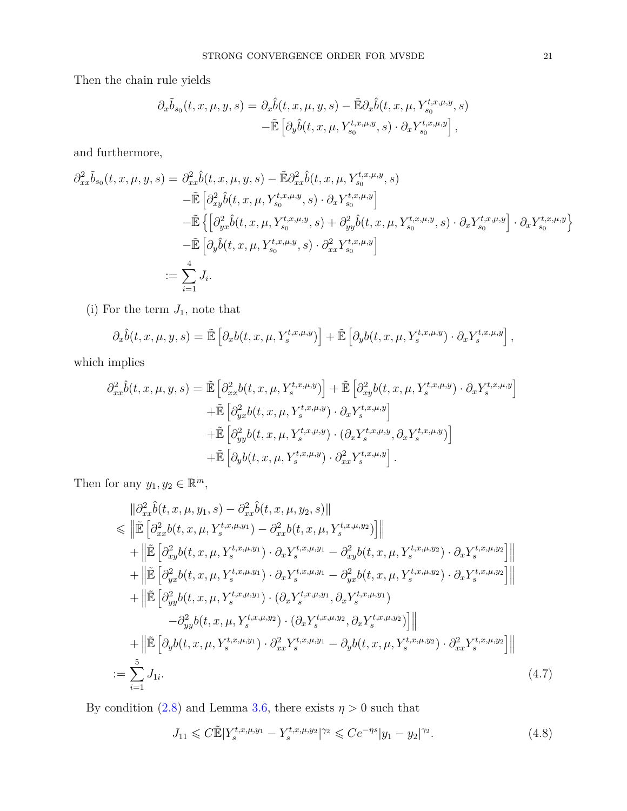Then the chain rule yields

$$
\partial_x \tilde{b}_{s_0}(t, x, \mu, y, s) = \partial_x \hat{b}(t, x, \mu, y, s) - \tilde{\mathbb{E}} \partial_x \hat{b}(t, x, \mu, Y_{s_0}^{t, x, \mu, y}, s)
$$

$$
-\tilde{\mathbb{E}} \left[ \partial_y \hat{b}(t, x, \mu, Y_{s_0}^{t, x, \mu, y}, s) \cdot \partial_x Y_{s_0}^{t, x, \mu, y} \right],
$$

and furthermore,

$$
\partial_{xx}^{2} \tilde{b}_{s_{0}}(t, x, \mu, y, s) = \partial_{xx}^{2} \hat{b}(t, x, \mu, y, s) - \tilde{\mathbb{E}} \partial_{xx}^{2} \hat{b}(t, x, \mu, Y_{s_{0}}^{t, x, \mu, y}, s)
$$
  
\n
$$
- \tilde{\mathbb{E}} \left[ \partial_{xy}^{2} \hat{b}(t, x, \mu, Y_{s_{0}}^{t, x, \mu, y}, s) \cdot \partial_{x} Y_{s_{0}}^{t, x, \mu, y} \right]
$$
  
\n
$$
- \tilde{\mathbb{E}} \left\{ \left[ \partial_{yx}^{2} \hat{b}(t, x, \mu, Y_{s_{0}}^{t, x, \mu, y}, s) + \partial_{yy}^{2} \hat{b}(t, x, \mu, Y_{s_{0}}^{t, x, \mu, y}, s) \cdot \partial_{x} Y_{s_{0}}^{t, x, \mu, y} \right] \cdot \partial_{x} Y_{s_{0}}^{t, x, \mu, y} \right\}
$$
  
\n
$$
- \tilde{\mathbb{E}} \left[ \partial_{y} \hat{b}(t, x, \mu, Y_{s_{0}}^{t, x, \mu, y}, s) \cdot \partial_{xx}^{2} Y_{s_{0}}^{t, x, \mu, y} \right]
$$
  
\n
$$
:= \sum_{i=1}^{4} J_{i}.
$$

(i) For the term  $J_1$ , note that

$$
\partial_x \hat{b}(t, x, \mu, y, s) = \tilde{\mathbb{E}} \left[ \partial_x b(t, x, \mu, Y_s^{t, x, \mu, y}) \right] + \tilde{\mathbb{E}} \left[ \partial_y b(t, x, \mu, Y_s^{t, x, \mu, y}) \cdot \partial_x Y_s^{t, x, \mu, y} \right],
$$

which implies

$$
\partial_{xx}^2 \hat{b}(t, x, \mu, y, s) = \tilde{\mathbb{E}} \left[ \partial_{xx}^2 b(t, x, \mu, Y_s^{t, x, \mu, y}) \right] + \tilde{\mathbb{E}} \left[ \partial_{xy}^2 b(t, x, \mu, Y_s^{t, x, \mu, y}) \cdot \partial_x Y_s^{t, x, \mu, y} \right] \n+ \tilde{\mathbb{E}} \left[ \partial_{yx}^2 b(t, x, \mu, Y_s^{t, x, \mu, y}) \cdot \partial_x Y_s^{t, x, \mu, y} \right] \n+ \tilde{\mathbb{E}} \left[ \partial_{yy}^2 b(t, x, \mu, Y_s^{t, x, \mu, y}) \cdot (\partial_x Y_s^{t, x, \mu, y}, \partial_x Y_s^{t, x, \mu, y}) \right] \n+ \tilde{\mathbb{E}} \left[ \partial_y b(t, x, \mu, Y_s^{t, x, \mu, y}) \cdot \partial_{xx}^2 Y_s^{t, x, \mu, y} \right].
$$

Then for any  $y_1, y_2 \in \mathbb{R}^m$ ,

<span id="page-20-0"></span>
$$
\|\partial_{xx}^{2}\hat{b}(t,x,\mu,y_{1},s)-\partial_{xx}^{2}\hat{b}(t,x,\mu,y_{2},s)\| \n\leq \|\tilde{\mathbb{E}}\left[\partial_{xx}^{2}b(t,x,\mu,Y_{s}^{t,x,\mu,y_{1}})-\partial_{xx}^{2}b(t,x,\mu,Y_{s}^{t,x,\mu,y_{2}})\right]\| \n+ \|\tilde{\mathbb{E}}\left[\partial_{xy}^{2}b(t,x,\mu,Y_{s}^{t,x,\mu,y_{1}})\cdot\partial_{x}Y_{s}^{t,x,\mu,y_{1}}-\partial_{xy}^{2}b(t,x,\mu,Y_{s}^{t,x,\mu,y_{2}})\cdot\partial_{x}Y_{s}^{t,x,\mu,y_{2}}\right]\| \n+ \|\tilde{\mathbb{E}}\left[\partial_{yx}^{2}b(t,x,\mu,Y_{s}^{t,x,\mu,y_{1}})\cdot\partial_{x}Y_{s}^{t,x,\mu,y_{1}}-\partial_{yx}^{2}b(t,x,\mu,Y_{s}^{t,x,\mu,y_{2}})\cdot\partial_{x}Y_{s}^{t,x,\mu,y_{2}}\right]\| \n+ \|\tilde{\mathbb{E}}\left[\partial_{yy}^{2}b(t,x,\mu,Y_{s}^{t,x,\mu,y_{1}})\cdot(\partial_{x}Y_{s}^{t,x,\mu,y_{1}},\partial_{x}Y_{s}^{t,x,\mu,y_{1}})\right] \n- \partial_{yy}^{2}b(t,x,\mu,Y_{s}^{t,x,\mu,y_{2}})\cdot(\partial_{x}Y_{s}^{t,x,\mu,y_{2}},\partial_{x}Y_{s}^{t,x,\mu,y_{2}})\| \n+ \|\tilde{\mathbb{E}}\left[\partial_{y}b(t,x,\mu,Y_{s}^{t,x,\mu,y_{1}})\cdot\partial_{xx}^{2}Y_{s}^{t,x,\mu,y_{1}}-\partial_{y}b(t,x,\mu,Y_{s}^{t,x,\mu,y_{2}})\cdot\partial_{xx}^{2}Y_{s}^{t,x,\mu,y_{2}}\right]\| \n:= \sum_{i=1}^{5} J_{1i}.
$$
\n(4.7)

By condition [\(2.8\)](#page-3-2) and Lemma [3.6,](#page-9-0) there exists  $\eta > 0$  such that

<span id="page-20-1"></span>
$$
J_{11} \leqslant C \tilde{\mathbb{E}} |Y_s^{t,x,\mu,y_1} - Y_s^{t,x,\mu,y_2}|^{\gamma_2} \leqslant C e^{-\eta s} |y_1 - y_2|^{\gamma_2}.
$$
\n
$$
(4.8)
$$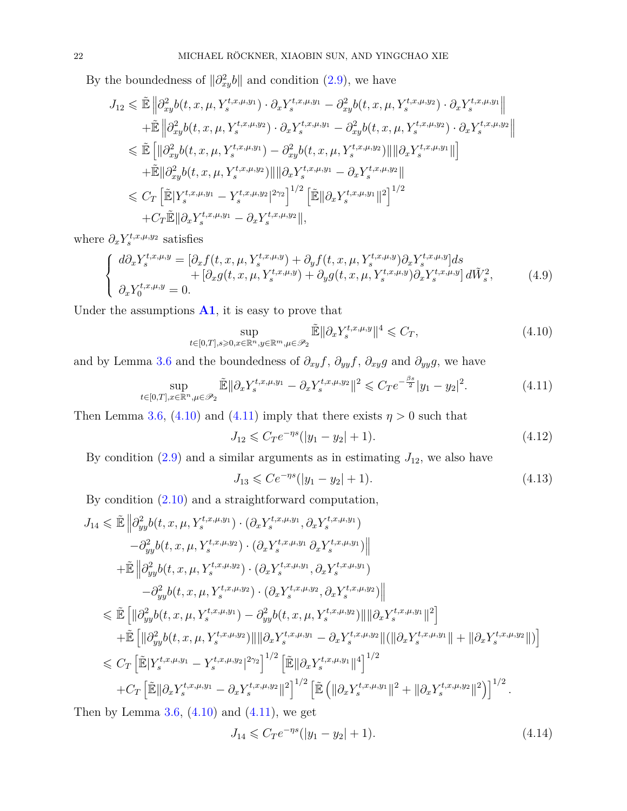By the boundedness of  $\|\partial_{xy}^2 b\|$  and condition [\(2.9\)](#page-3-10), we have

$$
J_{12} \leq \tilde{\mathbb{E}} \left\| \partial_{xy}^2 b(t, x, \mu, Y_s^{t, x, \mu, y_1}) \cdot \partial_x Y_s^{t, x, \mu, y_1} - \partial_{xy}^2 b(t, x, \mu, Y_s^{t, x, \mu, y_2}) \cdot \partial_x Y_s^{t, x, \mu, y_1} \right\|
$$
  
+  $\tilde{\mathbb{E}} \left\| \partial_{xy}^2 b(t, x, \mu, Y_s^{t, x, \mu, y_2}) \cdot \partial_x Y_s^{t, x, \mu, y_1} - \partial_{xy}^2 b(t, x, \mu, Y_s^{t, x, \mu, y_2}) \cdot \partial_x Y_s^{t, x, \mu, y_2} \right\|$   
 $\leq \tilde{\mathbb{E}} \left[ \left\| \partial_{xy}^2 b(t, x, \mu, Y_s^{t, x, \mu, y_1}) - \partial_{xy}^2 b(t, x, \mu, Y_s^{t, x, \mu, y_2}) \right\| \left\| \partial_x Y_s^{t, x, \mu, y_1} \right\| \right]$   
+  $\tilde{\mathbb{E}} \left\| \partial_{xy}^2 b(t, x, \mu, Y_s^{t, x, \mu, y_2}) \right\| \left\| \partial_x Y_s^{t, x, \mu, y_1} - \partial_x Y_s^{t, x, \mu, y_2} \right\|$   
 $\leq C_T \left[ \tilde{\mathbb{E}} | Y_s^{t, x, \mu, y_1} - Y_s^{t, x, \mu, y_2} |^{2\gamma_2} \right]^{1/2} \left[ \tilde{\mathbb{E}} \left\| \partial_x Y_s^{t, x, \mu, y_1} \right\|^2 \right]^{1/2}$   
+  $C_T \tilde{\mathbb{E}} \left\| \partial_x Y_s^{t, x, \mu, y_1} - \partial_x Y_s^{t, x, \mu, y_2} \right\|$ ,

where  $\partial_x Y_s^{t,x,\mu,y_2}$  satisfies

$$
\begin{cases}\n d\partial_x Y_s^{t,x,\mu,y} = \left[ \partial_x f(t,x,\mu, Y_s^{t,x,\mu,y}) + \partial_y f(t,x,\mu, Y_s^{t,x,\mu,y}) \partial_x Y_s^{t,x,\mu,y} \right] ds \\
 \quad + \left[ \partial_x g(t,x,\mu, Y_s^{t,x,\mu,y}) + \partial_y g(t,x,\mu, Y_s^{t,x,\mu,y}) \partial_x Y_s^{t,x,\mu,y} \right] d\tilde{W}_s^2, \\
 \partial_x Y_0^{t,x,\mu,y} = 0.\n \end{cases} \tag{4.9}
$$

Under the assumptions **[A1](#page-3-7)**, it is easy to prove that

<span id="page-21-0"></span>
$$
\sup_{t \in [0,T], s \ge 0, x \in \mathbb{R}^n, y \in \mathbb{R}^m, \mu \in \mathcal{P}_2} \tilde{\mathbb{E}} \|\partial_x Y_s^{t,x,\mu,y}\|^4 \leqslant C_T,\tag{4.10}
$$

and by Lemma [3.6](#page-9-0) and the boundedness of  $\partial_{xy} f$ ,  $\partial_{yy} f$ ,  $\partial_{xy} g$  and  $\partial_{yy} g$ , we have

<span id="page-21-1"></span>
$$
\sup_{t \in [0,T], x \in \mathbb{R}^n, \mu \in \mathcal{P}_2} \tilde{\mathbb{E}} \|\partial_x Y_s^{t,x,\mu,y_1} - \partial_x Y_s^{t,x,\mu,y_2}\|^2 \leqslant C_T e^{-\frac{\beta s}{2}} |y_1 - y_2|^2. \tag{4.11}
$$

Then Lemma [3.6,](#page-9-0) [\(4.10\)](#page-21-0) and [\(4.11\)](#page-21-1) imply that there exists  $\eta > 0$  such that

<span id="page-21-2"></span>
$$
J_{12} \leqslant C_T e^{-\eta s} (|y_1 - y_2| + 1). \tag{4.12}
$$

By condition  $(2.9)$  and a similar arguments as in estimating  $J_{12}$ , we also have

<span id="page-21-3"></span>
$$
J_{13} \leqslant Ce^{-\eta s} (|y_1 - y_2| + 1). \tag{4.13}
$$

By condition [\(2.10\)](#page-3-11) and a straightforward computation,

$$
J_{14} \leq \tilde{\mathbb{E}} \left\| \partial_{yy}^{2} b(t, x, \mu, Y_{s}^{t, x, \mu, y_{1}}) \cdot (\partial_{x} Y_{s}^{t, x, \mu, y_{1}}, \partial_{x} Y_{s}^{t, x, \mu, y_{1}}) \right\| - \partial_{yy}^{2} b(t, x, \mu, Y_{s}^{t, x, \mu, y_{2}}) \cdot (\partial_{x} Y_{s}^{t, x, \mu, y_{1}} \partial_{x} Y_{s}^{t, x, \mu, y_{1}}) \right\| + \tilde{\mathbb{E}} \left\| \partial_{yy}^{2} b(t, x, \mu, Y_{s}^{t, x, \mu, y_{2}}) \cdot (\partial_{x} Y_{s}^{t, x, \mu, y_{1}}, \partial_{x} Y_{s}^{t, x, \mu, y_{1}}) \right\| - \partial_{yy}^{2} b(t, x, \mu, Y_{s}^{t, x, \mu, y_{2}}) \cdot (\partial_{x} Y_{s}^{t, x, \mu, y_{2}}, \partial_{x} Y_{s}^{t, x, \mu, y_{2}}) \right\| \leq \tilde{\mathbb{E}} \left[ \left\| \partial_{yy}^{2} b(t, x, \mu, Y_{s}^{t, x, \mu, y_{1}}) - \partial_{yy}^{2} b(t, x, \mu, Y_{s}^{t, x, \mu, y_{2}}) \right\| \left\| \partial_{x} Y_{s}^{t, x, \mu, y_{1}} \right\|^{2} \right] + \tilde{\mathbb{E}} \left[ \left\| \partial_{yy}^{2} b(t, x, \mu, Y_{s}^{t, x, \mu, y_{2}}) \right\| \left\| \partial_{x} Y_{s}^{t, x, \mu, y_{1}} - \partial_{x} Y_{s}^{t, x, \mu, y_{2}} \right\| \left( \left\| \partial_{x} Y_{s}^{t, x, \mu, y_{1}} \right\| + \left\| \partial_{x} Y_{s}^{t, x, \mu, y_{2}} \right\| \right) \right] \leq C_{T} \left[ \tilde{\mathbb{E}} \left[ Y_{s}^{t, x, \mu, y_{1}} - Y_{s}^{t, x, \mu, y_{2}} \right]^{2\gamma_{2}} \right]^{1/2} \left[ \tilde{\mathbb{E
$$

Then by Lemma [3.6,](#page-9-0)  $(4.10)$  and  $(4.11)$ , we get

<span id="page-21-4"></span>
$$
J_{14} \leqslant C_T e^{-\eta s} (|y_1 - y_2| + 1). \tag{4.14}
$$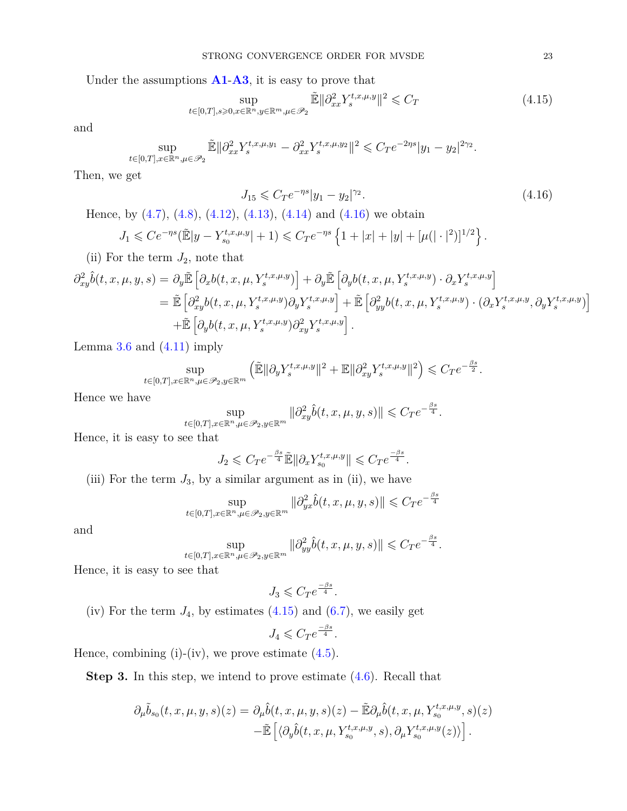Under the assumptions **[A1](#page-3-7)**-**[A3](#page-3-9)**, it is easy to prove that

<span id="page-22-1"></span>
$$
\sup_{t \in [0,T], s \ge 0, x \in \mathbb{R}^n, y \in \mathbb{R}^m, \mu \in \mathcal{P}_2} \tilde{\mathbb{E}} ||\partial_{xx}^2 Y_s^{t,x,\mu,y}||^2 \leqslant C_T \tag{4.15}
$$

and

$$
\sup_{t \in [0,T], x \in \mathbb{R}^n, \mu \in \mathcal{P}_2} \tilde{\mathbb{E}} ||\partial_{xx}^2 Y_s^{t,x,\mu,y_1} - \partial_{xx}^2 Y_s^{t,x,\mu,y_2}||^2 \leqslant C_T e^{-2\eta s} |y_1 - y_2|^{2\gamma_2}
$$

Then, we get

<span id="page-22-0"></span>
$$
J_{15} \leqslant C_T e^{-\eta s} |y_1 - y_2|^{\gamma_2}.
$$
\n(4.16)

Hence, by  $(4.7)$ ,  $(4.8)$ ,  $(4.12)$ ,  $(4.13)$ ,  $(4.14)$  and  $(4.16)$  we obtain

$$
J_1 \leqslant Ce^{-\eta s}(\tilde{\mathbb{E}}|y - Y_{s_0}^{t,x,\mu,y}| + 1) \leqslant C_T e^{-\eta s} \left\{ 1 + |x| + |y| + [\mu(|\cdot|^2)]^{1/2} \right\}.
$$

(ii) For the term  $J_2$ , note that

$$
\partial_{xy}^{2}\hat{b}(t,x,\mu,y,s) = \partial_{y}\tilde{\mathbb{E}}\left[\partial_{x}b(t,x,\mu,Y_{s}^{t,x,\mu,y})\right] + \partial_{y}\tilde{\mathbb{E}}\left[\partial_{y}b(t,x,\mu,Y_{s}^{t,x,\mu,y})\cdot\partial_{x}Y_{s}^{t,x,\mu,y}\right]
$$
\n
$$
= \tilde{\mathbb{E}}\left[\partial_{xy}^{2}b(t,x,\mu,Y_{s}^{t,x,\mu,y})\partial_{y}Y_{s}^{t,x,\mu,y}\right] + \tilde{\mathbb{E}}\left[\partial_{yy}^{2}b(t,x,\mu,Y_{s}^{t,x,\mu,y})\cdot(\partial_{x}Y_{s}^{t,x,\mu,y},\partial_{y}Y_{s}^{t,x,\mu,y})\right]
$$
\n
$$
+ \tilde{\mathbb{E}}\left[\partial_{y}b(t,x,\mu,Y_{s}^{t,x,\mu,y})\partial_{xy}^{2}Y_{s}^{t,x,\mu,y}\right].
$$

Lemma  $3.6$  and  $(4.11)$  imply

$$
\sup_{t\in[0,T],x\in\mathbb{R}^n,\mu\in\mathscr{P}_2,y\in\mathbb{R}^m}\left(\tilde{\mathbb{E}}\|\partial_yY_s^{t,x,\mu,y}\|^2+\mathbb{E}\|\partial_{xy}^2Y_s^{t,x,\mu,y}\|^2\right)\leqslant C_T e^{-\frac{\beta s}{2}}.
$$

Hence we have

$$
\sup_{t\in[0,T],x\in\mathbb{R}^n,\mu\in\mathscr{P}_2,y\in\mathbb{R}^m}\|\partial^2_{xy}\hat{b}(t,x,\mu,y,s)\|\leqslant C_T e^{-\frac{\beta s}{4}}.
$$

Hence, it is easy to see that

$$
J_2 \leqslant C_T e^{-\frac{\beta s}{4}} \tilde{\mathbb{E}} \|\partial_x Y_{s_0}^{t,x,\mu,y}\| \leqslant C_T e^{\frac{-\beta s}{4}}.
$$

(iii) For the term  $J_3$ , by a similar argument as in (ii), we have

$$
\sup_{t\in[0,T],x\in\mathbb{R}^n,\mu\in\mathscr{P}_2,y\in\mathbb{R}^m}\|\partial^2_{yx}\widehat{b}(t,x,\mu,y,s)\|\leqslant C_T e^{-\frac{\beta s}{4}}
$$

and

$$
\sup_{t\in[0,T],x\in\mathbb{R}^n,\mu\in\mathscr{P}_2,y\in\mathbb{R}^m}\|\partial^2_{yy}\hat b(t,x,\mu,y,s)\|\leqslant C_T e^{-\frac{\beta s}{4}}.
$$

Hence, it is easy to see that

$$
J_3 \leqslant C_T e^{\frac{-\beta s}{4}}.
$$

(iv) For the term  $J_4$ , by estimates  $(4.15)$  and  $(6.7)$ , we easily get

$$
J_4 \leqslant C_T e^{\frac{-\beta s}{4}}.
$$

Hence, combining  $(i)$ - $(iv)$ , we prove estimate  $(4.5)$ .

**Step 3.** In this step, we intend to prove estimate [\(4.6\)](#page-19-3). Recall that

$$
\partial_{\mu}\tilde{b}_{s_0}(t,x,\mu,y,s)(z) = \partial_{\mu}\hat{b}(t,x,\mu,y,s)(z) - \tilde{\mathbb{E}}\partial_{\mu}\hat{b}(t,x,\mu,Y_{s_0}^{t,x,\mu,y},s)(z) \n- \tilde{\mathbb{E}}\left[\langle \partial_y\hat{b}(t,x,\mu,Y_{s_0}^{t,x,\mu,y},s), \partial_{\mu}Y_{s_0}^{t,x,\mu,y}(z)\rangle\right].
$$

*.*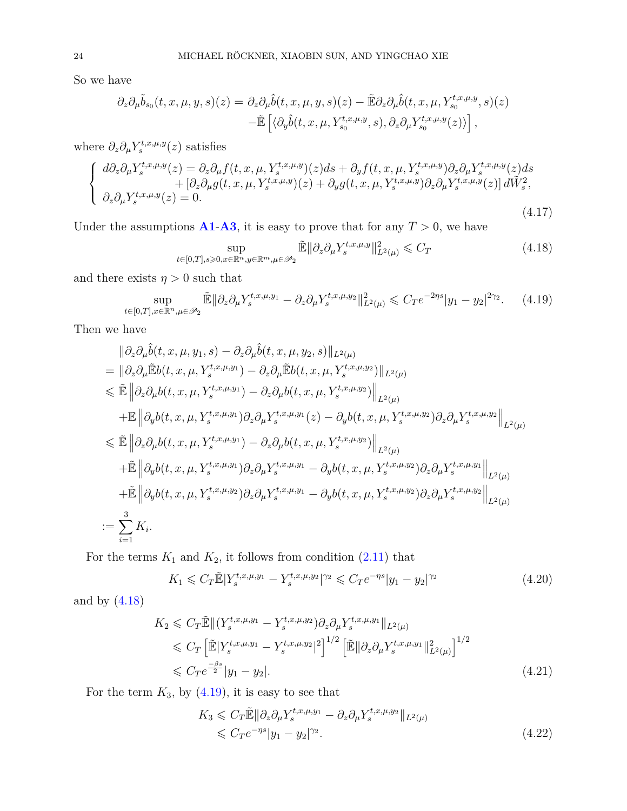So we have

$$
\partial_z \partial_\mu \tilde{b}_{s_0}(t, x, \mu, y, s)(z) = \partial_z \partial_\mu \hat{b}(t, x, \mu, y, s)(z) - \tilde{\mathbb{E}} \partial_z \partial_\mu \hat{b}(t, x, \mu, Y_{s_0}^{t, x, \mu, y}, s)(z) \n- \tilde{\mathbb{E}} \left[ \langle \partial_y \hat{b}(t, x, \mu, Y_{s_0}^{t, x, \mu, y}, s), \partial_z \partial_\mu Y_{s_0}^{t, x, \mu, y}(z) \rangle \right],
$$

where  $\partial_z \partial_\mu Y_s^{t,x,\mu,y}(z)$  satisfies

$$
\begin{cases}\n d\partial_z \partial_\mu Y_s^{t,x,\mu,y}(z) = \partial_z \partial_\mu f(t,x,\mu, Y_s^{t,x,\mu,y})(z)ds + \partial_y f(t,x,\mu, Y_s^{t,x,\mu,y})\partial_z \partial_\mu Y_s^{t,x,\mu,y}(z)ds \n+ [\partial_z \partial_\mu g(t,x,\mu, Y_s^{t,x,\mu,y})(z) + \partial_y g(t,x,\mu, Y_s^{t,x,\mu,y})\partial_z \partial_\mu Y_s^{t,x,\mu,y}(z)] d\tilde{W}_s^2, \n\partial_z \partial_\mu Y_s^{t,x,\mu,y}(z) = 0.\n\end{cases} (4.17)
$$

Under the assumptions  $\mathbf{A1} - \mathbf{A3}$  $\mathbf{A1} - \mathbf{A3}$  $\mathbf{A1} - \mathbf{A3}$  $\mathbf{A1} - \mathbf{A3}$  $\mathbf{A1} - \mathbf{A3}$ , it is easy to prove that for any  $T > 0$ , we have

<span id="page-23-0"></span>
$$
\sup_{t \in [0,T], s \geq 0, x \in \mathbb{R}^n, y \in \mathbb{R}^m, \mu \in \mathcal{P}_2} \tilde{\mathbb{E}} \|\partial_z \partial_\mu Y_s^{t,x,\mu,y}\|_{L^2(\mu)}^2 \leqslant C_T \tag{4.18}
$$

and there exists  $\eta > 0$  such that

<span id="page-23-1"></span>
$$
\sup_{t \in [0,T], x \in \mathbb{R}^n, \mu \in \mathcal{P}_2} \tilde{\mathbb{E}} \|\partial_z \partial_\mu Y_s^{t,x,\mu,y_1} - \partial_z \partial_\mu Y_s^{t,x,\mu,y_2}\|_{L^2(\mu)}^2 \leq C_T e^{-2\eta s} |y_1 - y_2|^{2\gamma_2}.
$$
 (4.19)

Then we have

$$
\|\partial_{z}\partial_{\mu}\hat{b}(t,x,\mu,y_{1},s)-\partial_{z}\partial_{\mu}\hat{b}(t,x,\mu,y_{2},s)\|_{L^{2}(\mu)}\n=\|\partial_{z}\partial_{\mu}\tilde{\mathbb{E}}b(t,x,\mu,Y_{s}^{t,x,\mu,y_{1}})-\partial_{z}\partial_{\mu}\tilde{\mathbb{E}}b(t,x,\mu,Y_{s}^{t,x,\mu,y_{2}})\|_{L^{2}(\mu)}\n\leq \tilde{\mathbb{E}}\|\partial_{z}\partial_{\mu}b(t,x,\mu,Y_{s}^{t,x,\mu,y_{1}})-\partial_{z}\partial_{\mu}b(t,x,\mu,Y_{s}^{t,x,\mu,y_{2}})\|_{L^{2}(\mu)}\n+\mathbb{E}\|\partial_{y}b(t,x,\mu,Y_{s}^{t,x,\mu,y_{1}})\partial_{z}\partial_{\mu}Y_{s}^{t,x,\mu,y_{1}}(z)-\partial_{y}b(t,x,\mu,Y_{s}^{t,x,\mu,y_{2}})\partial_{z}\partial_{\mu}Y_{s}^{t,x,\mu,y_{2}}\|_{L^{2}(\mu)}\n\leq \tilde{\mathbb{E}}\|\partial_{z}\partial_{\mu}b(t,x,\mu,Y_{s}^{t,x,\mu,y_{1}})-\partial_{z}\partial_{\mu}b(t,x,\mu,Y_{s}^{t,x,\mu,y_{2}})\|_{L^{2}(\mu)}\n+\tilde{\mathbb{E}}\|\partial_{y}b(t,x,\mu,Y_{s}^{t,x,\mu,y_{1}})\partial_{z}\partial_{\mu}Y_{s}^{t,x,\mu,y_{1}}-\partial_{y}b(t,x,\mu,Y_{s}^{t,x,\mu,y_{2}})\partial_{z}\partial_{\mu}Y_{s}^{t,x,\mu,y_{1}}\|_{L^{2}(\mu)}\n+\tilde{\mathbb{E}}\|\partial_{y}b(t,x,\mu,Y_{s}^{t,x,\mu,y_{2}})\partial_{z}\partial_{\mu}Y_{s}^{t,x,\mu,y_{1}}-\partial_{y}b(t,x,\mu,Y_{s}^{t,x,\mu,y_{2}})\partial_{z}\partial_{\mu}Y_{s}^{t,x,\mu,y_{2}}\|_{L^{2}(\mu)}\n:=\sum_{i=1}^{3}K_{i}.
$$

For the terms  $K_1$  and  $K_2$ , it follows from condition  $(2.11)$  that

<span id="page-23-2"></span>
$$
K_1 \leqslant C_T \tilde{\mathbb{E}} |Y_s^{t,x,\mu,y_1} - Y_s^{t,x,\mu,y_2}|^{\gamma_2} \leqslant C_T e^{-\eta s} |y_1 - y_2|^{\gamma_2} \tag{4.20}
$$

and by [\(4.18\)](#page-23-0)

$$
K_2 \leq C_T \mathbb{E} \|(Y_s^{t,x,\mu,y_1} - Y_s^{t,x,\mu,y_2}) \partial_z \partial_\mu Y_s^{t,x,\mu,y_1} \|_{L^2(\mu)}
$$
  
\n
$$
\leq C_T \left[ \mathbb{E} |Y_s^{t,x,\mu,y_1} - Y_s^{t,x,\mu,y_2}|^2 \right]^{1/2} \left[ \mathbb{E} \| \partial_z \partial_\mu Y_s^{t,x,\mu,y_1} \|_{L^2(\mu)}^2 \right]^{1/2}
$$
  
\n
$$
\leq C_T e^{\frac{-\beta s}{2}} |y_1 - y_2|.
$$
\n(4.21)

For the term  $K_3$ , by  $(4.19)$ , it is easy to see that

<span id="page-23-3"></span>
$$
K_3 \leqslant C_T \tilde{\mathbb{E}} \|\partial_z \partial_\mu Y_s^{t,x,\mu,y_1} - \partial_z \partial_\mu Y_s^{t,x,\mu,y_2}\|_{L^2(\mu)}
$$
  
\$\leqslant C\_T e^{-\eta s} |y\_1 - y\_2|^{\gamma\_2}\$. \tag{4.22}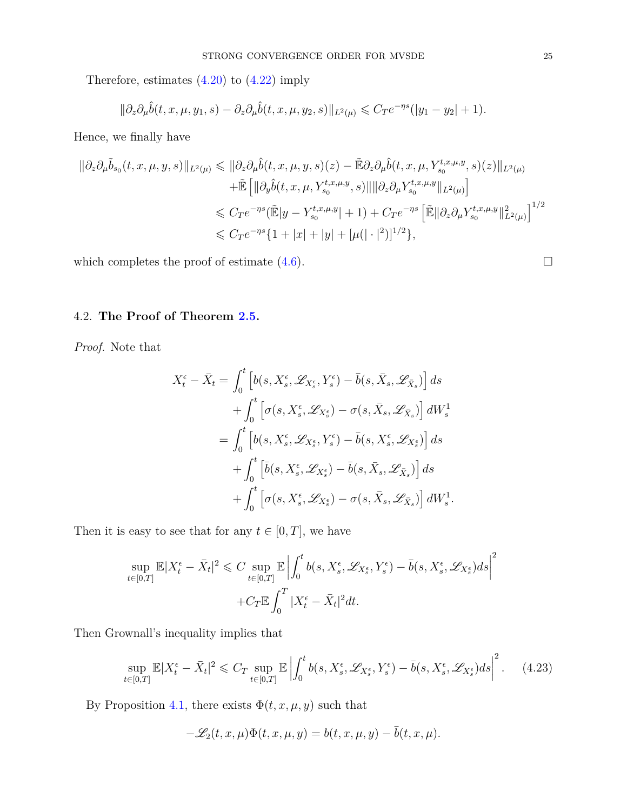Therefore, estimates [\(4.20\)](#page-23-2) to [\(4.22\)](#page-23-3) imply

$$
\|\partial_z\partial_\mu \hat{b}(t,x,\mu,y_1,s)-\partial_z\partial_\mu \hat{b}(t,x,\mu,y_2,s)\|_{L^2(\mu)}\leqslant C_T e^{-\eta s}(|y_1-y_2|+1).
$$

Hence, we finally have

$$
\begin{split} \|\partial_{z}\partial_{\mu}\tilde{b}_{s_{0}}(t,x,\mu,y,s)\|_{L^{2}(\mu)} &\leqslant \|\partial_{z}\partial_{\mu}\hat{b}(t,x,\mu,y,s)(z)-\tilde{\mathbb{E}}\partial_{z}\partial_{\mu}\hat{b}(t,x,\mu,Y_{s_{0}}^{t,x,\mu,y},s)(z)\|_{L^{2}(\mu)} \\ & \quad +\tilde{\mathbb{E}}\left[\|\partial_{y}\hat{b}(t,x,\mu,Y_{s_{0}}^{t,x,\mu,y},s)\|\|\partial_{z}\partial_{\mu}Y_{s_{0}}^{t,x,\mu,y}\|_{L^{2}(\mu)}\right] \\ &\leqslant C_{T}e^{-\eta s}(\tilde{\mathbb{E}}|y-Y_{s_{0}}^{t,x,\mu,y}|+1)+C_{T}e^{-\eta s}\left[\tilde{\mathbb{E}}\|\partial_{z}\partial_{\mu}Y_{s_{0}}^{t,x,\mu,y}\|_{L^{2}(\mu)}^{2}\right]^{1/2} \\ &\leqslant C_{T}e^{-\eta s}\{1+|x|+|y|+[\mu(|\cdot|^{2})]^{1/2}\}, \end{split}
$$

which completes the proof of estimate  $(4.6)$ .

# 4.2. **The Proof of Theorem [2.5.](#page-5-4)**

*Proof.* Note that

$$
X_t^{\epsilon} - \bar{X}_t = \int_0^t \left[ b(s, X_s^{\epsilon}, \mathscr{L}_{X_s^{\epsilon}}, Y_s^{\epsilon}) - \bar{b}(s, \bar{X}_s, \mathscr{L}_{\bar{X}_s}) \right] ds + \int_0^t \left[ \sigma(s, X_s^{\epsilon}, \mathscr{L}_{X_s^{\epsilon}}) - \sigma(s, \bar{X}_s, \mathscr{L}_{\bar{X}_s}) \right] dW_s^1 = \int_0^t \left[ b(s, X_s^{\epsilon}, \mathscr{L}_{X_s^{\epsilon}}, Y_s^{\epsilon}) - \bar{b}(s, X_s^{\epsilon}, \mathscr{L}_{X_s^{\epsilon}}) \right] ds + \int_0^t \left[ \bar{b}(s, X_s^{\epsilon}, \mathscr{L}_{X_s^{\epsilon}}) - \bar{b}(s, \bar{X}_s, \mathscr{L}_{\bar{X}_s}) \right] ds + \int_0^t \left[ \sigma(s, X_s^{\epsilon}, \mathscr{L}_{X_s^{\epsilon}}) - \sigma(s, \bar{X}_s, \mathscr{L}_{\bar{X}_s}) \right] dW_s^1.
$$

Then it is easy to see that for any  $t \in [0, T]$ , we have

$$
\sup_{t \in [0,T]} \mathbb{E}|X_t^{\epsilon} - \bar{X}_t|^2 \leq C \sup_{t \in [0,T]} \mathbb{E}\left|\int_0^t b(s, X_s^{\epsilon}, \mathcal{L}_{X_s^{\epsilon}}, Y_s^{\epsilon}) - \bar{b}(s, X_s^{\epsilon}, \mathcal{L}_{X_s^{\epsilon}})ds\right|^2
$$

$$
+ C_T \mathbb{E}\int_0^T |X_t^{\epsilon} - \bar{X}_t|^2 dt.
$$

Then Grownall's inequality implies that

<span id="page-24-0"></span>
$$
\sup_{t\in[0,T]}\mathbb{E}|X_t^{\epsilon}-\bar{X}_t|^2 \leqslant C_T \sup_{t\in[0,T]}\mathbb{E}\left|\int_0^t b(s,X_s^{\epsilon},\mathscr{L}_{X_s^{\epsilon}},Y_s^{\epsilon})-\bar{b}(s,X_s^{\epsilon},\mathscr{L}_{X_s^{\epsilon}})ds\right|^2. \tag{4.23}
$$

By Proposition [4.1,](#page-18-2) there exists  $\Phi(t,x,\mu,y)$  such that

$$
-\mathscr{L}_2(t,x,\mu)\Phi(t,x,\mu,y)=b(t,x,\mu,y)-\bar{b}(t,x,\mu).
$$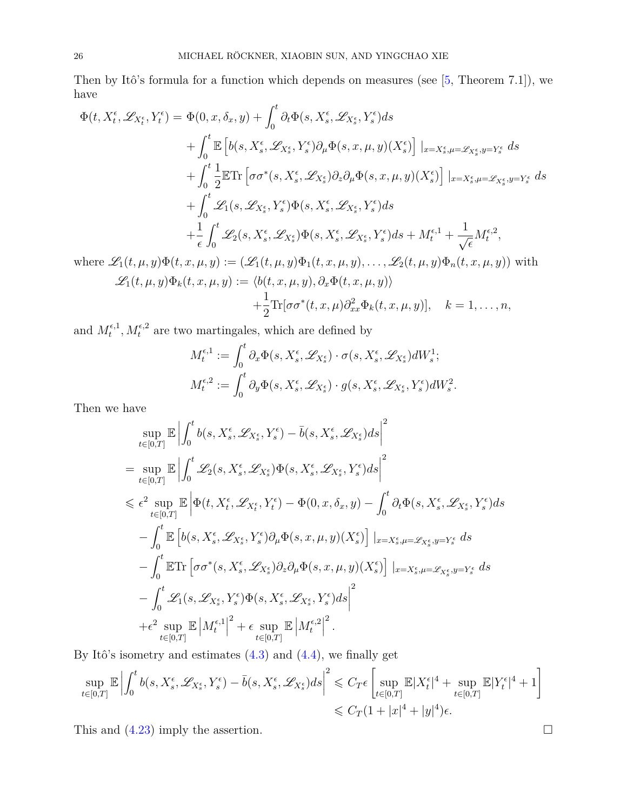Then by Itô's formula for a function which depends on measures (see [\[5,](#page-30-14) Theorem 7.1]), we have

$$
\Phi(t, X_t^{\epsilon}, \mathcal{L}_{X_t^{\epsilon}}, Y_t^{\epsilon}) = \Phi(0, x, \delta_x, y) + \int_0^t \partial_t \Phi(s, X_s^{\epsilon}, \mathcal{L}_{X_s^{\epsilon}}, Y_s^{\epsilon}) ds \n+ \int_0^t \mathbb{E} \left[ b(s, X_s^{\epsilon}, \mathcal{L}_{X_s^{\epsilon}}, Y_s^{\epsilon}) \partial_{\mu} \Phi(s, x, \mu, y) (X_s^{\epsilon}) \right] |_{x = X_s^{\epsilon}, \mu = \mathcal{L}_{X_s^{\epsilon}}, y = Y_s^{\epsilon}} ds \n+ \int_0^t \frac{1}{2} \mathbb{E} \text{Tr} \left[ \sigma \sigma^*(s, X_s^{\epsilon}, \mathcal{L}_{X_s^{\epsilon}}) \partial_z \partial_{\mu} \Phi(s, x, \mu, y) (X_s^{\epsilon}) \right] |_{x = X_s^{\epsilon}, \mu = \mathcal{L}_{X_s^{\epsilon}}, y = Y_s^{\epsilon}} ds \n+ \int_0^t \mathcal{L}_1(s, \mathcal{L}_{X_s^{\epsilon}}, Y_s^{\epsilon}) \Phi(s, X_s^{\epsilon}, \mathcal{L}_{X_s^{\epsilon}}, Y_s^{\epsilon}) ds \n+ \frac{1}{\epsilon} \int_0^t \mathcal{L}_2(s, X_s^{\epsilon}, \mathcal{L}_{X_s^{\epsilon}}) \Phi(s, X_s^{\epsilon}, \mathcal{L}_{X_s^{\epsilon}}, Y_s^{\epsilon}) ds + M_t^{\epsilon, 1} + \frac{1}{\sqrt{\epsilon}} M_t^{\epsilon, 2},
$$

where  $\mathscr{L}_1(t,\mu,y)\Phi(t,x,\mu,y) := (\mathscr{L}_1(t,\mu,y)\Phi_1(t,x,\mu,y),\ldots,\mathscr{L}_2(t,\mu,y)\Phi_n(t,x,\mu,y))$  with  $\mathscr{L}_1(t, \mu, y) \Phi_k(t, x, \mu, y) := \langle b(t, x, \mu, y), \partial_x \Phi(t, x, \mu, y) \rangle$ 

$$
+\frac{1}{2}\text{Tr}[\sigma\sigma^*(t,x,\mu)\partial_{xx}^2\Phi_k(t,x,\mu,y)], \quad k=1,\ldots,n,
$$

and  $M_t^{\epsilon,1}$  $t_t^{\epsilon,1}, M_t^{\epsilon,2}$  are two martingales, which are defined by

$$
M_t^{\epsilon,1} := \int_0^t \partial_x \Phi(s, X_s^{\epsilon}, \mathscr{L}_{X_s^{\epsilon}}) \cdot \sigma(s, X_s^{\epsilon}, \mathscr{L}_{X_s^{\epsilon}}) dW_s^1;
$$
  

$$
M_t^{\epsilon,2} := \int_0^t \partial_y \Phi(s, X_s^{\epsilon}, \mathscr{L}_{X_s^{\epsilon}}) \cdot g(s, X_s^{\epsilon}, \mathscr{L}_{X_s^{\epsilon}}, Y_s^{\epsilon}) dW_s^2.
$$

Then we have

$$
\sup_{t\in[0,T]}\mathbb{E}\left|\int_{0}^{t}b(s,X_{s}^{\epsilon},\mathscr{L}_{X_{s}^{\epsilon}},Y_{s}^{\epsilon})-\bar{b}(s,X_{s}^{\epsilon},\mathscr{L}_{X_{s}^{\epsilon}})ds\right|^{2}
$$
\n
$$
=\sup_{t\in[0,T]}\mathbb{E}\left|\int_{0}^{t}\mathscr{L}_{2}(s,X_{s}^{\epsilon},\mathscr{L}_{X_{s}^{\epsilon}})\Phi(s,X_{s}^{\epsilon},\mathscr{L}_{X_{s}^{\epsilon}},Y_{s}^{\epsilon})ds\right|^{2}
$$
\n
$$
\leq \epsilon^{2}\sup_{t\in[0,T]}\mathbb{E}\left|\Phi(t,X_{t}^{\epsilon},\mathscr{L}_{X_{t}^{\epsilon}},Y_{t}^{\epsilon})-\Phi(0,x,\delta_{x},y)-\int_{0}^{t}\partial_{t}\Phi(s,X_{s}^{\epsilon},\mathscr{L}_{X_{s}^{\epsilon}},Y_{s}^{\epsilon})ds\right|
$$
\n
$$
-\int_{0}^{t}\mathbb{E}\left[b(s,X_{s}^{\epsilon},\mathscr{L}_{X_{s}^{\epsilon}},Y_{s}^{\epsilon})\partial_{\mu}\Phi(s,x,\mu,y)(X_{s}^{\epsilon})\right]|_{x=X_{s}^{\epsilon},\mu=\mathscr{L}_{X_{s}^{\epsilon}},y=Y_{s}^{\epsilon}}ds
$$
\n
$$
-\int_{0}^{t}\mathbb{E}\text{Tr}\left[\sigma\sigma^{*}(s,X_{s}^{\epsilon},\mathscr{L}_{X_{s}^{\epsilon}})\partial_{z}\partial_{\mu}\Phi(s,x,\mu,y)(X_{s}^{\epsilon})\right]|_{x=X_{s}^{\epsilon},\mu=\mathscr{L}_{X_{s}^{\epsilon}},y=Y_{s}^{\epsilon}}ds
$$
\n
$$
-\int_{0}^{t}\mathscr{L}_{1}(s,\mathscr{L}_{X_{s}^{\epsilon}},Y_{s}^{\epsilon})\Phi(s,X_{s}^{\epsilon},\mathscr{L}_{X_{s}^{\epsilon}},Y_{s}^{\epsilon})ds\right|^{2}
$$
\n
$$
+\epsilon^{2}\sup_{t\in[0,T]}\mathbb{E}|M_{t}^{\epsilon,1}|^{2}+\epsilon\sup_{t\in[0,T]}\mathbb{E}|M_{t}^{\epsilon,2}|^{2}.
$$

By Itô's isometry and estimates  $(4.3)$  and  $(4.4)$ , we finally get

$$
\sup_{t \in [0,T]} \mathbb{E} \left| \int_0^t b(s, X_s^{\epsilon}, \mathcal{L}_{X_s^{\epsilon}}, Y_s^{\epsilon}) - \bar{b}(s, X_s^{\epsilon}, \mathcal{L}_{X_s^{\epsilon}}) ds \right|^2 \leqslant C_T \epsilon \left[ \sup_{t \in [0,T]} \mathbb{E}|X_t^{\epsilon}|^4 + \sup_{t \in [0,T]} \mathbb{E}|Y_t^{\epsilon}|^4 + 1 \right] \leqslant C_T (1 + |x|^4 + |y|^4) \epsilon.
$$

This and  $(4.23)$  imply the assertion.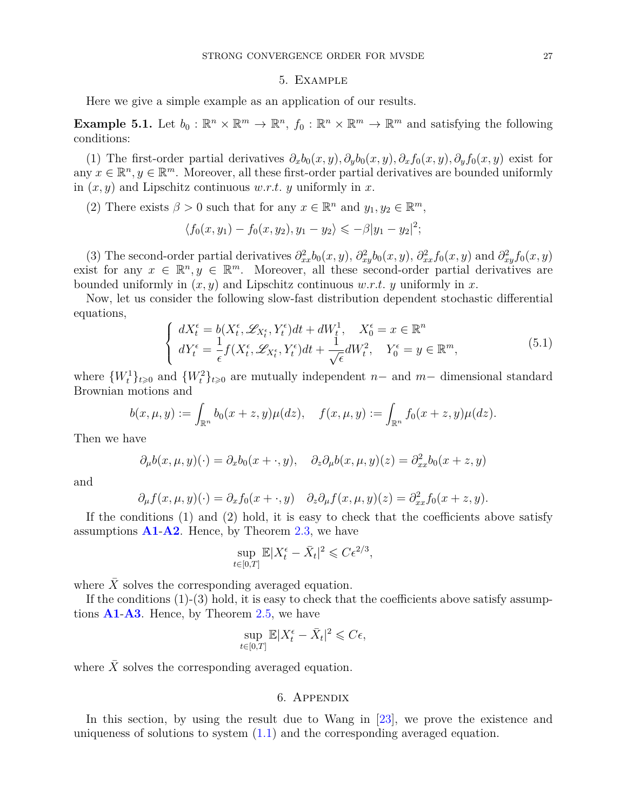#### 5. Example

Here we give a simple example as an application of our results.

**Example 5.1.** Let  $b_0: \mathbb{R}^n \times \mathbb{R}^m \to \mathbb{R}^n$ ,  $f_0: \mathbb{R}^n \times \mathbb{R}^m \to \mathbb{R}^m$  and satisfying the following conditions:

(1) The first-order partial derivatives  $\partial_x b_0(x, y)$ ,  $\partial_y b_0(x, y)$ ,  $\partial_x f_0(x, y)$ ,  $\partial_y f_0(x, y)$  exist for any  $x \in \mathbb{R}^n, y \in \mathbb{R}^m$ . Moreover, all these first-order partial derivatives are bounded uniformly in (*x, y*) and Lipschitz continuous *w.r.t. y* uniformly in *x*.

(2) There exists  $\beta > 0$  such that for any  $x \in \mathbb{R}^n$  and  $y_1, y_2 \in \mathbb{R}^m$ ,

$$
\langle f_0(x, y_1) - f_0(x, y_2), y_1 - y_2 \rangle \leq -\beta |y_1 - y_2|^2;
$$

(3) The second-order partial derivatives  $\partial^2_{xx}b_0(x, y)$ ,  $\partial^2_{xy}b_0(x, y)$ ,  $\partial^2_{xx}f_0(x, y)$  and  $\partial^2_{xy}f_0(x, y)$ exist for any  $x \in \mathbb{R}^n, y \in \mathbb{R}^m$ . Moreover, all these second-order partial derivatives are bounded uniformly in  $(x, y)$  and Lipschitz continuous *w.r.t. y* uniformly in *x*.

Now, let us consider the following slow-fast distribution dependent stochastic differential equations,

$$
\begin{cases}\ndX_t^{\epsilon} = b(X_t^{\epsilon}, \mathscr{L}_{X_t^{\epsilon}}, Y_t^{\epsilon})dt + dW_t^1, & X_0^{\epsilon} = x \in \mathbb{R}^n \\
dY_t^{\epsilon} = \frac{1}{\epsilon} f(X_t^{\epsilon}, \mathscr{L}_{X_t^{\epsilon}}, Y_t^{\epsilon})dt + \frac{1}{\sqrt{\epsilon}}dW_t^2, & Y_0^{\epsilon} = y \in \mathbb{R}^m,\n\end{cases} \tag{5.1}
$$

where  ${W_t^1}_{t\geqslant0}$  and  ${W_t^2}_{t\geqslant0}$  are mutually independent *n*- and *m*- dimensional standard Brownian motions and

$$
b(x, \mu, y) := \int_{\mathbb{R}^n} b_0(x + z, y) \mu(dz), \quad f(x, \mu, y) := \int_{\mathbb{R}^n} f_0(x + z, y) \mu(dz).
$$

Then we have

$$
\partial_{\mu}b(x,\mu,y)(\cdot) = \partial_{x}b_{0}(x+\cdot,y), \quad \partial_{z}\partial_{\mu}b(x,\mu,y)(z) = \partial_{xx}^{2}b_{0}(x+z,y)
$$

and

$$
\partial_{\mu} f(x, \mu, y)(\cdot) = \partial_{x} f_{0}(x + \cdot, y) \quad \partial_{z} \partial_{\mu} f(x, \mu, y)(z) = \partial_{xx}^{2} f_{0}(x + z, y).
$$

If the conditions (1) and (2) hold, it is easy to check that the coefficients above satisfy assumptions **[A1](#page-3-7)**-**[A2](#page-3-8)**. Hence, by Theorem [2.3,](#page-4-1) we have

$$
\sup_{t \in [0,T]} \mathbb{E}|X_t^{\epsilon} - \bar{X}_t|^2 \leqslant C \epsilon^{2/3},
$$

where  $X$  solves the corresponding averaged equation.

If the conditions  $(1)-(3)$  hold, it is easy to check that the coefficients above satisfy assumptions **[A1](#page-3-7)**-**[A3](#page-3-9)**. Hence, by Theorem [2.5,](#page-5-4) we have

$$
\sup_{t \in [0,T]} \mathbb{E}|X_t^{\epsilon} - \bar{X}_t|^2 \leqslant C\epsilon,
$$

where  $X$  solves the corresponding averaged equation.

### 6. Appendix

In this section, by using the result due to Wang in [\[23\]](#page-31-5), we prove the existence and uniqueness of solutions to system [\(1.1\)](#page-0-0) and the corresponding averaged equation.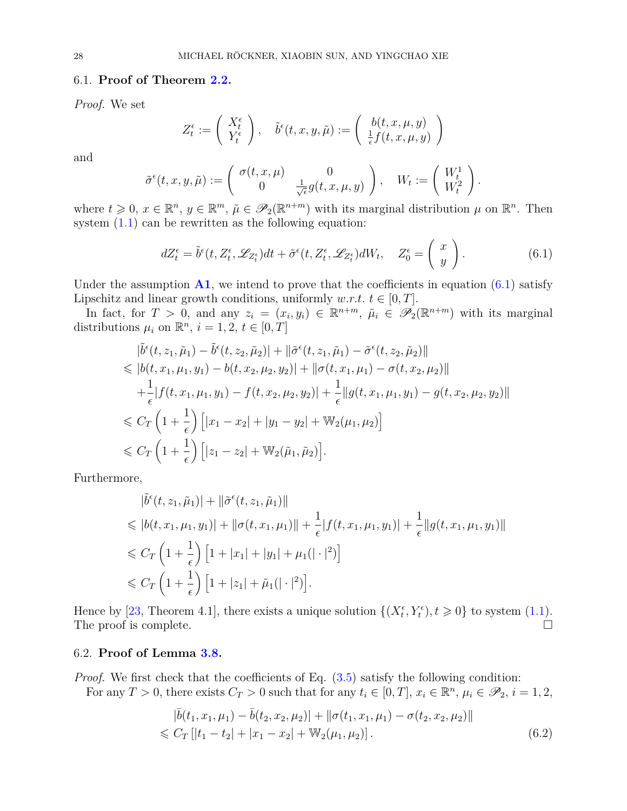### 6.1. **Proof of Theorem [2.2.](#page-4-4)**

*Proof.* We set

$$
Z_t^{\epsilon} := \left(\begin{array}{c} X_t^{\epsilon} \\ Y_t^{\epsilon} \end{array}\right), \quad \tilde{b}^{\epsilon}(t, x, y, \tilde{\mu}) := \left(\begin{array}{c} b(t, x, \mu, y) \\ \frac{1}{\epsilon} f(t, x, \mu, y) \end{array}\right)
$$

and

$$
\tilde{\sigma}^{\epsilon}(t, x, y, \tilde{\mu}) := \begin{pmatrix} \sigma(t, x, \mu) & 0 \\ 0 & \frac{1}{\sqrt{\epsilon}} g(t, x, \mu, y) \end{pmatrix}, \quad W_t := \begin{pmatrix} W_t^1 \\ W_t^2 \end{pmatrix}.
$$

where  $t \geq 0$ ,  $x \in \mathbb{R}^n$ ,  $y \in \mathbb{R}^m$ ,  $\tilde{\mu} \in \mathscr{P}_2(\mathbb{R}^{n+m})$  with its marginal distribution  $\mu$  on  $\mathbb{R}^n$ . Then system  $(1.1)$  can be rewritten as the following equation:

<span id="page-27-1"></span>
$$
dZ_t^{\epsilon} = \tilde{b}^{\epsilon}(t, Z_t^{\epsilon}, \mathscr{L}_{Z_t^{\epsilon}})dt + \tilde{\sigma}^{\epsilon}(t, Z_t^{\epsilon}, \mathscr{L}_{Z_t^{\epsilon}})dW_t, \quad Z_0^{\epsilon} = \left(\begin{array}{c} x \\ y \end{array}\right). \tag{6.1}
$$

Under the assumption  $\mathbf{A1}$  $\mathbf{A1}$  $\mathbf{A1}$ , we intend to prove that the coefficients in equation [\(6.1\)](#page-27-1) satisfy Lipschitz and linear growth conditions, uniformly *w.r.t.*  $t \in [0, T]$ .

In fact, for  $T > 0$ , and any  $z_i = (x_i, y_i) \in \mathbb{R}^{n+m}$ ,  $\tilde{\mu}_i \in \mathscr{P}_2(\mathbb{R}^{n+m})$  with its marginal distributions  $\mu_i$  on  $\mathbb{R}^n$ ,  $i = 1, 2, t \in [0, T]$ 

$$
\begin{split}\n&|\tilde{b}^{\epsilon}(t,z_{1},\tilde{\mu}_{1}) - \tilde{b}^{\epsilon}(t,z_{2},\tilde{\mu}_{2})| + ||\tilde{\sigma}^{\epsilon}(t,z_{1},\tilde{\mu}_{1}) - \tilde{\sigma}^{\epsilon}(t,z_{2},\tilde{\mu}_{2})|| \\
&\leqslant |b(t,x_{1},\mu_{1},y_{1}) - b(t,x_{2},\mu_{2},y_{2})| + ||\sigma(t,x_{1},\mu_{1}) - \sigma(t,x_{2},\mu_{2})|| \\
&+ \frac{1}{\epsilon}|f(t,x_{1},\mu_{1},y_{1}) - f(t,x_{2},\mu_{2},y_{2})| + \frac{1}{\epsilon}||g(t,x_{1},\mu_{1},y_{1}) - g(t,x_{2},\mu_{2},y_{2})|| \\
&\leqslant C_{T}\left(1 + \frac{1}{\epsilon}\right)\left[|x_{1} - x_{2}| + |y_{1} - y_{2}| + \mathbb{W}_{2}(\mu_{1},\mu_{2})\right] \\
&\leqslant C_{T}\left(1 + \frac{1}{\epsilon}\right)\left[|z_{1} - z_{2}| + \mathbb{W}_{2}(\tilde{\mu}_{1},\tilde{\mu}_{2})\right].\n\end{split}
$$

Furthermore,

$$
|\tilde{b}^{\epsilon}(t, z_1, \tilde{\mu}_1)| + ||\tilde{\sigma}^{\epsilon}(t, z_1, \tilde{\mu}_1)||
$$
  
\n
$$
\leq |b(t, x_1, \mu_1, y_1)| + ||\sigma(t, x_1, \mu_1)|| + \frac{1}{\epsilon}|f(t, x_1, \mu_1, y_1)| + \frac{1}{\epsilon}||g(t, x_1, \mu_1, y_1)||
$$
  
\n
$$
\leq C_T \left(1 + \frac{1}{\epsilon}\right) \left[1 + |x_1| + |y_1| + \mu_1(|\cdot|^2)\right]
$$
  
\n
$$
\leq C_T \left(1 + \frac{1}{\epsilon}\right) \left[1 + |z_1| + \tilde{\mu}_1(|\cdot|^2)\right].
$$

Hence by [\[23,](#page-31-5) Theorem 4.1], there exists a unique solution  $\{(X_t^{\epsilon}, Y_t^{\epsilon}), t \geq 0\}$  to system [\(1.1\)](#page-0-0). The proof is complete.

### 6.2. **Proof of Lemma [3.8.](#page-11-2)**

*Proof.* We first check that the coefficients of Eq.  $(3.5)$  satisfy the following condition: For any  $T > 0$ , there exists  $C_T > 0$  such that for any  $t_i \in [0, T]$ ,  $x_i \in \mathbb{R}^n$ ,  $\mu_i \in \mathscr{P}_2$ ,  $i = 1, 2$ ,

<span id="page-27-0"></span>
$$
|\bar{b}(t_1, x_1, \mu_1) - \bar{b}(t_2, x_2, \mu_2)| + ||\sigma(t_1, x_1, \mu_1) - \sigma(t_2, x_2, \mu_2)||
$$
  
\$\leq C\_T [[t\_1 - t\_2] + |x\_1 - x\_2| + W\_2(\mu\_1, \mu\_2)]. \qquad (6.2)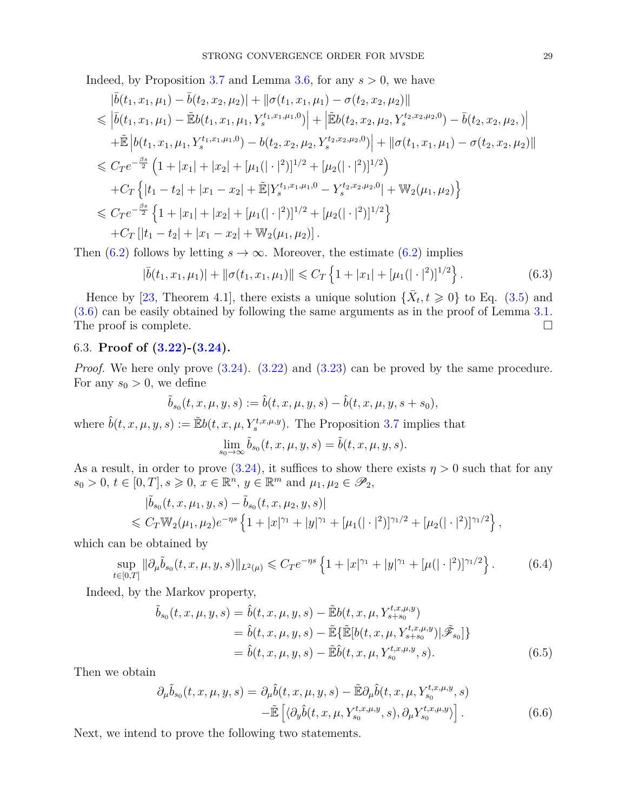Indeed, by Proposition [3.7](#page-10-1) and Lemma [3.6,](#page-9-0) for any  $s > 0$ , we have

$$
\begin{split}\n&|\bar{b}(t_1, x_1, \mu_1) - \bar{b}(t_2, x_2, \mu_2)| + ||\sigma(t_1, x_1, \mu_1) - \sigma(t_2, x_2, \mu_2)|| \\
&\leq |\bar{b}(t_1, x_1, \mu_1) - \tilde{E}b(t_1, x_1, \mu_1, Y_s^{t_1, x_1, \mu_1, 0})| + |\tilde{E}b(t_2, x_2, \mu_2, Y_s^{t_2, x_2, \mu_2, 0}) - \bar{b}(t_2, x_2, \mu_2, 0)| \\
&+ \tilde{E}\left[b(t_1, x_1, \mu_1, Y_s^{t_1, x_1, \mu_1, 0}) - b(t_2, x_2, \mu_2, Y_s^{t_2, x_2, \mu_2, 0})\right] + ||\sigma(t_1, x_1, \mu_1) - \sigma(t_2, x_2, \mu_2)|| \\
&\leq C_T e^{-\frac{\beta s}{2}} \left(1 + |x_1| + |x_2| + [\mu_1(|\cdot|^2)]^{1/2} + [\mu_2(|\cdot|^2)]^{1/2}\right) \\
&+ C_T \left\{|t_1 - t_2| + |x_1 - x_2| + \tilde{E}|Y_s^{t_1, x_1, \mu_1, 0} - Y_s^{t_2, x_2, \mu_2, 0}| + \mathbb{W}_2(\mu_1, \mu_2)\right\} \\
&\leq C_T e^{-\frac{\beta s}{2}} \left\{1 + |x_1| + |x_2| + [\mu_1(|\cdot|^2)]^{1/2} + [\mu_2(|\cdot|^2)]^{1/2}\right\} \\
&+ C_T \left[|t_1 - t_2| + |x_1 - x_2| + \mathbb{W}_2(\mu_1, \mu_2)\right].\n\end{split}
$$

Then [\(6.2\)](#page-27-0) follows by letting  $s \to \infty$ . Moreover, the estimate (6.2) implies

<span id="page-28-0"></span>
$$
|\bar{b}(t_1, x_1, \mu_1)| + ||\sigma(t_1, x_1, \mu_1)|| \leq C_T \left\{ 1 + |x_1| + [\mu_1(|\cdot|^2)]^{1/2} \right\}.
$$
 (6.3)

Hence by [\[23,](#page-31-5) Theorem 4.1], there exists a unique solution  $\{\bar{X}_t, t \geq 0\}$  to Eq. [\(3.5\)](#page-10-0) and [\(3.6\)](#page-11-3) can be easily obtained by following the same arguments as in the proof of Lemma [3.1.](#page-5-3) The proof is complete.

# <span id="page-28-1"></span>6.3. **Proof of [\(3.22\)](#page-17-0)-[\(3.24\)](#page-17-1).**

*Proof.* We here only prove  $(3.24)$ .  $(3.22)$  and  $(3.23)$  can be proved by the same procedure. For any  $s_0 > 0$ , we define

$$
\tilde{b}_{s_0}(t,x,\mu,y,s):=\hat{b}(t,x,\mu,y,s)-\hat{b}(t,x,\mu,y,s+s_0),
$$

where  $\hat{b}(t, x, \mu, y, s) := \mathbb{E}b(t, x, \mu, Y_s^{t, x, \mu, y})$ . The Proposition [3.7](#page-10-1) implies that

$$
\lim_{s_0 \to \infty} \tilde{b}_{s_0}(t, x, \mu, y, s) = \tilde{b}(t, x, \mu, y, s).
$$

As a result, in order to prove  $(3.24)$ , it suffices to show there exists  $\eta > 0$  such that for any  $s_0 > 0, t \in [0, T], s \geqslant 0, x \in \mathbb{R}^n, y \in \mathbb{R}^m \text{ and } \mu_1, \mu_2 \in \mathscr{P}_2$ 

$$
\begin{aligned}\n|\tilde{b}_{s_0}(t, x, \mu_1, y, s) - \tilde{b}_{s_0}(t, x, \mu_2, y, s)| \\
&\leq C_T \mathbb{W}_2(\mu_1, \mu_2) e^{-\eta s} \left\{ 1 + |x|^{\gamma_1} + |y|^{\gamma_1} + [\mu_1(|\cdot|^2)]^{\gamma_1/2} + [\mu_2(|\cdot|^2)]^{\gamma_1/2} \right\},\n\end{aligned}
$$

which can be obtained by

<span id="page-28-4"></span>
$$
\sup_{t \in [0,T]} \|\partial_{\mu}\tilde{b}_{s_0}(t,x,\mu,y,s)\|_{L^2(\mu)} \leqslant C_T e^{-\eta s} \left\{1+|x|^{\gamma_1}+|y|^{\gamma_1}+[\mu(|\cdot|^2)]^{\gamma_1/2}\right\}.
$$
 (6.4)

Indeed, by the Markov property,

<span id="page-28-2"></span>
$$
\tilde{b}_{s_0}(t, x, \mu, y, s) = \hat{b}(t, x, \mu, y, s) - \tilde{\mathbb{E}}b(t, x, \mu, Y_{s+s_0}^{t, x, \mu, y}) \n= \hat{b}(t, x, \mu, y, s) - \tilde{\mathbb{E}}\{\tilde{\mathbb{E}}[b(t, x, \mu, Y_{s+s_0}^{t, x, \mu, y})|\tilde{\mathscr{F}}_{s_0}]\} \n= \hat{b}(t, x, \mu, y, s) - \tilde{\mathbb{E}}\hat{b}(t, x, \mu, Y_{s_0}^{t, x, \mu, y}, s).
$$
\n(6.5)

Then we obtain

<span id="page-28-3"></span>
$$
\partial_{\mu}\tilde{b}_{s_0}(t,x,\mu,y,s) = \partial_{\mu}\hat{b}(t,x,\mu,y,s) - \tilde{\mathbb{E}}\partial_{\mu}\hat{b}(t,x,\mu,Y_{s_0}^{t,x,\mu,y},s)
$$

$$
-\tilde{\mathbb{E}}\left[\langle\partial_y\hat{b}(t,x,\mu,Y_{s_0}^{t,x,\mu,y},s),\partial_{\mu}Y_{s_0}^{t,x,\mu,y}\rangle\right].
$$
(6.6)

Next, we intend to prove the following two statements.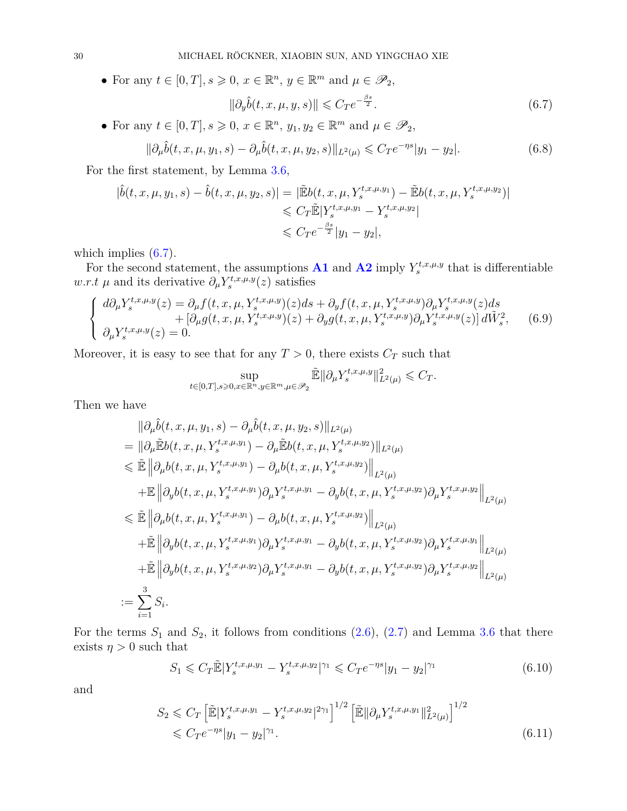• For any  $t \in [0, T]$ ,  $s \ge 0$ ,  $x \in \mathbb{R}^n$ ,  $y \in \mathbb{R}^m$  and  $\mu \in \mathscr{P}_2$ ,

<span id="page-29-0"></span>
$$
\|\partial_y \hat{b}(t, x, \mu, y, s)\| \leqslant C_T e^{-\frac{\beta s}{2}}.\tag{6.7}
$$

• For any  $t \in [0, T]$ ,  $s \ge 0$ ,  $x \in \mathbb{R}^n$ ,  $y_1, y_2 \in \mathbb{R}^m$  and  $\mu \in \mathscr{P}_2$ ,

<span id="page-29-2"></span>
$$
\|\partial_{\mu}\hat{b}(t,x,\mu,y_1,s) - \partial_{\mu}\hat{b}(t,x,\mu,y_2,s)\|_{L^2(\mu)} \leq C_T e^{-\eta s}|y_1 - y_2|.
$$
 (6.8)

For the first statement, by Lemma [3.6,](#page-9-0)

$$
|\hat{b}(t, x, \mu, y_1, s) - \hat{b}(t, x, \mu, y_2, s)| = |\tilde{E}b(t, x, \mu, Y_s^{t, x, \mu, y_1}) - \tilde{E}b(t, x, \mu, Y_s^{t, x, \mu, y_2})|
$$
  

$$
\leq C_T \tilde{E}|Y_s^{t, x, \mu, y_1} - Y_s^{t, x, \mu, y_2}|
$$
  

$$
\leq C_T e^{-\frac{\beta s}{2}} |y_1 - y_2|,
$$

which implies  $(6.7)$ .

For the second statement, the assumptions  $\mathbf{A1}$  $\mathbf{A1}$  $\mathbf{A1}$  and  $\mathbf{A2}$  $\mathbf{A2}$  $\mathbf{A2}$  imply  $Y_s^{t,x,\mu,y}$  that is differentiable *w.r.t*  $\mu$  and its derivative  $\partial_{\mu} Y_s^{t,x,\mu,y}(z)$  satisfies

$$
\begin{cases}\n d\partial_{\mu} Y_{s}^{t,x,\mu,y}(z) = \partial_{\mu} f(t,x,\mu,Y_{s}^{t,x,\mu,y})(z)ds + \partial_{y} f(t,x,\mu,Y_{s}^{t,x,\mu,y})\partial_{\mu} Y_{s}^{t,x,\mu,y}(z)ds \\
 + [\partial_{\mu} g(t,x,\mu,Y_{s}^{t,x,\mu,y})(z) + \partial_{y} g(t,x,\mu,Y_{s}^{t,x,\mu,y})\partial_{\mu} Y_{s}^{t,x,\mu,y}(z)] d\tilde{W}_{s}^{2}, \n\end{cases} (6.9)
$$

Moreover, it is easy to see that for any  $T > 0$ , there exists  $C_T$  such that

$$
\sup_{t\in[0,T],s\geqslant 0,x\in\mathbb{R}^n,y\in\mathbb{R}^m,\mu\in\mathcal{P}_2}\tilde{\mathbb{E}}\|\partial_\mu Y^{t,x,\mu,y}_s\|_{L^2(\mu)}^2\leqslant C_T.
$$

Then we have

$$
\|\partial_{\mu}\hat{b}(t,x,\mu,y_{1},s) - \partial_{\mu}\hat{b}(t,x,\mu,y_{2},s)\|_{L^{2}(\mu)}\n= \|\partial_{\mu}\tilde{\mathbb{E}}b(t,x,\mu,Y_{s}^{t,x,\mu,y_{1}}) - \partial_{\mu}\tilde{\mathbb{E}}b(t,x,\mu,Y_{s}^{t,x,\mu,y_{2}})\|_{L^{2}(\mu)}\n\leq \tilde{\mathbb{E}} \|\partial_{\mu}b(t,x,\mu,Y_{s}^{t,x,\mu,y_{1}}) - \partial_{\mu}b(t,x,\mu,Y_{s}^{t,x,\mu,y_{2}})\|_{L^{2}(\mu)}\n+ \mathbb{E} \|\partial_{y}b(t,x,\mu,Y_{s}^{t,x,\mu,y_{1}})\partial_{\mu}Y_{s}^{t,x,\mu,y_{1}} - \partial_{y}b(t,x,\mu,Y_{s}^{t,x,\mu,y_{2}})\partial_{\mu}Y_{s}^{t,x,\mu,y_{2}}\|_{L^{2}(\mu)}\n\leq \tilde{\mathbb{E}} \|\partial_{\mu}b(t,x,\mu,Y_{s}^{t,x,\mu,y_{1}}) - \partial_{\mu}b(t,x,\mu,Y_{s}^{t,x,\mu,y_{2}})\|_{L^{2}(\mu)}\n+ \tilde{\mathbb{E}} \|\partial_{y}b(t,x,\mu,Y_{s}^{t,x,\mu,y_{1}})\partial_{\mu}Y_{s}^{t,x,\mu,y_{1}} - \partial_{y}b(t,x,\mu,Y_{s}^{t,x,\mu,y_{2}})\partial_{\mu}Y_{s}^{t,x,\mu,y_{1}}\|_{L^{2}(\mu)}\n+ \tilde{\mathbb{E}} \|\partial_{y}b(t,x,\mu,Y_{s}^{t,x,\mu,y_{2}})\partial_{\mu}Y_{s}^{t,x,\mu,y_{1}} - \partial_{y}b(t,x,\mu,Y_{s}^{t,x,\mu,y_{2}})\partial_{\mu}Y_{s}^{t,x,\mu,y_{2}}\|_{L^{2}(\mu)}\n:= \sum_{i=1}^{3} S_{i}.
$$

For the terms  $S_1$  and  $S_2$ , it follows from conditions  $(2.6)$ ,  $(2.7)$  and Lemma [3.6](#page-9-0) that there exists  $\eta > 0$  such that

<span id="page-29-1"></span>
$$
S_1 \leqslant C_T \tilde{\mathbb{E}} |Y_s^{t,x,\mu,y_1} - Y_s^{t,x,\mu,y_2}|^{\gamma_1} \leqslant C_T e^{-\eta s} |y_1 - y_2|^{\gamma_1} \tag{6.10}
$$

and

$$
S_2 \leq C_T \left[ \tilde{\mathbb{E}} |Y_s^{t,x,\mu,y_1} - Y_s^{t,x,\mu,y_2}|^{2\gamma_1} \right]^{1/2} \left[ \tilde{\mathbb{E}} ||\partial_\mu Y_s^{t,x,\mu,y_1}||_{L^2(\mu)}^2 \right]^{1/2}
$$
  

$$
\leq C_T e^{-\eta s} |y_1 - y_2|^{\gamma_1}.
$$
 (6.11)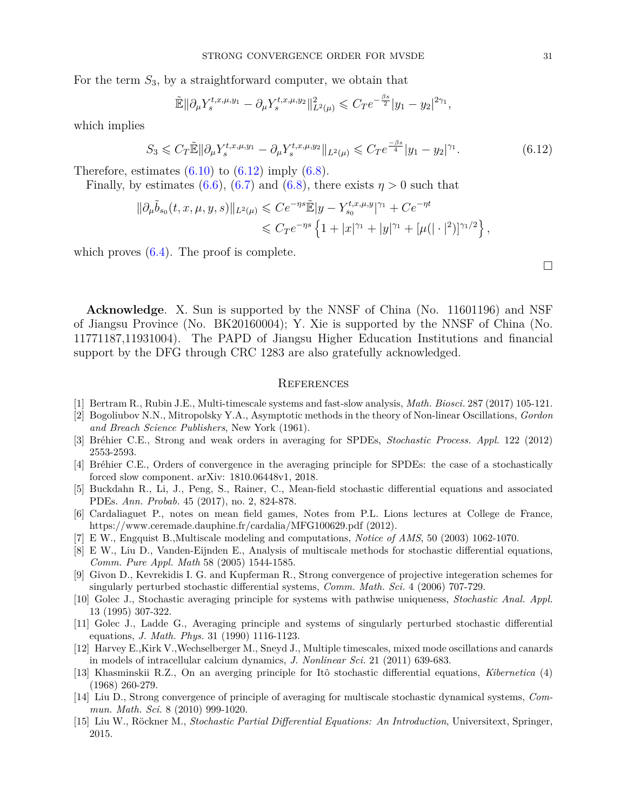For the term *S*3, by a straightforward computer, we obtain that

$$
\tilde{\mathbb{E}} \|\partial_{\mu} Y_s^{t,x,\mu,y_1} - \partial_{\mu} Y_s^{t,x,\mu,y_2}\|_{L^2(\mu)}^2 \leq C_T e^{-\frac{\beta s}{2}} |y_1 - y_2|^{2\gamma_1},
$$

which implies

<span id="page-30-15"></span>
$$
S_3 \leq C_T \tilde{\mathbb{E}} \|\partial_{\mu} Y_s^{t,x,\mu,y_1} - \partial_{\mu} Y_s^{t,x,\mu,y_2}\|_{L^2(\mu)} \leq C_T e^{\frac{-\beta s}{4}} |y_1 - y_2|^{\gamma_1}.
$$
 (6.12)

Therefore, estimates  $(6.10)$  to  $(6.12)$  imply  $(6.8)$ .

Finally, by estimates [\(6.6\)](#page-28-3), [\(6.7\)](#page-29-0) and [\(6.8\)](#page-29-2), there exists  $\eta > 0$  such that

$$
\|\partial_{\mu}\tilde{b}_{s_0}(t,x,\mu,y,s)\|_{L^2(\mu)} \leqslant Ce^{-\eta s}\tilde{\mathbb{E}}|y-Y_{s_0}^{t,x,\mu,y}|^{\gamma_1} + Ce^{-\eta t} \leqslant C_T e^{-\eta s} \left\{1+|x|^{\gamma_1}+|y|^{\gamma_1}+[\mu(|\cdot|^2)]^{\gamma_1/2}\right\},
$$

which proves  $(6.4)$ . The proof is complete.

 $\Box$ 

**Acknowledge**. X. Sun is supported by the NNSF of China (No. 11601196) and NSF of Jiangsu Province (No. BK20160004); Y. Xie is supported by the NNSF of China (No. 11771187,11931004). The PAPD of Jiangsu Higher Education Institutions and financial support by the DFG through CRC 1283 are also gratefully acknowledged.

### **REFERENCES**

- <span id="page-30-0"></span>[1] Bertram R., Rubin J.E., Multi-timescale systems and fast-slow analysis, *Math. Biosci.* 287 (2017) 105-121.
- <span id="page-30-4"></span>[2] Bogoliubov N.N., Mitropolsky Y.A., Asymptotic methods in the theory of Non-linear Oscillations, *Gordon and Breach Science Publishers*, New York (1961).
- <span id="page-30-10"></span>[3] Bréhier C.E., Strong and weak orders in averaging for SPDEs, *Stochastic Process. Appl.* 122 (2012) 2553-2593.
- <span id="page-30-11"></span>[4] Bréhier C.E., Orders of convergence in the averaging principle for SPDEs: the case of a stochastically forced slow component. arXiv: 1810.06448v1, 2018.
- <span id="page-30-14"></span>[5] Buckdahn R., Li, J., Peng, S., Rainer, C., Mean-field stochastic differential equations and associated PDEs. *Ann. Probab.* 45 (2017), no. 2, 824-878.
- <span id="page-30-12"></span>[6] Cardaliaguet P., notes on mean field games, Notes from P.L. Lions lectures at College de France, https://www.ceremade.dauphine.fr/cardalia/MFG100629.pdf (2012).
- <span id="page-30-1"></span>[7] E W., Engquist B.,Multiscale modeling and computations, *Notice of AMS*, 50 (2003) 1062-1070.
- <span id="page-30-2"></span>[8] E W., Liu D., Vanden-Eijnden E., Analysis of multiscale methods for stochastic differential equations, *Comm. Pure Appl. Math* 58 (2005) 1544-1585.
- <span id="page-30-6"></span>[9] Givon D., Kevrekidis I. G. and Kupferman R., Strong convergence of projective integeration schemes for singularly perturbed stochastic differential systems, *Comm. Math. Sci.* 4 (2006) 707-729.
- <span id="page-30-7"></span>[10] Golec J., Stochastic averaging principle for systems with pathwise uniqueness, *Stochastic Anal. Appl.* 13 (1995) 307-322.
- <span id="page-30-8"></span>[11] Golec J., Ladde G., Averaging principle and systems of singularly perturbed stochastic differential equations, *J. Math. Phys.* 31 (1990) 1116-1123.
- <span id="page-30-3"></span>[12] Harvey E.,Kirk V.,Wechselberger M., Sneyd J., Multiple timescales, mixed mode oscillations and canards in models of intracellular calcium dynamics, *J. Nonlinear Sci.* 21 (2011) 639-683.
- <span id="page-30-5"></span>[13] Khasminskii R.Z., On an averging principle for Itô stochastic differential equations, *Kibernetica* (4) (1968) 260-279.
- <span id="page-30-9"></span>[14] Liu D., Strong convergence of principle of averaging for multiscale stochastic dynamical systems, *Commun. Math. Sci.* 8 (2010) 999-1020.
- <span id="page-30-13"></span>[15] Liu W., Röckner M., *Stochastic Partial Differential Equations: An Introduction*, Universitext, Springer, 2015.